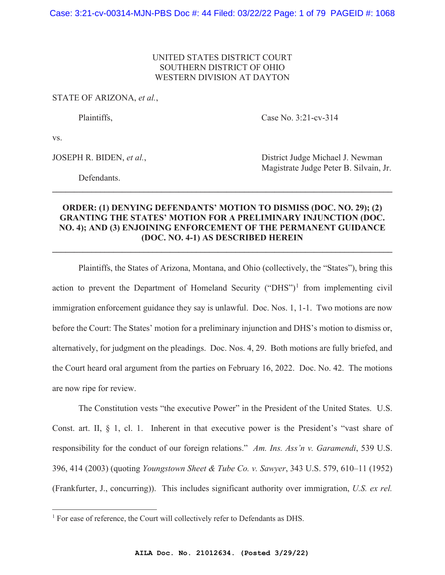# UNITED STATES DISTRICT COURT SOUTHERN DISTRICT OF OHIO WESTERN DIVISION AT DAYTON

# STATE OF ARIZONA, *et al.*,

Plaintiffs, Case No. 3:21-cv-314

vs.

Defendants.

JOSEPH R. BIDEN, *et al.*, District Judge Michael J. Newman Magistrate Judge Peter B. Silvain, Jr.

# **ORDER: (1) DENYING DEFENDANTS' MOTION TO DISMISS (DOC. NO. 29); (2) GRANTING THE STATES' MOTION FOR A PRELIMINARY INJUNCTION (DOC. NO. 4); AND (3) ENJOINING ENFORCEMENT OF THE PERMANENT GUIDANCE (DOC. NO. 4-1) AS DESCRIBED HEREIN**

**\_\_\_\_\_\_\_\_\_\_\_\_\_\_\_\_\_\_\_\_\_\_\_\_\_\_\_\_\_\_\_\_\_\_\_\_\_\_\_\_\_\_\_\_\_\_\_\_\_\_\_\_\_\_\_\_\_\_\_\_\_\_\_\_\_\_\_\_\_\_\_\_\_\_\_\_\_\_** 

 $\mathcal{L}_\mathcal{L} = \{ \mathcal{L}_\mathcal{L} = \{ \mathcal{L}_\mathcal{L} = \{ \mathcal{L}_\mathcal{L} = \{ \mathcal{L}_\mathcal{L} = \{ \mathcal{L}_\mathcal{L} = \{ \mathcal{L}_\mathcal{L} = \{ \mathcal{L}_\mathcal{L} = \{ \mathcal{L}_\mathcal{L} = \{ \mathcal{L}_\mathcal{L} = \{ \mathcal{L}_\mathcal{L} = \{ \mathcal{L}_\mathcal{L} = \{ \mathcal{L}_\mathcal{L} = \{ \mathcal{L}_\mathcal{L} = \{ \mathcal{L}_\mathcal{$ 

Plaintiffs, the States of Arizona, Montana, and Ohio (collectively, the "States"), bring this action to prevent the Department of Homeland Security ("DHS")<sup>1</sup> from implementing civil immigration enforcement guidance they say is unlawful. Doc. Nos. 1, 1-1. Two motions are now before the Court: The States' motion for a preliminary injunction and DHS's motion to dismiss or, alternatively, for judgment on the pleadings. Doc. Nos. 4, 29. Both motions are fully briefed, and the Court heard oral argument from the parties on February 16, 2022. Doc. No. 42. The motions are now ripe for review.

The Constitution vests "the executive Power" in the President of the United States. U.S. Const. art. II, § 1, cl. 1. Inherent in that executive power is the President's "vast share of responsibility for the conduct of our foreign relations." *Am. Ins. Ass'n v. Garamendi*, 539 U.S. 396, 414 (2003) (quoting *Youngstown Sheet & Tube Co. v. Sawyer*, 343 U.S. 579, 610–11 (1952) (Frankfurter, J., concurring)). This includes significant authority over immigration, *U.S. ex rel.* 

<sup>&</sup>lt;sup>1</sup> For ease of reference, the Court will collectively refer to Defendants as DHS.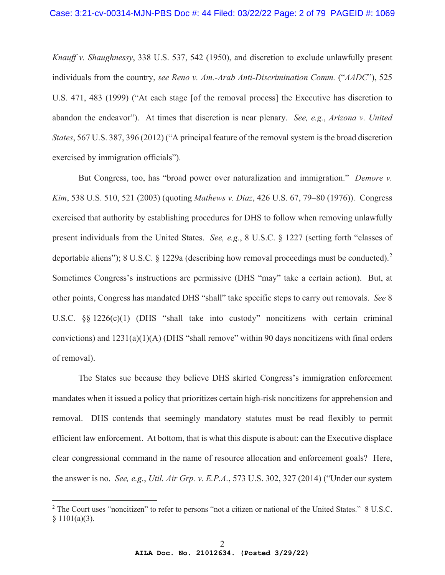*Knauff v. Shaughnessy*, 338 U.S. 537, 542 (1950), and discretion to exclude unlawfully present individuals from the country, *see Reno v. Am.-Arab Anti-Discrimination Comm.* ("*AADC*"), 525 U.S. 471, 483 (1999) ("At each stage [of the removal process] the Executive has discretion to abandon the endeavor"). At times that discretion is near plenary. *See, e.g.*, *Arizona v. United States*, 567 U.S. 387, 396 (2012) ("A principal feature of the removal system is the broad discretion exercised by immigration officials").

But Congress, too, has "broad power over naturalization and immigration." *Demore v. Kim*, 538 U.S. 510, 521 (2003) (quoting *Mathews v. Diaz*, 426 U.S. 67, 79–80 (1976)). Congress exercised that authority by establishing procedures for DHS to follow when removing unlawfully present individuals from the United States. *See, e.g.*, 8 U.S.C. § 1227 (setting forth "classes of deportable aliens"); 8 U.S.C. § 1229a (describing how removal proceedings must be conducted).<sup>2</sup> Sometimes Congress's instructions are permissive (DHS "may" take a certain action). But, at other points, Congress has mandated DHS "shall" take specific steps to carry out removals. *See* 8 U.S.C. §§ 1226(c)(1) (DHS "shall take into custody" noncitizens with certain criminal convictions) and  $1231(a)(1)(A)$  (DHS "shall remove" within 90 days noncitizens with final orders of removal).

The States sue because they believe DHS skirted Congress's immigration enforcement mandates when it issued a policy that prioritizes certain high-risk noncitizens for apprehension and removal. DHS contends that seemingly mandatory statutes must be read flexibly to permit efficient law enforcement. At bottom, that is what this dispute is about: can the Executive displace clear congressional command in the name of resource allocation and enforcement goals? Here, the answer is no. *See, e.g.*, *Util. Air Grp. v. E.P.A.*, 573 U.S. 302, 327 (2014) ("Under our system

<sup>&</sup>lt;sup>2</sup> The Court uses "noncitizen" to refer to persons "not a citizen or national of the United States." 8 U.S.C. § 1101(a)(3).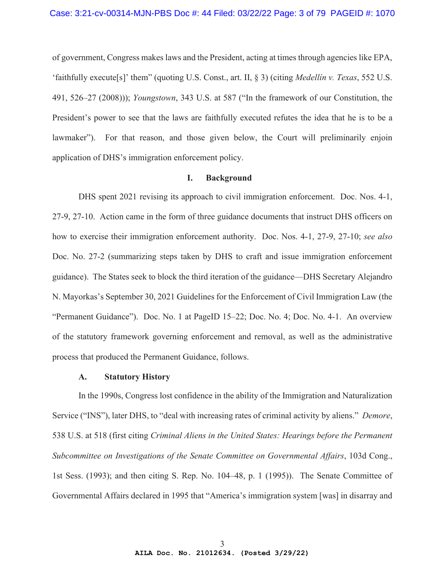of government, Congress makes laws and the President, acting at times through agencies like EPA, 'faithfully execute[s]' them" (quoting U.S. Const., art. II, § 3) (citing *Medellín v. Texas*, 552 U.S. 491, 526–27 (2008))); *Youngstown*, 343 U.S. at 587 ("In the framework of our Constitution, the President's power to see that the laws are faithfully executed refutes the idea that he is to be a lawmaker"). For that reason, and those given below, the Court will preliminarily enjoin application of DHS's immigration enforcement policy.

### **I. Background**

DHS spent 2021 revising its approach to civil immigration enforcement. Doc. Nos. 4-1, 27-9, 27-10. Action came in the form of three guidance documents that instruct DHS officers on how to exercise their immigration enforcement authority. Doc. Nos. 4-1, 27-9, 27-10; *see also* Doc. No. 27-2 (summarizing steps taken by DHS to craft and issue immigration enforcement guidance). The States seek to block the third iteration of the guidance—DHS Secretary Alejandro N. Mayorkas's September 30, 2021 Guidelines for the Enforcement of Civil Immigration Law (the "Permanent Guidance"). Doc. No. 1 at PageID 15–22; Doc. No. 4; Doc. No. 4-1. An overview of the statutory framework governing enforcement and removal, as well as the administrative process that produced the Permanent Guidance, follows.

## **A. Statutory History**

In the 1990s, Congress lost confidence in the ability of the Immigration and Naturalization Service ("INS"), later DHS, to "deal with increasing rates of criminal activity by aliens." *Demore*, 538 U.S. at 518 (first citing *Criminal Aliens in the United States: Hearings before the Permanent Subcommittee on Investigations of the Senate Committee on Governmental Affairs*, 103d Cong., 1st Sess. (1993); and then citing S. Rep. No. 104–48, p. 1 (1995)). The Senate Committee of Governmental Affairs declared in 1995 that "America's immigration system [was] in disarray and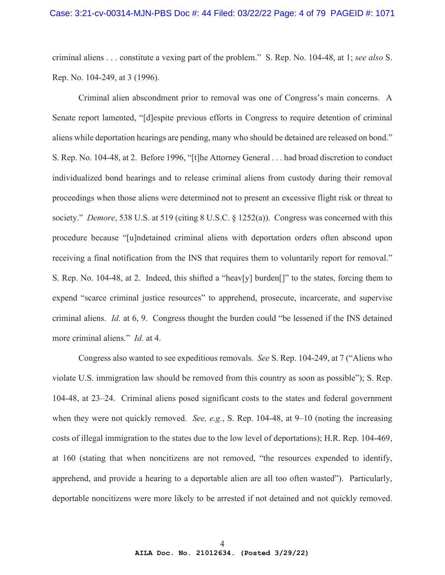criminal aliens . . . constitute a vexing part of the problem." S. Rep. No. 104-48, at 1; *see also* S. Rep. No. 104-249, at 3 (1996).

Criminal alien abscondment prior to removal was one of Congress's main concerns. A Senate report lamented, "[d]espite previous efforts in Congress to require detention of criminal aliens while deportation hearings are pending, many who should be detained are released on bond." S. Rep. No. 104-48, at 2. Before 1996, "[t]he Attorney General . . . had broad discretion to conduct individualized bond hearings and to release criminal aliens from custody during their removal proceedings when those aliens were determined not to present an excessive flight risk or threat to society." *Demore*, 538 U.S. at 519 (citing 8 U.S.C. § 1252(a)). Congress was concerned with this procedure because "[u]ndetained criminal aliens with deportation orders often abscond upon receiving a final notification from the INS that requires them to voluntarily report for removal." S. Rep. No. 104-48, at 2. Indeed, this shifted a "heav[y] burden[]" to the states, forcing them to expend "scarce criminal justice resources" to apprehend, prosecute, incarcerate, and supervise criminal aliens. *Id.* at 6, 9. Congress thought the burden could "be lessened if the INS detained more criminal aliens." *Id.* at 4.

Congress also wanted to see expeditious removals. *See* S. Rep. 104-249, at 7 ("Aliens who violate U.S. immigration law should be removed from this country as soon as possible"); S. Rep. 104-48, at 23–24. Criminal aliens posed significant costs to the states and federal government when they were not quickly removed. *See, e.g.*, S. Rep. 104-48, at 9–10 (noting the increasing costs of illegal immigration to the states due to the low level of deportations); H.R. Rep. 104-469, at 160 (stating that when noncitizens are not removed, "the resources expended to identify, apprehend, and provide a hearing to a deportable alien are all too often wasted"). Particularly, deportable noncitizens were more likely to be arrested if not detained and not quickly removed.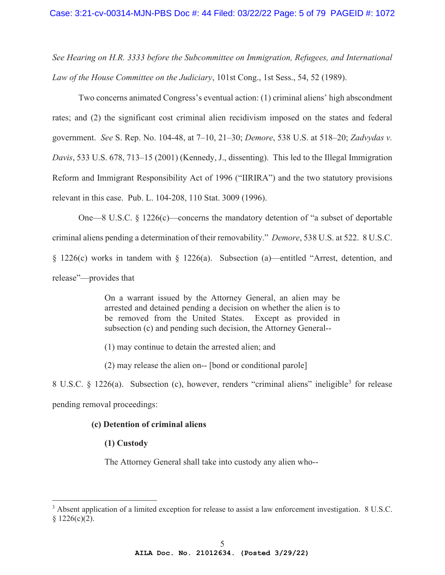*See Hearing on H.R. 3333 before the Subcommittee on Immigration, Refugees, and International Law of the House Committee on the Judiciary*, 101st Cong., 1st Sess., 54, 52 (1989).

Two concerns animated Congress's eventual action: (1) criminal aliens' high abscondment rates; and (2) the significant cost criminal alien recidivism imposed on the states and federal government. *See* S. Rep. No. 104-48, at 7–10, 21–30; *Demore*, 538 U.S. at 518–20; *Zadvydas v. Davis*, 533 U.S. 678, 713–15 (2001) (Kennedy, J., dissenting). This led to the Illegal Immigration Reform and Immigrant Responsibility Act of 1996 ("IIRIRA") and the two statutory provisions relevant in this case. Pub. L. 104-208, 110 Stat. 3009 (1996).

One—8 U.S.C. § 1226(c)—concerns the mandatory detention of "a subset of deportable criminal aliens pending a determination of their removability." *Demore*, 538 U.S. at 522. 8 U.S.C. § 1226(c) works in tandem with § 1226(a). Subsection (a)—entitled "Arrest, detention, and release"—provides that

> On a warrant issued by the Attorney General, an alien may be arrested and detained pending a decision on whether the alien is to be removed from the United States. Except as provided in subsection (c) and pending such decision, the Attorney General--

- (1) may continue to detain the arrested alien; and
- (2) may release the alien on-- [bond or conditional parole]

8 U.S.C. § 1226(a). Subsection (c), however, renders "criminal aliens" ineligible<sup>3</sup> for release pending removal proceedings:

## **(c) Detention of criminal aliens**

# **(1) Custody**

The Attorney General shall take into custody any alien who--

<sup>&</sup>lt;sup>3</sup> Absent application of a limited exception for release to assist a law enforcement investigation. 8 U.S.C.  $§ 1226(c)(2).$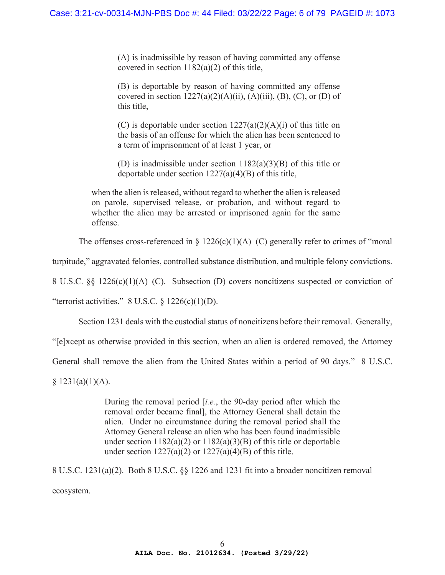(A) is inadmissible by reason of having committed any offense covered in section 1182(a)(2) of this title,

(B) is deportable by reason of having committed any offense covered in section  $1227(a)(2)(A)(ii)$ ,  $(A)(iii)$ ,  $(B)$ ,  $(C)$ , or  $(D)$  of this title,

(C) is deportable under section  $1227(a)(2)(A)(i)$  of this title on the basis of an offense for which the alien has been sentenced to a term of imprisonment of at least 1 year, or

(D) is inadmissible under section  $1182(a)(3)(B)$  of this title or deportable under section 1227(a)(4)(B) of this title,

when the alien is released, without regard to whether the alien is released on parole, supervised release, or probation, and without regard to whether the alien may be arrested or imprisoned again for the same offense.

The offenses cross-referenced in  $\S 1226(c)(1)(A)$ –(C) generally refer to crimes of "moral

turpitude," aggravated felonies, controlled substance distribution, and multiple felony convictions.

8 U.S.C. §§ 1226(c)(1)(A)–(C). Subsection (D) covers noncitizens suspected or conviction of

"terrorist activities."  $8 \text{ U.S.C.} \$  1226(c)(1)(D).

Section 1231 deals with the custodial status of noncitizens before their removal. Generally,

"[e]xcept as otherwise provided in this section, when an alien is ordered removed, the Attorney

General shall remove the alien from the United States within a period of 90 days." 8 U.S.C.

 $§ 1231(a)(1)(A).$ 

During the removal period [*i.e.*, the 90-day period after which the removal order became final], the Attorney General shall detain the alien. Under no circumstance during the removal period shall the Attorney General release an alien who has been found inadmissible under section  $1182(a)(2)$  or  $1182(a)(3)(B)$  of this title or deportable under section  $1227(a)(2)$  or  $1227(a)(4)(B)$  of this title.

8 U.S.C. 1231(a)(2). Both 8 U.S.C. §§ 1226 and 1231 fit into a broader noncitizen removal ecosystem.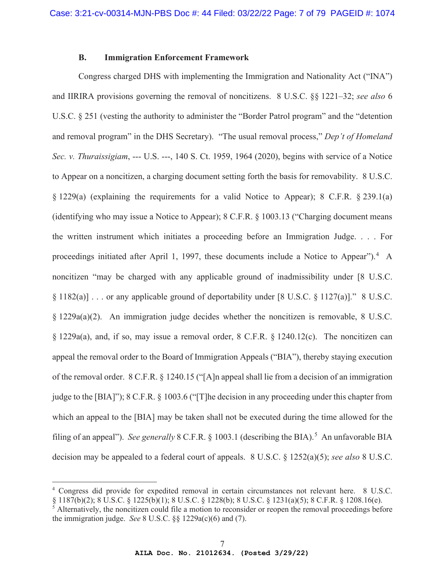## **B. Immigration Enforcement Framework**

Congress charged DHS with implementing the Immigration and Nationality Act ("INA") and IIRIRA provisions governing the removal of noncitizens. 8 U.S.C. §§ 1221–32; *see also* 6 U.S.C. § 251 (vesting the authority to administer the "Border Patrol program" and the "detention and removal program" in the DHS Secretary). "The usual removal process," *Dep't of Homeland Sec. v. Thuraissigiam*, --- U.S. ---, 140 S. Ct. 1959, 1964 (2020), begins with service of a Notice to Appear on a noncitizen, a charging document setting forth the basis for removability. 8 U.S.C. § 1229(a) (explaining the requirements for a valid Notice to Appear); 8 C.F.R. § 239.1(a) (identifying who may issue a Notice to Appear); 8 C.F.R. § 1003.13 ("Charging document means the written instrument which initiates a proceeding before an Immigration Judge. . . . For proceedings initiated after April 1, 1997, these documents include a Notice to Appear").<sup>4</sup> A noncitizen "may be charged with any applicable ground of inadmissibility under [8 U.S.C. § 1182(a)] . . . or any applicable ground of deportability under [8 U.S.C. § 1127(a)]." 8 U.S.C. § 1229a(a)(2). An immigration judge decides whether the noncitizen is removable, 8 U.S.C. § 1229a(a), and, if so, may issue a removal order, 8 C.F.R. § 1240.12(c). The noncitizen can appeal the removal order to the Board of Immigration Appeals ("BIA"), thereby staying execution of the removal order. 8 C.F.R. § 1240.15 ("[A]n appeal shall lie from a decision of an immigration judge to the [BIA]"); 8 C.F.R. § 1003.6 ("[T]he decision in any proceeding under this chapter from which an appeal to the [BIA] may be taken shall not be executed during the time allowed for the filing of an appeal"). *See generally* 8 C.F.R. § 1003.1 (describing the BIA).<sup>5</sup> An unfavorable BIA decision may be appealed to a federal court of appeals. 8 U.S.C. § 1252(a)(5); *see also* 8 U.S.C.

<sup>4</sup> Congress did provide for expedited removal in certain circumstances not relevant here. 8 U.S.C. § 1187(b)(2); 8 U.S.C. § 1225(b)(1); 8 U.S.C. § 1228(b); 8 U.S.C. § 1231(a)(5); 8 C.F.R. § 1208.16(e).

<sup>&</sup>lt;sup>5</sup> Alternatively, the noncitizen could file a motion to reconsider or reopen the removal proceedings before the immigration judge. *See* 8 U.S.C. §§ 1229a(c)(6) and (7).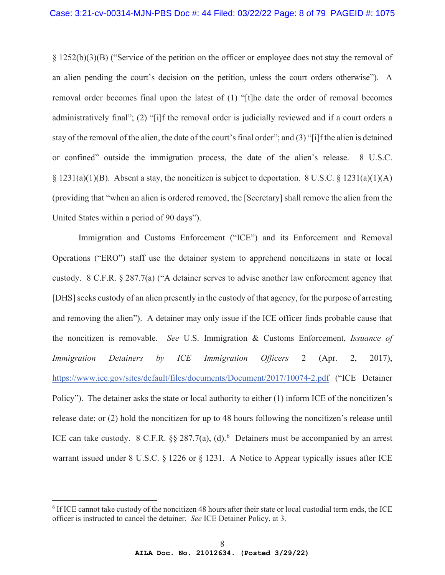§ 1252(b)(3)(B) ("Service of the petition on the officer or employee does not stay the removal of an alien pending the court's decision on the petition, unless the court orders otherwise"). A removal order becomes final upon the latest of (1) "[t]he date the order of removal becomes administratively final"; (2) "[i]f the removal order is judicially reviewed and if a court orders a stay of the removal of the alien, the date of the court's final order"; and (3) "[i]f the alien is detained or confined" outside the immigration process, the date of the alien's release. 8 U.S.C. § 1231(a)(1)(B). Absent a stay, the noncitizen is subject to deportation. 8 U.S.C. § 1231(a)(1)(A) (providing that "when an alien is ordered removed, the [Secretary] shall remove the alien from the United States within a period of 90 days").

Immigration and Customs Enforcement ("ICE") and its Enforcement and Removal Operations ("ERO") staff use the detainer system to apprehend noncitizens in state or local custody. 8 C.F.R. § 287.7(a) ("A detainer serves to advise another law enforcement agency that [DHS] seeks custody of an alien presently in the custody of that agency, for the purpose of arresting and removing the alien"). A detainer may only issue if the ICE officer finds probable cause that the noncitizen is removable. *See* U.S. Immigration & Customs Enforcement, *Issuance of Immigration Detainers by ICE Immigration Officers* 2 (Apr. 2, 2017), https://www.ice.gov/sites/default/files/documents/Document/2017/10074-2.pdf ("ICE Detainer Policy"). The detainer asks the state or local authority to either (1) inform ICE of the noncitizen's release date; or (2) hold the noncitizen for up to 48 hours following the noncitizen's release until ICE can take custody. 8 C.F.R.  $\S$ § 287.7(a), (d).<sup>6</sup> Detainers must be accompanied by an arrest warrant issued under 8 U.S.C. § 1226 or § 1231. A Notice to Appear typically issues after ICE

<sup>&</sup>lt;sup>6</sup> If ICE cannot take custody of the noncitizen 48 hours after their state or local custodial term ends, the ICE officer is instructed to cancel the detainer. *See* ICE Detainer Policy, at 3.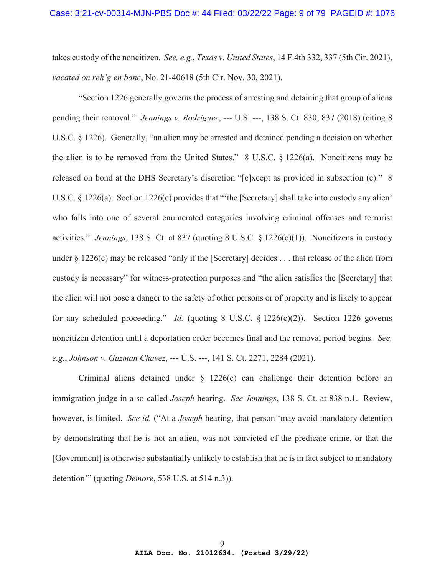takes custody of the noncitizen. *See, e.g.*, *Texas v. United States*, 14 F.4th 332, 337 (5th Cir. 2021), *vacated on reh'g en banc*, No. 21-40618 (5th Cir. Nov. 30, 2021).

"Section 1226 generally governs the process of arresting and detaining that group of aliens pending their removal." *Jennings v. Rodriguez*, --- U.S. ---, 138 S. Ct. 830, 837 (2018) (citing 8 U.S.C. § 1226). Generally, "an alien may be arrested and detained pending a decision on whether the alien is to be removed from the United States." 8 U.S.C. § 1226(a). Noncitizens may be released on bond at the DHS Secretary's discretion "[e]xcept as provided in subsection (c)." 8 U.S.C. § 1226(a). Section 1226(c) provides that ""the [Secretary] shall take into custody any alien' who falls into one of several enumerated categories involving criminal offenses and terrorist activities." *Jennings*, 138 S. Ct. at 837 (quoting 8 U.S.C. § 1226(c)(1)). Noncitizens in custody under § 1226(c) may be released "only if the [Secretary] decides . . . that release of the alien from custody is necessary" for witness-protection purposes and "the alien satisfies the [Secretary] that the alien will not pose a danger to the safety of other persons or of property and is likely to appear for any scheduled proceeding." *Id.* (quoting 8 U.S.C. § 1226(c)(2)). Section 1226 governs noncitizen detention until a deportation order becomes final and the removal period begins. *See, e.g.*, *Johnson v. Guzman Chavez*, --- U.S. ---, 141 S. Ct. 2271, 2284 (2021).

Criminal aliens detained under § 1226(c) can challenge their detention before an immigration judge in a so-called *Joseph* hearing. *See Jennings*, 138 S. Ct. at 838 n.1. Review, however, is limited. *See id.* ("At a *Joseph* hearing, that person 'may avoid mandatory detention by demonstrating that he is not an alien, was not convicted of the predicate crime, or that the [Government] is otherwise substantially unlikely to establish that he is in fact subject to mandatory detention'" (quoting *Demore*, 538 U.S. at 514 n.3)).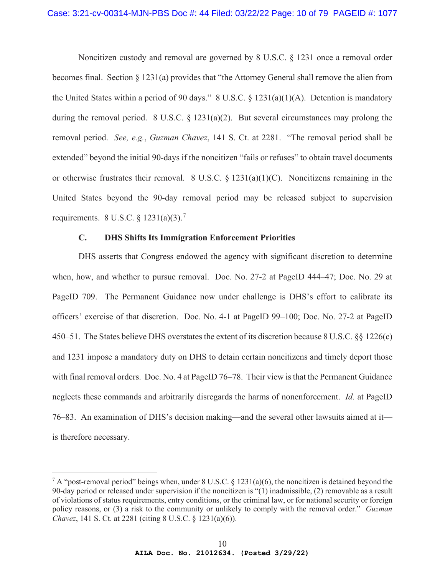Noncitizen custody and removal are governed by 8 U.S.C. § 1231 once a removal order becomes final. Section  $\S 1231(a)$  provides that "the Attorney General shall remove the alien from the United States within a period of 90 days." 8 U.S.C.  $\S$  1231(a)(1)(A). Detention is mandatory during the removal period. 8 U.S.C.  $\S$  1231(a)(2). But several circumstances may prolong the removal period. *See, e.g.*, *Guzman Chavez*, 141 S. Ct. at 2281. "The removal period shall be extended" beyond the initial 90-days if the noncitizen "fails or refuses" to obtain travel documents or otherwise frustrates their removal. 8 U.S.C. § 1231(a)(1)(C). Noncitizens remaining in the United States beyond the 90-day removal period may be released subject to supervision requirements. 8 U.S.C.  $\frac{1231(a)(3)}{7}$ 

# **C. DHS Shifts Its Immigration Enforcement Priorities**

DHS asserts that Congress endowed the agency with significant discretion to determine when, how, and whether to pursue removal. Doc. No. 27-2 at PageID 444–47; Doc. No. 29 at PageID 709. The Permanent Guidance now under challenge is DHS's effort to calibrate its officers' exercise of that discretion. Doc. No. 4-1 at PageID 99–100; Doc. No. 27-2 at PageID 450–51. The States believe DHS overstates the extent of its discretion because 8 U.S.C. §§ 1226(c) and 1231 impose a mandatory duty on DHS to detain certain noncitizens and timely deport those with final removal orders. Doc. No. 4 at PageID 76–78. Their view is that the Permanent Guidance neglects these commands and arbitrarily disregards the harms of nonenforcement. *Id.* at PageID 76–83. An examination of DHS's decision making—and the several other lawsuits aimed at it is therefore necessary.

<sup>&</sup>lt;sup>7</sup> A "post-removal period" beings when, under 8 U.S.C. § 1231(a)(6), the noncitizen is detained beyond the 90-day period or released under supervision if the noncitizen is "(1) inadmissible, (2) removable as a result of violations of status requirements, entry conditions, or the criminal law, or for national security or foreign policy reasons, or (3) a risk to the community or unlikely to comply with the removal order." *Guzman Chavez*, 141 S. Ct. at 2281 (citing 8 U.S.C. § 1231(a)(6)).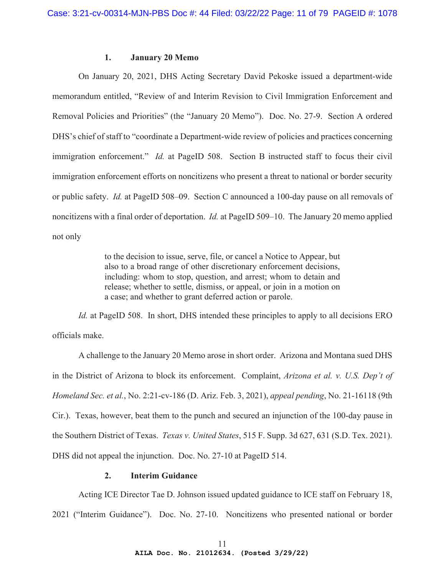## **1. January 20 Memo**

On January 20, 2021, DHS Acting Secretary David Pekoske issued a department-wide memorandum entitled, "Review of and Interim Revision to Civil Immigration Enforcement and Removal Policies and Priorities" (the "January 20 Memo"). Doc. No. 27-9. Section A ordered DHS's chief of staff to "coordinate a Department-wide review of policies and practices concerning immigration enforcement." *Id.* at PageID 508. Section B instructed staff to focus their civil immigration enforcement efforts on noncitizens who present a threat to national or border security or public safety. *Id.* at PageID 508–09. Section C announced a 100-day pause on all removals of noncitizens with a final order of deportation. *Id.* at PageID 509–10. The January 20 memo applied not only

> to the decision to issue, serve, file, or cancel a Notice to Appear, but also to a broad range of other discretionary enforcement decisions, including: whom to stop, question, and arrest; whom to detain and release; whether to settle, dismiss, or appeal, or join in a motion on a case; and whether to grant deferred action or parole.

*Id.* at PageID 508. In short, DHS intended these principles to apply to all decisions ERO officials make.

A challenge to the January 20 Memo arose in short order. Arizona and Montana sued DHS in the District of Arizona to block its enforcement. Complaint, *Arizona et al. v. U.S. Dep't of Homeland Sec. et al.*, No. 2:21-cv-186 (D. Ariz. Feb. 3, 2021), *appeal pending*, No. 21-16118 (9th Cir.). Texas, however, beat them to the punch and secured an injunction of the 100-day pause in the Southern District of Texas. *Texas v. United States*, 515 F. Supp. 3d 627, 631 (S.D. Tex. 2021). DHS did not appeal the injunction. Doc. No. 27-10 at PageID 514.

## **2. Interim Guidance**

Acting ICE Director Tae D. Johnson issued updated guidance to ICE staff on February 18, 2021 ("Interim Guidance"). Doc. No. 27-10. Noncitizens who presented national or border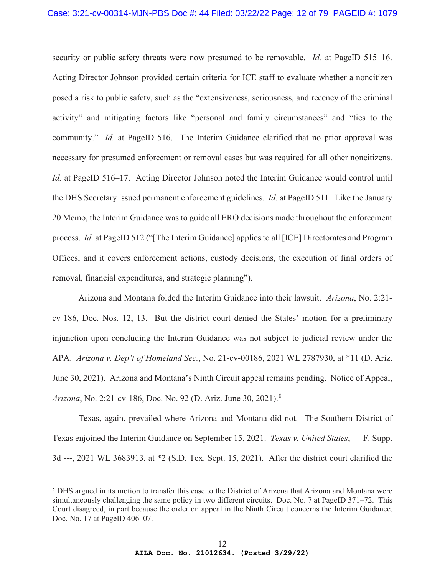security or public safety threats were now presumed to be removable. *Id.* at PageID 515–16. Acting Director Johnson provided certain criteria for ICE staff to evaluate whether a noncitizen posed a risk to public safety, such as the "extensiveness, seriousness, and recency of the criminal activity" and mitigating factors like "personal and family circumstances" and "ties to the community." *Id.* at PageID 516. The Interim Guidance clarified that no prior approval was necessary for presumed enforcement or removal cases but was required for all other noncitizens. *Id.* at PageID 516–17. Acting Director Johnson noted the Interim Guidance would control until the DHS Secretary issued permanent enforcement guidelines. *Id.* at PageID 511. Like the January 20 Memo, the Interim Guidance was to guide all ERO decisions made throughout the enforcement process. *Id.* at PageID 512 ("[The Interim Guidance] applies to all [ICE] Directorates and Program Offices, and it covers enforcement actions, custody decisions, the execution of final orders of removal, financial expenditures, and strategic planning").

Arizona and Montana folded the Interim Guidance into their lawsuit. *Arizona*, No. 2:21 cv-186, Doc. Nos. 12, 13. But the district court denied the States' motion for a preliminary injunction upon concluding the Interim Guidance was not subject to judicial review under the APA. *Arizona v. Dep't of Homeland Sec.*, No. 21-cv-00186, 2021 WL 2787930, at \*11 (D. Ariz. June 30, 2021). Arizona and Montana's Ninth Circuit appeal remains pending. Notice of Appeal, *Arizona*, No. 2:21-cv-186, Doc. No. 92 (D. Ariz. June 30, 2021).<sup>8</sup>

Texas, again, prevailed where Arizona and Montana did not. The Southern District of Texas enjoined the Interim Guidance on September 15, 2021. *Texas v. United States*, --- F. Supp. 3d ---, 2021 WL 3683913, at \*2 (S.D. Tex. Sept. 15, 2021). After the district court clarified the

<sup>&</sup>lt;sup>8</sup> DHS argued in its motion to transfer this case to the District of Arizona that Arizona and Montana were simultaneously challenging the same policy in two different circuits. Doc. No. 7 at PageID 371–72. This Court disagreed, in part because the order on appeal in the Ninth Circuit concerns the Interim Guidance. Doc. No. 17 at PageID 406–07.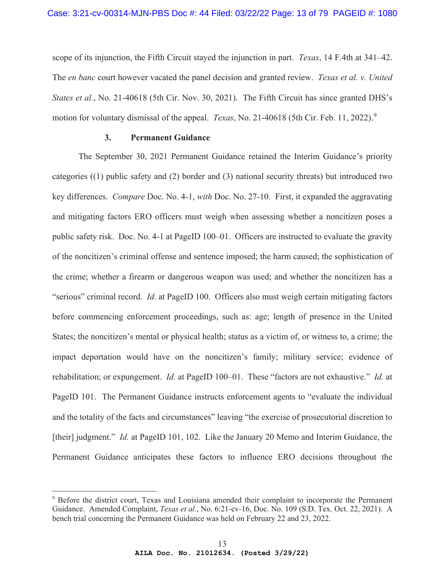scope of its injunction, the Fifth Circuit stayed the injunction in part. *Texas*, 14 F.4th at 341–42. The *en banc* court however vacated the panel decision and granted review. *Texas et al. v. United States et al.*, No. 21-40618 (5th Cir. Nov. 30, 2021). The Fifth Circuit has since granted DHS's motion for voluntary dismissal of the appeal. *Texas*, No. 21-40618 (5th Cir. Feb. 11, 2022).<sup>9</sup>

## **3. Permanent Guidance**

The September 30, 2021 Permanent Guidance retained the Interim Guidance's priority categories ((1) public safety and (2) border and (3) national security threats) but introduced two key differences. *Compare* Doc. No. 4-1, *with* Doc. No. 27-10. First, it expanded the aggravating and mitigating factors ERO officers must weigh when assessing whether a noncitizen poses a public safety risk. Doc. No. 4-1 at PageID 100–01. Officers are instructed to evaluate the gravity of the noncitizen's criminal offense and sentence imposed; the harm caused; the sophistication of the crime; whether a firearm or dangerous weapon was used; and whether the noncitizen has a "serious" criminal record. *Id.* at PageID 100. Officers also must weigh certain mitigating factors before commencing enforcement proceedings, such as: age; length of presence in the United States; the noncitizen's mental or physical health; status as a victim of, or witness to, a crime; the impact deportation would have on the noncitizen's family; military service; evidence of rehabilitation; or expungement. *Id.* at PageID 100–01. These "factors are not exhaustive." *Id.* at PageID 101. The Permanent Guidance instructs enforcement agents to "evaluate the individual and the totality of the facts and circumstances" leaving "the exercise of prosecutorial discretion to [their] judgment." *Id.* at PageID 101, 102. Like the January 20 Memo and Interim Guidance, the Permanent Guidance anticipates these factors to influence ERO decisions throughout the

<sup>&</sup>lt;sup>9</sup> Before the district court, Texas and Louisiana amended their complaint to incorporate the Permanent Guidance. Amended Complaint, *Texas et al.*, No. 6:21-cv-16, Doc. No. 109 (S.D. Tex. Oct. 22, 2021). A bench trial concerning the Permanent Guidance was held on February 22 and 23, 2022.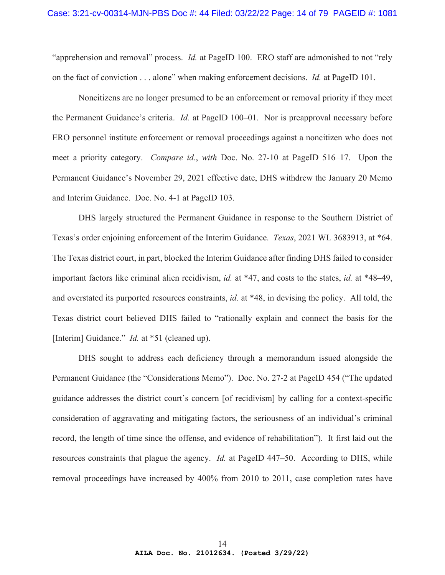"apprehension and removal" process. *Id.* at PageID 100. ERO staff are admonished to not "rely on the fact of conviction . . . alone" when making enforcement decisions. *Id.* at PageID 101.

Noncitizens are no longer presumed to be an enforcement or removal priority if they meet the Permanent Guidance's criteria. *Id.* at PageID 100–01. Nor is preapproval necessary before ERO personnel institute enforcement or removal proceedings against a noncitizen who does not meet a priority category. *Compare id.*, *with* Doc. No. 27-10 at PageID 516–17. Upon the Permanent Guidance's November 29, 2021 effective date, DHS withdrew the January 20 Memo and Interim Guidance. Doc. No. 4-1 at PageID 103.

DHS largely structured the Permanent Guidance in response to the Southern District of Texas's order enjoining enforcement of the Interim Guidance. *Texas*, 2021 WL 3683913, at \*64. The Texas district court, in part, blocked the Interim Guidance after finding DHS failed to consider important factors like criminal alien recidivism, *id.* at \*47, and costs to the states, *id.* at \*48–49, and overstated its purported resources constraints, *id.* at \*48, in devising the policy. All told, the Texas district court believed DHS failed to "rationally explain and connect the basis for the [Interim] Guidance." *Id.* at \*51 (cleaned up).

DHS sought to address each deficiency through a memorandum issued alongside the Permanent Guidance (the "Considerations Memo"). Doc. No. 27-2 at PageID 454 ("The updated guidance addresses the district court's concern [of recidivism] by calling for a context-specific consideration of aggravating and mitigating factors, the seriousness of an individual's criminal record, the length of time since the offense, and evidence of rehabilitation"). It first laid out the resources constraints that plague the agency. *Id.* at PageID 447–50. According to DHS, while removal proceedings have increased by 400% from 2010 to 2011, case completion rates have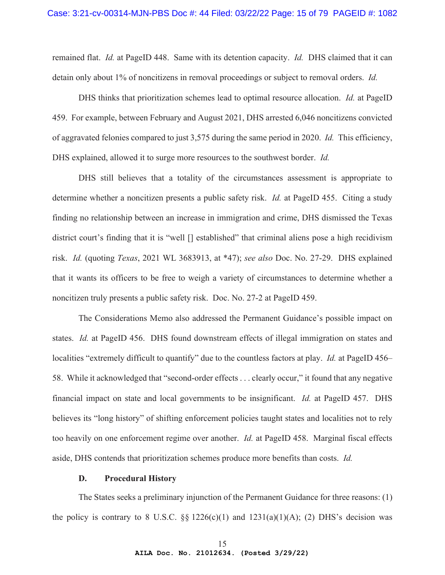remained flat. *Id.* at PageID 448. Same with its detention capacity. *Id.* DHS claimed that it can detain only about 1% of noncitizens in removal proceedings or subject to removal orders. *Id.*

DHS thinks that prioritization schemes lead to optimal resource allocation. *Id.* at PageID 459. For example, between February and August 2021, DHS arrested 6,046 noncitizens convicted of aggravated felonies compared to just 3,575 during the same period in 2020. *Id.* This efficiency, DHS explained, allowed it to surge more resources to the southwest border. *Id.*

DHS still believes that a totality of the circumstances assessment is appropriate to determine whether a noncitizen presents a public safety risk. *Id.* at PageID 455. Citing a study finding no relationship between an increase in immigration and crime, DHS dismissed the Texas district court's finding that it is "well [] established" that criminal aliens pose a high recidivism risk. *Id.* (quoting *Texas*, 2021 WL 3683913, at \*47); *see also* Doc. No. 27-29. DHS explained that it wants its officers to be free to weigh a variety of circumstances to determine whether a noncitizen truly presents a public safety risk. Doc. No. 27-2 at PageID 459.

The Considerations Memo also addressed the Permanent Guidance's possible impact on states. *Id.* at PageID 456. DHS found downstream effects of illegal immigration on states and localities "extremely difficult to quantify" due to the countless factors at play. *Id.* at PageID 456– 58. While it acknowledged that "second-order effects . . . clearly occur," it found that any negative financial impact on state and local governments to be insignificant. *Id.* at PageID 457. DHS believes its "long history" of shifting enforcement policies taught states and localities not to rely too heavily on one enforcement regime over another. *Id.* at PageID 458. Marginal fiscal effects aside, DHS contends that prioritization schemes produce more benefits than costs. *Id.*

#### **D. Procedural History**

The States seeks a preliminary injunction of the Permanent Guidance for three reasons: (1) the policy is contrary to 8 U.S.C.  $\S$  1226(c)(1) and 1231(a)(1)(A); (2) DHS's decision was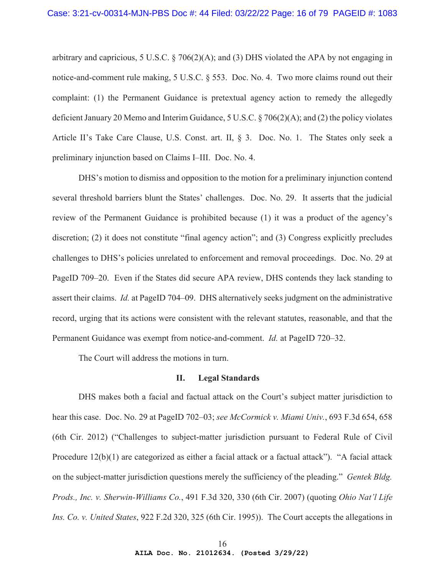arbitrary and capricious, 5 U.S.C.  $\S$  706(2)(A); and (3) DHS violated the APA by not engaging in notice-and-comment rule making, 5 U.S.C. § 553. Doc. No. 4. Two more claims round out their complaint: (1) the Permanent Guidance is pretextual agency action to remedy the allegedly deficient January 20 Memo and Interim Guidance, 5 U.S.C. § 706(2)(A); and (2) the policy violates Article II's Take Care Clause, U.S. Const. art. II, § 3. Doc. No. 1. The States only seek a preliminary injunction based on Claims I–III. Doc. No. 4.

DHS's motion to dismiss and opposition to the motion for a preliminary injunction contend several threshold barriers blunt the States' challenges. Doc. No. 29. It asserts that the judicial review of the Permanent Guidance is prohibited because (1) it was a product of the agency's discretion; (2) it does not constitute "final agency action"; and (3) Congress explicitly precludes challenges to DHS's policies unrelated to enforcement and removal proceedings. Doc. No. 29 at PageID 709–20. Even if the States did secure APA review, DHS contends they lack standing to assert their claims. *Id.* at PageID 704–09. DHS alternatively seeks judgment on the administrative record, urging that its actions were consistent with the relevant statutes, reasonable, and that the Permanent Guidance was exempt from notice-and-comment. *Id.* at PageID 720–32.

The Court will address the motions in turn.

## **II. Legal Standards**

DHS makes both a facial and factual attack on the Court's subject matter jurisdiction to hear this case. Doc. No. 29 at PageID 702–03; *see McCormick v. Miami Univ.*, 693 F.3d 654, 658 (6th Cir. 2012) ("Challenges to subject-matter jurisdiction pursuant to Federal Rule of Civil Procedure 12(b)(1) are categorized as either a facial attack or a factual attack"). "A facial attack on the subject-matter jurisdiction questions merely the sufficiency of the pleading." *Gentek Bldg. Prods., Inc. v. Sherwin-Williams Co.*, 491 F.3d 320, 330 (6th Cir. 2007) (quoting *Ohio Nat'l Life Ins. Co. v. United States*, 922 F.2d 320, 325 (6th Cir. 1995)). The Court accepts the allegations in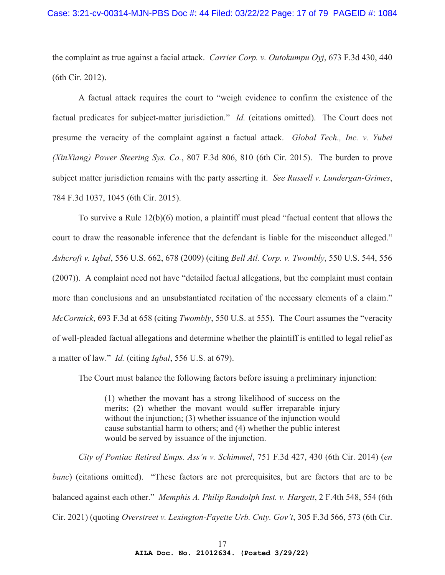the complaint as true against a facial attack. *Carrier Corp. v. Outokumpu Oyj*, 673 F.3d 430, 440 (6th Cir. 2012).

A factual attack requires the court to "weigh evidence to confirm the existence of the factual predicates for subject-matter jurisdiction." *Id.* (citations omitted). The Court does not presume the veracity of the complaint against a factual attack. *Global Tech., Inc. v. Yubei (XinXiang) Power Steering Sys. Co.*, 807 F.3d 806, 810 (6th Cir. 2015). The burden to prove subject matter jurisdiction remains with the party asserting it. *See Russell v. Lundergan-Grimes*, 784 F.3d 1037, 1045 (6th Cir. 2015).

To survive a Rule 12(b)(6) motion, a plaintiff must plead "factual content that allows the court to draw the reasonable inference that the defendant is liable for the misconduct alleged." *Ashcroft v. Iqbal*, 556 U.S. 662, 678 (2009) (citing *Bell Atl. Corp. v. Twombly*, 550 U.S. 544, 556 (2007)). A complaint need not have "detailed factual allegations, but the complaint must contain more than conclusions and an unsubstantiated recitation of the necessary elements of a claim." *McCormick*, 693 F.3d at 658 (citing *Twombly*, 550 U.S. at 555). The Court assumes the "veracity of well-pleaded factual allegations and determine whether the plaintiff is entitled to legal relief as a matter of law." *Id.* (citing *Iqbal*, 556 U.S. at 679).

The Court must balance the following factors before issuing a preliminary injunction:

(1) whether the movant has a strong likelihood of success on the merits; (2) whether the movant would suffer irreparable injury without the injunction; (3) whether issuance of the injunction would cause substantial harm to others; and (4) whether the public interest would be served by issuance of the injunction.

*City of Pontiac Retired Emps. Ass'n v. Schimmel*, 751 F.3d 427, 430 (6th Cir. 2014) (*en banc*) (citations omitted). "These factors are not prerequisites, but are factors that are to be balanced against each other." *Memphis A. Philip Randolph Inst. v. Hargett*, 2 F.4th 548, 554 (6th Cir. 2021) (quoting *Overstreet v. Lexington-Fayette Urb. Cnty. Gov't*, 305 F.3d 566, 573 (6th Cir.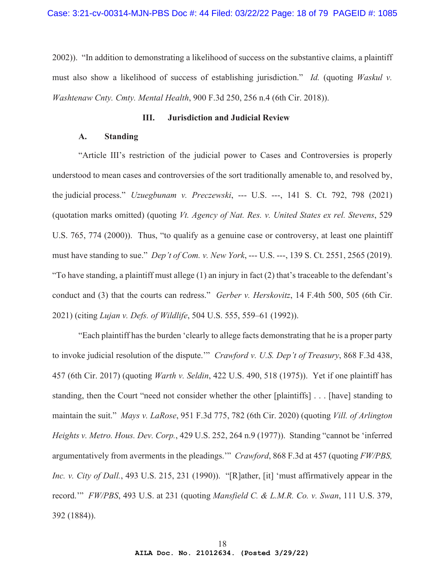2002)). "In addition to demonstrating a likelihood of success on the substantive claims, a plaintiff must also show a likelihood of success of establishing jurisdiction." *Id.* (quoting *Waskul v. Washtenaw Cnty. Cmty. Mental Health*, 900 F.3d 250, 256 n.4 (6th Cir. 2018)).

## **III. Jurisdiction and Judicial Review**

# **A. Standing**

"Article III's restriction of the judicial power to Cases and Controversies is properly understood to mean cases and controversies of the sort traditionally amenable to, and resolved by, the judicial process." *Uzuegbunam v. Preczewski*, --- U.S. ---, 141 S. Ct. 792, 798 (2021) (quotation marks omitted) (quoting *Vt. Agency of Nat. Res. v. United States ex rel. Stevens*, 529 U.S. 765, 774 (2000)). Thus, "to qualify as a genuine case or controversy, at least one plaintiff must have standing to sue." *Dep't of Com. v. New York*, --- U.S. ---, 139 S. Ct. 2551, 2565 (2019). "To have standing, a plaintiff must allege (1) an injury in fact (2) that's traceable to the defendant's conduct and (3) that the courts can redress." *Gerber v. Herskovitz*, 14 F.4th 500, 505 (6th Cir. 2021) (citing *Lujan v. Defs. of Wildlife*, 504 U.S. 555, 559–61 (1992)).

"Each plaintiff has the burden 'clearly to allege facts demonstrating that he is a proper party to invoke judicial resolution of the dispute.'" *Crawford v. U.S. Dep't of Treasury*, 868 F.3d 438, 457 (6th Cir. 2017) (quoting *Warth v. Seldin*, 422 U.S. 490, 518 (1975)). Yet if one plaintiff has standing, then the Court "need not consider whether the other [plaintiffs] . . . [have] standing to maintain the suit." *Mays v. LaRose*, 951 F.3d 775, 782 (6th Cir. 2020) (quoting *Vill. of Arlington Heights v. Metro. Hous. Dev. Corp.*, 429 U.S. 252, 264 n.9 (1977)). Standing "cannot be 'inferred argumentatively from averments in the pleadings.'" *Crawford*, 868 F.3d at 457 (quoting *FW/PBS, Inc. v. City of Dall.*, 493 U.S. 215, 231 (1990)). "[R]ather, [it] 'must affirmatively appear in the record.'" *FW/PBS*, 493 U.S. at 231 (quoting *Mansfield C. & L.M.R. Co. v. Swan*, 111 U.S. 379, 392 (1884)).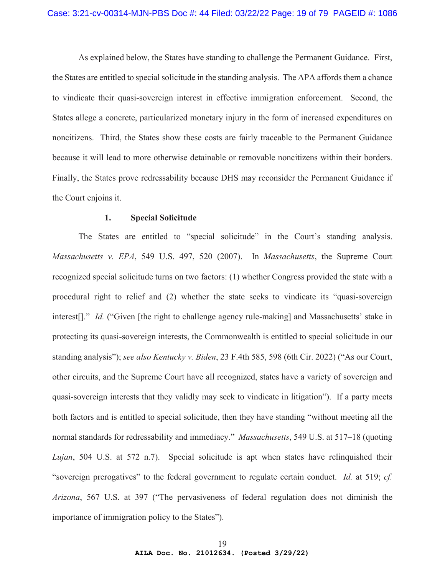As explained below, the States have standing to challenge the Permanent Guidance. First, the States are entitled to special solicitude in the standing analysis. The APA affords them a chance to vindicate their quasi-sovereign interest in effective immigration enforcement. Second, the States allege a concrete, particularized monetary injury in the form of increased expenditures on noncitizens. Third, the States show these costs are fairly traceable to the Permanent Guidance because it will lead to more otherwise detainable or removable noncitizens within their borders. Finally, the States prove redressability because DHS may reconsider the Permanent Guidance if the Court enjoins it.

## **1. Special Solicitude**

The States are entitled to "special solicitude" in the Court's standing analysis. *Massachusetts v. EPA*, 549 U.S. 497, 520 (2007). In *Massachusetts*, the Supreme Court recognized special solicitude turns on two factors: (1) whether Congress provided the state with a procedural right to relief and (2) whether the state seeks to vindicate its "quasi-sovereign interest[]." *Id.* ("Given [the right to challenge agency rule-making] and Massachusetts' stake in protecting its quasi-sovereign interests, the Commonwealth is entitled to special solicitude in our standing analysis"); *see also Kentucky v. Biden*, 23 F.4th 585, 598 (6th Cir. 2022) ("As our Court, other circuits, and the Supreme Court have all recognized, states have a variety of sovereign and quasi-sovereign interests that they validly may seek to vindicate in litigation"). If a party meets both factors and is entitled to special solicitude, then they have standing "without meeting all the normal standards for redressability and immediacy." *Massachusetts*, 549 U.S. at 517–18 (quoting *Lujan*, 504 U.S. at 572 n.7). Special solicitude is apt when states have relinquished their "sovereign prerogatives" to the federal government to regulate certain conduct. *Id.* at 519; *cf. Arizona*, 567 U.S. at 397 ("The pervasiveness of federal regulation does not diminish the importance of immigration policy to the States").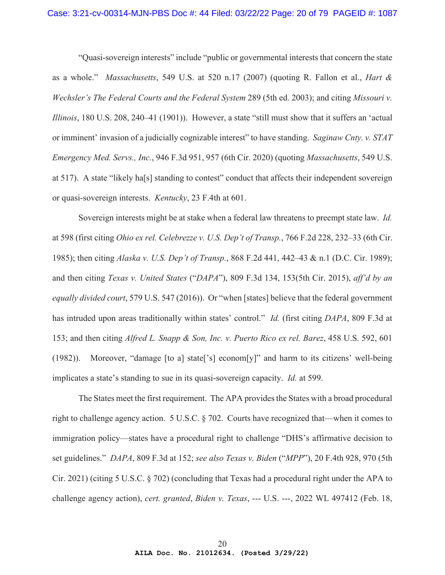#### Case: 3:21-cv-00314-MJN-PBS Doc #: 44 Filed: 03/22/22 Page: 20 of 79 PAGEID #: 1087

"Quasi-sovereign interests" include "public or governmental interests that concern the state as a whole." *Massachusetts*, 549 U.S. at 520 n.17 (2007) (quoting R. Fallon et al., *Hart & Wechsler's The Federal Courts and the Federal System* 289 (5th ed. 2003); and citing *Missouri v. Illinois*, 180 U.S. 208, 240–41 (1901)). However, a state "still must show that it suffers an 'actual or imminent' invasion of a judicially cognizable interest" to have standing. *Saginaw Cnty. v. STAT Emergency Med. Servs., Inc.*, 946 F.3d 951, 957 (6th Cir. 2020) (quoting *Massachusetts*, 549 U.S. at 517). A state "likely ha[s] standing to contest" conduct that affects their independent sovereign or quasi-sovereign interests. *Kentucky*, 23 F.4th at 601.

Sovereign interests might be at stake when a federal law threatens to preempt state law. *Id.*  at 598 (first citing *Ohio ex rel. Celebrezze v. U.S. Dep't of Transp.*, 766 F.2d 228, 232–33 (6th Cir. 1985); then citing *Alaska v. U.S. Dep't of Transp.*, 868 F.2d 441, 442–43 & n.1 (D.C. Cir. 1989); and then citing *Texas v. United States* ("*DAPA*"), 809 F.3d 134, 153(5th Cir. 2015), *aff'd by an equally divided court*, 579 U.S. 547 (2016)). Or "when [states] believe that the federal government has intruded upon areas traditionally within states' control." *Id.* (first citing *DAPA*, 809 F.3d at 153; and then citing *Alfred L. Snapp & Son, Inc. v. Puerto Rico ex rel. Barez*, 458 U.S. 592, 601 (1982)). Moreover, "damage [to a] state['s] econom[y]" and harm to its citizens' well-being implicates a state's standing to sue in its quasi-sovereign capacity. *Id.* at 599.

The States meet the first requirement. The APA provides the States with a broad procedural right to challenge agency action. 5 U.S.C. § 702. Courts have recognized that—when it comes to immigration policy—states have a procedural right to challenge "DHS's affirmative decision to set guidelines." *DAPA*, 809 F.3d at 152; *see also Texas v. Biden* ("*MPP*"), 20 F.4th 928, 970 (5th Cir. 2021) (citing 5 U.S.C. § 702) (concluding that Texas had a procedural right under the APA to challenge agency action), *cert. granted*, *Biden v. Texas*, --- U.S. ---, 2022 WL 497412 (Feb. 18,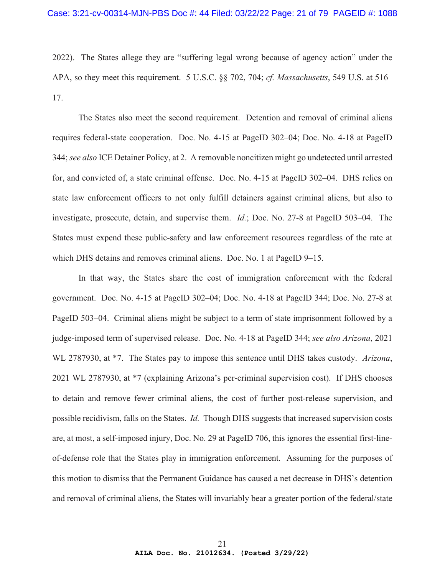2022). The States allege they are "suffering legal wrong because of agency action" under the APA, so they meet this requirement. 5 U.S.C. §§ 702, 704; *cf. Massachusetts*, 549 U.S. at 516– 17.

The States also meet the second requirement. Detention and removal of criminal aliens requires federal-state cooperation. Doc. No. 4-15 at PageID 302–04; Doc. No. 4-18 at PageID 344; *see also* ICE Detainer Policy, at 2. A removable noncitizen might go undetected until arrested for, and convicted of, a state criminal offense. Doc. No. 4-15 at PageID 302–04. DHS relies on state law enforcement officers to not only fulfill detainers against criminal aliens, but also to investigate, prosecute, detain, and supervise them. *Id.*; Doc. No. 27-8 at PageID 503–04. The States must expend these public-safety and law enforcement resources regardless of the rate at which DHS detains and removes criminal aliens. Doc. No. 1 at PageID 9–15.

In that way, the States share the cost of immigration enforcement with the federal government. Doc. No. 4-15 at PageID 302–04; Doc. No. 4-18 at PageID 344; Doc. No. 27-8 at PageID 503–04. Criminal aliens might be subject to a term of state imprisonment followed by a judge-imposed term of supervised release. Doc. No. 4-18 at PageID 344; *see also Arizona*, 2021 WL 2787930, at \*7. The States pay to impose this sentence until DHS takes custody. *Arizona*, 2021 WL 2787930, at \*7 (explaining Arizona's per-criminal supervision cost). If DHS chooses to detain and remove fewer criminal aliens, the cost of further post-release supervision, and possible recidivism, falls on the States. *Id.* Though DHS suggests that increased supervision costs are, at most, a self-imposed injury, Doc. No. 29 at PageID 706, this ignores the essential first-lineof-defense role that the States play in immigration enforcement. Assuming for the purposes of this motion to dismiss that the Permanent Guidance has caused a net decrease in DHS's detention and removal of criminal aliens, the States will invariably bear a greater portion of the federal/state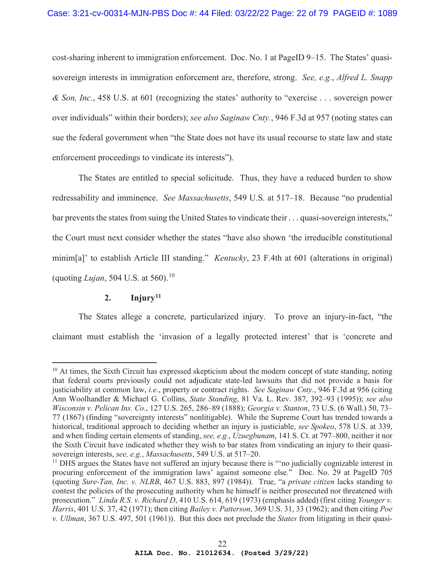cost-sharing inherent to immigration enforcement. Doc. No. 1 at PageID 9–15. The States' quasisovereign interests in immigration enforcement are, therefore, strong. *See, e.g.*, *Alfred L. Snapp & Son, Inc.*, 458 U.S. at 601 (recognizing the states' authority to "exercise . . . sovereign power over individuals" within their borders); *see also Saginaw Cnty.*, 946 F.3d at 957 (noting states can sue the federal government when "the State does not have its usual recourse to state law and state enforcement proceedings to vindicate its interests").

The States are entitled to special solicitude. Thus, they have a reduced burden to show redressability and imminence. *See Massachusetts*, 549 U.S. at 517–18. Because "no prudential bar prevents the states from suing the United States to vindicate their . . . quasi-sovereign interests," the Court must next consider whether the states "have also shown 'the irreducible constitutional minim[a]' to establish Article III standing." *Kentucky*, 23 F.4th at 601 (alterations in original) (quoting *Lujan*, 504 U.S. at 560).<sup>10</sup>

# 2. **Injury**<sup>11</sup>

The States allege a concrete, particularized injury. To prove an injury-in-fact, "the claimant must establish the 'invasion of a legally protected interest' that is 'concrete and

 $10$  At times, the Sixth Circuit has expressed skepticism about the modern concept of state standing, noting that federal courts previously could not adjudicate state-led lawsuits that did not provide a basis for justiciability at common law, *i.e.*, property or contract rights. *See Saginaw Cnty.*, 946 F.3d at 956 (citing Ann Woolhandler & Michael G. Collins, *State Standing*, 81 Va. L. Rev. 387, 392–93 (1995)); *see also Wisconsin v. Pelican Ins. Co.*, 127 U.S. 265, 286–89 (1888); *Georgia v. Stanton*, 73 U.S. (6 Wall.) 50, 73– 77 (1867) (finding "sovereignty interests" nonlitigable). While the Supreme Court has trended towards a historical, traditional approach to deciding whether an injury is justiciable, *see Spokeo*, 578 U.S. at 339, and when finding certain elements of standing, *see, e.g.*, *Uzuegbunam*, 141 S. Ct. at 797–800, neither it nor the Sixth Circuit have indicated whether they wish to bar states from vindicating an injury to their quasisovereign interests, *see, e.g.*, *Massachusetts*, 549 U.S. at 517–20.

<sup>&</sup>lt;sup>11</sup> DHS argues the States have not suffered an injury because there is "no judicially cognizable interest in procuring enforcement of the immigration laws' against someone else." Doc. No. 29 at PageID 705 (quoting *Sure-Tan, Inc. v. NLRB*, 467 U.S. 883, 897 (1984)). True, "a *private citizen* lacks standing to contest the policies of the prosecuting authority when he himself is neither prosecuted nor threatened with prosecution*.*" *Linda R.S. v. Richard D*, 410 U.S. 614, 619 (1973) (emphasis added) (first citing *Younger v. Harris*, 401 U.S. 37, 42 (1971); then citing *Bailey v. Patterson*, 369 U.S. 31, 33 (1962); and then citing *Poe v. Ullman*, 367 U.S. 497, 501 (1961)). But this does not preclude the *States* from litigating in their quasi-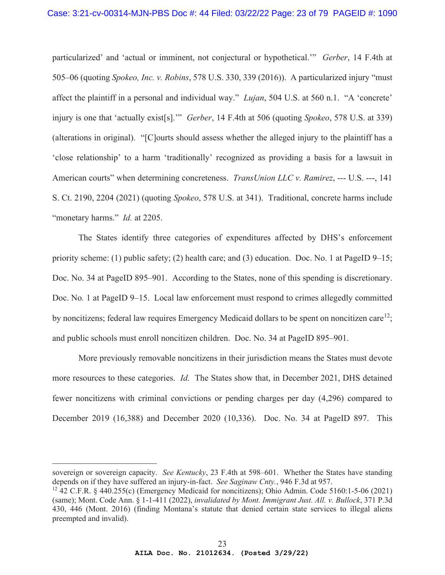particularized' and 'actual or imminent, not conjectural or hypothetical.'" *Gerber*, 14 F.4th at 505–06 (quoting *Spokeo, Inc. v. Robins*, 578 U.S. 330, 339 (2016)). A particularized injury "must affect the plaintiff in a personal and individual way." *Lujan*, 504 U.S. at 560 n.1. "A 'concrete' injury is one that 'actually exist[s].'" *Gerber*, 14 F.4th at 506 (quoting *Spokeo*, 578 U.S. at 339) (alterations in original). "[C]ourts should assess whether the alleged injury to the plaintiff has a 'close relationship' to a harm 'traditionally' recognized as providing a basis for a lawsuit in American courts" when determining concreteness. *TransUnion LLC v. Ramirez*, --- U.S. ---, 141 S. Ct. 2190, 2204 (2021) (quoting *Spokeo*, 578 U.S. at 341). Traditional, concrete harms include "monetary harms." *Id.* at 2205.

The States identify three categories of expenditures affected by DHS's enforcement priority scheme: (1) public safety; (2) health care; and (3) education. Doc. No. 1 at PageID 9–15; Doc. No. 34 at PageID 895–901. According to the States, none of this spending is discretionary. Doc. No. 1 at PageID 9–15. Local law enforcement must respond to crimes allegedly committed by noncitizens; federal law requires Emergency Medicaid dollars to be spent on noncitizen care<sup>12</sup>: and public schools must enroll noncitizen children. Doc. No. 34 at PageID 895–901.

More previously removable noncitizens in their jurisdiction means the States must devote more resources to these categories. *Id.* The States show that, in December 2021, DHS detained fewer noncitizens with criminal convictions or pending charges per day (4,296) compared to December 2019 (16,388) and December 2020 (10,336). Doc. No. 34 at PageID 897. This

sovereign or sovereign capacity. *See Kentucky*, 23 F.4th at 598–601. Whether the States have standing depends on if they have suffered an injury-in-fact. *See Saginaw Cnty.*, 946 F.3d at 957.

<sup>12 42</sup> C.F.R. § 440.255(c) (Emergency Medicaid for noncitizens); Ohio Admin. Code 5160:1-5-06 (2021) (same); Mont. Code Ann. § 1-1-411 (2022), *invalidated by Mont. Immigrant Just. All. v. Bullock*, 371 P.3d 430, 446 (Mont. 2016) (finding Montana's statute that denied certain state services to illegal aliens preempted and invalid).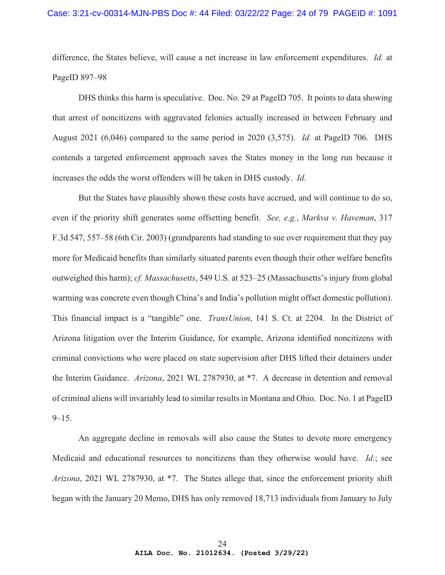difference, the States believe, will cause a net increase in law enforcement expenditures. *Id.* at PageID 897–98

DHS thinks this harm is speculative. Doc. No. 29 at PageID 705. It points to data showing that arrest of noncitizens with aggravated felonies actually increased in between February and August 2021 (6,046) compared to the same period in 2020 (3,575). *Id.* at PageID 706. DHS contends a targeted enforcement approach saves the States money in the long run because it increases the odds the worst offenders will be taken in DHS custody. *Id.* 

But the States have plausibly shown these costs have accrued, and will continue to do so, even if the priority shift generates some offsetting benefit. *See, e.g.*, *Markva v. Haveman*, 317 F.3d 547, 557–58 (6th Cir. 2003) (grandparents had standing to sue over requirement that they pay more for Medicaid benefits than similarly situated parents even though their other welfare benefits outweighed this harm); *cf. Massachusetts*, 549 U.S. at 523–25 (Massachusetts's injury from global warming was concrete even though China's and India's pollution might offset domestic pollution). This financial impact is a "tangible" one. *TransUnion*, 141 S. Ct. at 2204. In the District of Arizona litigation over the Interim Guidance, for example, Arizona identified noncitizens with criminal convictions who were placed on state supervision after DHS lifted their detainers under the Interim Guidance. *Arizona*, 2021 WL 2787930, at \*7. A decrease in detention and removal of criminal aliens will invariably lead to similar results in Montana and Ohio. Doc. No. 1 at PageID  $9 - 15$ .

An aggregate decline in removals will also cause the States to devote more emergency Medicaid and educational resources to noncitizens than they otherwise would have. *Id.*; see *Arizona*, 2021 WL 2787930, at \*7. The States allege that, since the enforcement priority shift began with the January 20 Memo, DHS has only removed 18,713 individuals from January to July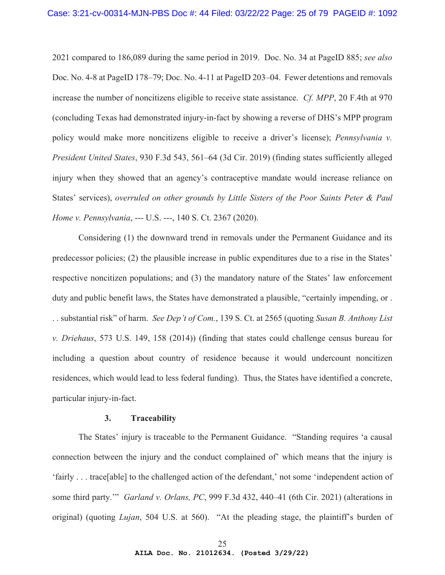2021 compared to 186,089 during the same period in 2019. Doc. No. 34 at PageID 885; *see also*  Doc. No. 4-8 at PageID 178–79; Doc. No. 4-11 at PageID 203–04. Fewer detentions and removals increase the number of noncitizens eligible to receive state assistance. *Cf. MPP*, 20 F.4th at 970 (concluding Texas had demonstrated injury-in-fact by showing a reverse of DHS's MPP program policy would make more noncitizens eligible to receive a driver's license); *Pennsylvania v. President United States*, 930 F.3d 543, 561–64 (3d Cir. 2019) (finding states sufficiently alleged injury when they showed that an agency's contraceptive mandate would increase reliance on States' services), *overruled on other grounds by Little Sisters of the Poor Saints Peter & Paul Home v. Pennsylvania*, --- U.S. ---, 140 S. Ct. 2367 (2020).

Considering (1) the downward trend in removals under the Permanent Guidance and its predecessor policies; (2) the plausible increase in public expenditures due to a rise in the States' respective noncitizen populations; and (3) the mandatory nature of the States' law enforcement duty and public benefit laws, the States have demonstrated a plausible, "certainly impending, or . . . substantial risk" of harm. *See Dep't of Com.*, 139 S. Ct. at 2565 (quoting *Susan B. Anthony List v. Driehaus*, 573 U.S. 149, 158 (2014)) (finding that states could challenge census bureau for including a question about country of residence because it would undercount noncitizen residences, which would lead to less federal funding). Thus, the States have identified a concrete, particular injury-in-fact.

#### **3. Traceability**

The States' injury is traceable to the Permanent Guidance. "Standing requires 'a causal connection between the injury and the conduct complained of' which means that the injury is 'fairly . . . trace[able] to the challenged action of the defendant,' not some 'independent action of some third party.'" *Garland v. Orlans, PC*, 999 F.3d 432, 440–41 (6th Cir. 2021) (alterations in original) (quoting *Lujan*, 504 U.S. at 560). "At the pleading stage, the plaintiff's burden of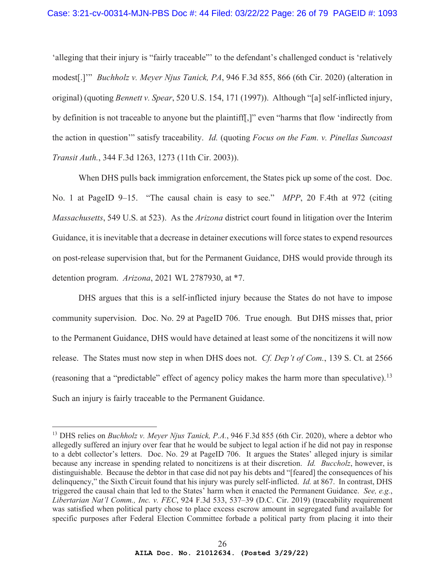'alleging that their injury is "fairly traceable"' to the defendant's challenged conduct is 'relatively modest[.]'" *Buchholz v. Meyer Njus Tanick, PA*, 946 F.3d 855, 866 (6th Cir. 2020) (alteration in original) (quoting *Bennett v. Spear*, 520 U.S. 154, 171 (1997)). Although "[a] self-inflicted injury, by definition is not traceable to anyone but the plaintiff[,]" even "harms that flow 'indirectly from the action in question'" satisfy traceability. *Id.* (quoting *Focus on the Fam. v. Pinellas Suncoast Transit Auth.*, 344 F.3d 1263, 1273 (11th Cir. 2003)).

When DHS pulls back immigration enforcement, the States pick up some of the cost. Doc. No. 1 at PageID 9–15. "The causal chain is easy to see." *MPP*, 20 F.4th at 972 (citing *Massachusetts*, 549 U.S. at 523). As the *Arizona* district court found in litigation over the Interim Guidance, it is inevitable that a decrease in detainer executions will force states to expend resources on post-release supervision that, but for the Permanent Guidance, DHS would provide through its detention program. *Arizona*, 2021 WL 2787930, at \*7.

DHS argues that this is a self-inflicted injury because the States do not have to impose community supervision. Doc. No. 29 at PageID 706. True enough. But DHS misses that, prior to the Permanent Guidance, DHS would have detained at least some of the noncitizens it will now release. The States must now step in when DHS does not. *Cf. Dep't of Com.*, 139 S. Ct. at 2566 (reasoning that a "predictable" effect of agency policy makes the harm more than speculative).13 Such an injury is fairly traceable to the Permanent Guidance.

<sup>&</sup>lt;sup>13</sup> DHS relies on *Buchholz v. Meyer Njus Tanick, P.A.*, 946 F.3d 855 (6th Cir. 2020), where a debtor who allegedly suffered an injury over fear that he would be subject to legal action if he did not pay in response to a debt collector's letters. Doc. No. 29 at PageID 706. It argues the States' alleged injury is similar because any increase in spending related to noncitizens is at their discretion. *Id. Buccholz*, however, is distinguishable. Because the debtor in that case did not pay his debts and "[feared] the consequences of his delinquency," the Sixth Circuit found that his injury was purely self-inflicted. *Id.* at 867. In contrast, DHS triggered the causal chain that led to the States' harm when it enacted the Permanent Guidance. *See, e.g.*, *Libertarian Nat'l Comm., Inc. v. FEC*, 924 F.3d 533, 537–39 (D.C. Cir. 2019) (traceability requirement was satisfied when political party chose to place excess escrow amount in segregated fund available for specific purposes after Federal Election Committee forbade a political party from placing it into their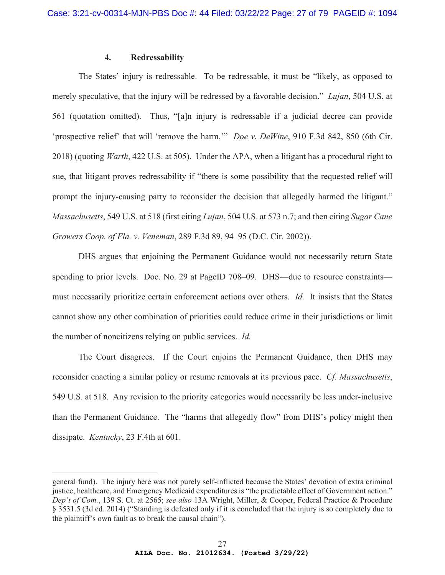## **4. Redressability**

The States' injury is redressable. To be redressable, it must be "likely, as opposed to merely speculative, that the injury will be redressed by a favorable decision." *Lujan*, 504 U.S. at 561 (quotation omitted). Thus, "[a]n injury is redressable if a judicial decree can provide 'prospective relief' that will 'remove the harm.'" *Doe v. DeWine*, 910 F.3d 842, 850 (6th Cir. 2018) (quoting *Warth*, 422 U.S. at 505). Under the APA, when a litigant has a procedural right to sue, that litigant proves redressability if "there is some possibility that the requested relief will prompt the injury-causing party to reconsider the decision that allegedly harmed the litigant." *Massachusetts*, 549 U.S. at 518 (first citing *Lujan*, 504 U.S. at 573 n.7; and then citing *Sugar Cane Growers Coop. of Fla. v. Veneman*, 289 F.3d 89, 94–95 (D.C. Cir. 2002)).

DHS argues that enjoining the Permanent Guidance would not necessarily return State spending to prior levels. Doc. No. 29 at PageID 708–09. DHS—due to resource constraints must necessarily prioritize certain enforcement actions over others. *Id.* It insists that the States cannot show any other combination of priorities could reduce crime in their jurisdictions or limit the number of noncitizens relying on public services. *Id.*

The Court disagrees. If the Court enjoins the Permanent Guidance, then DHS may reconsider enacting a similar policy or resume removals at its previous pace. *Cf. Massachusetts*, 549 U.S. at 518. Any revision to the priority categories would necessarily be less under-inclusive than the Permanent Guidance. The "harms that allegedly flow" from DHS's policy might then dissipate. *Kentucky*, 23 F.4th at 601.

general fund). The injury here was not purely self-inflicted because the States' devotion of extra criminal justice, healthcare, and Emergency Medicaid expenditures is "the predictable effect of Government action." *Dep't of Com.*, 139 S. Ct. at 2565; *see also* 13A Wright, Miller, & Cooper, Federal Practice & Procedure § 3531.5 (3d ed. 2014) ("Standing is defeated only if it is concluded that the injury is so completely due to the plaintiff's own fault as to break the causal chain").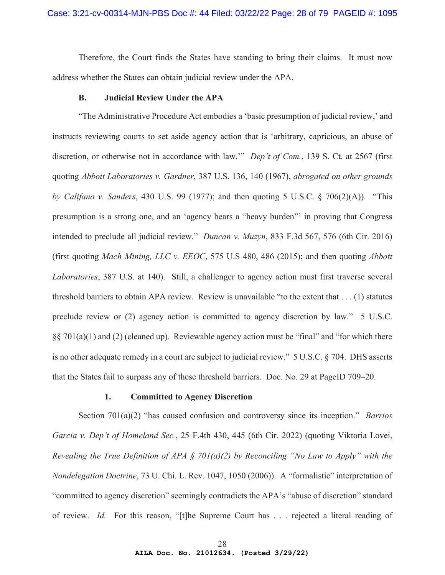Therefore, the Court finds the States have standing to bring their claims. It must now address whether the States can obtain judicial review under the APA.

#### **B. Judicial Review Under the APA**

"The Administrative Procedure Act embodies a 'basic presumption of judicial review,' and instructs reviewing courts to set aside agency action that is 'arbitrary, capricious, an abuse of discretion, or otherwise not in accordance with law.'" *Dep't of Com.*, 139 S. Ct. at 2567 (first quoting *Abbott Laboratories v. Gardner*, 387 U.S. 136, 140 (1967), *abrogated on other grounds by Califano v. Sanders*, 430 U.S. 99 (1977); and then quoting 5 U.S.C. § 706(2)(A)). "This presumption is a strong one, and an 'agency bears a "heavy burden"' in proving that Congress intended to preclude all judicial review." *Duncan v. Muzyn*, 833 F.3d 567, 576 (6th Cir. 2016) (first quoting *Mach Mining, LLC v. EEOC*, 575 U.S 480, 486 (2015); and then quoting *Abbott Laboratories*, 387 U.S. at 140). Still, a challenger to agency action must first traverse several threshold barriers to obtain APA review. Review is unavailable "to the extent that . . . (1) statutes preclude review or (2) agency action is committed to agency discretion by law." 5 U.S.C. §§ 701(a)(1) and (2) (cleaned up). Reviewable agency action must be "final" and "for which there is no other adequate remedy in a court are subject to judicial review." 5 U.S.C. § 704. DHS asserts that the States fail to surpass any of these threshold barriers. Doc. No. 29 at PageID 709–20.

#### **1. Committed to Agency Discretion**

Section 701(a)(2) "has caused confusion and controversy since its inception." *Barrios Garcia v. Dep't of Homeland Sec.*, 25 F.4th 430, 445 (6th Cir. 2022) (quoting Viktoria Lovei, *Revealing the True Definition of APA § 701(a)(2) by Reconciling "No Law to Apply" with the Nondelegation Doctrine*, 73 U. Chi. L. Rev. 1047, 1050 (2006)). A "formalistic" interpretation of "committed to agency discretion" seemingly contradicts the APA's "abuse of discretion" standard of review. *Id.* For this reason, "[t]he Supreme Court has . . . rejected a literal reading of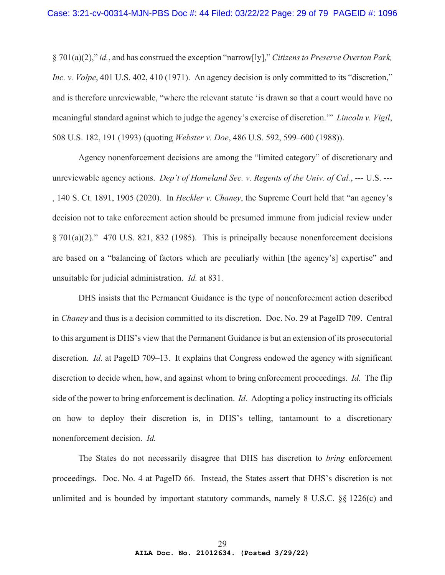§ 701(a)(2)," *id.*, and has construed the exception "narrow[ly]," *Citizens to Preserve Overton Park, Inc. v. Volpe*, 401 U.S. 402, 410 (1971). An agency decision is only committed to its "discretion," and is therefore unreviewable, "where the relevant statute 'is drawn so that a court would have no meaningful standard against which to judge the agency's exercise of discretion.'" *Lincoln v. Vigil*, 508 U.S. 182, 191 (1993) (quoting *Webster v. Doe*, 486 U.S. 592, 599–600 (1988)).

Agency nonenforcement decisions are among the "limited category" of discretionary and unreviewable agency actions. *Dep't of Homeland Sec. v. Regents of the Univ. of Cal.*, --- U.S. --- , 140 S. Ct. 1891, 1905 (2020). In *Heckler v. Chaney*, the Supreme Court held that "an agency's decision not to take enforcement action should be presumed immune from judicial review under § 701(a)(2)." 470 U.S. 821, 832 (1985). This is principally because nonenforcement decisions are based on a "balancing of factors which are peculiarly within [the agency's] expertise" and unsuitable for judicial administration. *Id.* at 831.

DHS insists that the Permanent Guidance is the type of nonenforcement action described in *Chaney* and thus is a decision committed to its discretion. Doc. No. 29 at PageID 709. Central to this argument is DHS's view that the Permanent Guidance is but an extension of its prosecutorial discretion. *Id.* at PageID 709–13. It explains that Congress endowed the agency with significant discretion to decide when, how, and against whom to bring enforcement proceedings. *Id.* The flip side of the power to bring enforcement is declination. *Id.* Adopting a policy instructing its officials on how to deploy their discretion is, in DHS's telling, tantamount to a discretionary nonenforcement decision. *Id.*

The States do not necessarily disagree that DHS has discretion to *bring* enforcement proceedings. Doc. No. 4 at PageID 66. Instead, the States assert that DHS's discretion is not unlimited and is bounded by important statutory commands, namely 8 U.S.C. §§ 1226(c) and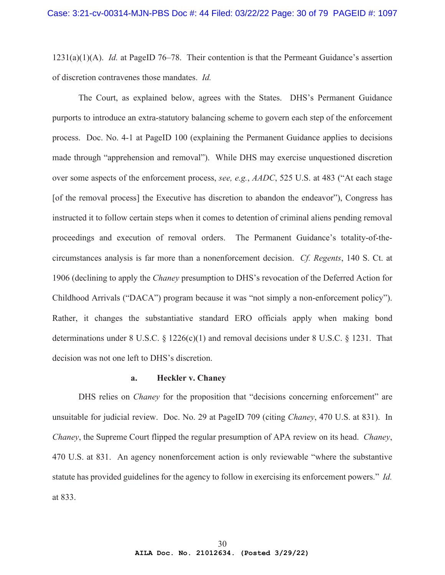1231(a)(1)(A). *Id.* at PageID 76–78. Their contention is that the Permeant Guidance's assertion of discretion contravenes those mandates. *Id.*

The Court, as explained below, agrees with the States. DHS's Permanent Guidance purports to introduce an extra-statutory balancing scheme to govern each step of the enforcement process. Doc. No. 4-1 at PageID 100 (explaining the Permanent Guidance applies to decisions made through "apprehension and removal"). While DHS may exercise unquestioned discretion over some aspects of the enforcement process, *see, e.g.*, *AADC*, 525 U.S. at 483 ("At each stage [of the removal process] the Executive has discretion to abandon the endeavor"), Congress has instructed it to follow certain steps when it comes to detention of criminal aliens pending removal proceedings and execution of removal orders. The Permanent Guidance's totality-of-thecircumstances analysis is far more than a nonenforcement decision. *Cf. Regents*, 140 S. Ct. at 1906 (declining to apply the *Chaney* presumption to DHS's revocation of the Deferred Action for Childhood Arrivals ("DACA") program because it was "not simply a non-enforcement policy"). Rather, it changes the substantiative standard ERO officials apply when making bond determinations under 8 U.S.C. § 1226(c)(1) and removal decisions under 8 U.S.C. § 1231. That decision was not one left to DHS's discretion.

## **a. Heckler v. Chaney**

DHS relies on *Chaney* for the proposition that "decisions concerning enforcement" are unsuitable for judicial review. Doc. No. 29 at PageID 709 (citing *Chaney*, 470 U.S. at 831). In *Chaney*, the Supreme Court flipped the regular presumption of APA review on its head. *Chaney*, 470 U.S. at 831. An agency nonenforcement action is only reviewable "where the substantive statute has provided guidelines for the agency to follow in exercising its enforcement powers." *Id.* at 833.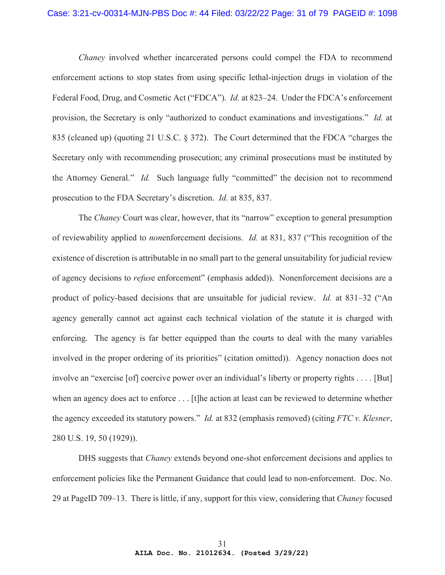#### Case: 3:21-cv-00314-MJN-PBS Doc #: 44 Filed: 03/22/22 Page: 31 of 79 PAGEID #: 1098

*Chaney* involved whether incarcerated persons could compel the FDA to recommend enforcement actions to stop states from using specific lethal-injection drugs in violation of the Federal Food, Drug, and Cosmetic Act ("FDCA"). *Id.* at 823–24. Under the FDCA's enforcement provision, the Secretary is only "authorized to conduct examinations and investigations." *Id.* at 835 (cleaned up) (quoting 21 U.S.C. § 372). The Court determined that the FDCA "charges the Secretary only with recommending prosecution; any criminal prosecutions must be instituted by the Attorney General." *Id.* Such language fully "committed" the decision not to recommend prosecution to the FDA Secretary's discretion. *Id.* at 835, 837.

The *Chaney* Court was clear, however, that its "narrow" exception to general presumption of reviewability applied to *non*enforcement decisions. *Id.* at 831, 837 ("This recognition of the existence of discretion is attributable in no small part to the general unsuitability for judicial review of agency decisions to *refus*e enforcement" (emphasis added)). Nonenforcement decisions are a product of policy-based decisions that are unsuitable for judicial review. *Id.* at 831–32 ("An agency generally cannot act against each technical violation of the statute it is charged with enforcing. The agency is far better equipped than the courts to deal with the many variables involved in the proper ordering of its priorities" (citation omitted)). Agency nonaction does not involve an "exercise [of] coercive power over an individual's liberty or property rights . . . . [But] when an agency does act to enforce . . . [t]he action at least can be reviewed to determine whether the agency exceeded its statutory powers." *Id.* at 832 (emphasis removed) (citing *FTC v. Klesner*, 280 U.S. 19, 50 (1929)).

DHS suggests that *Chaney* extends beyond one-shot enforcement decisions and applies to enforcement policies like the Permanent Guidance that could lead to non-enforcement. Doc. No. 29 at PageID 709–13. There is little, if any, support for this view, considering that *Chaney* focused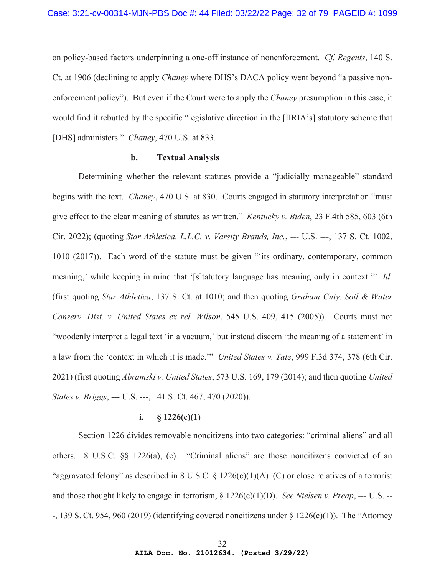on policy-based factors underpinning a one-off instance of nonenforcement. *Cf. Regents*, 140 S. Ct. at 1906 (declining to apply *Chaney* where DHS's DACA policy went beyond "a passive nonenforcement policy"). But even if the Court were to apply the *Chaney* presumption in this case, it would find it rebutted by the specific "legislative direction in the [IIRIA's] statutory scheme that [DHS] administers." *Chaney*, 470 U.S. at 833.

## **b. Textual Analysis**

Determining whether the relevant statutes provide a "judicially manageable" standard begins with the text. *Chaney*, 470 U.S. at 830. Courts engaged in statutory interpretation "must give effect to the clear meaning of statutes as written." *Kentucky v. Biden*, 23 F.4th 585, 603 (6th Cir. 2022); (quoting *Star Athletica, L.L.C. v. Varsity Brands, Inc.*, --- U.S. ---, 137 S. Ct. 1002, 1010 (2017)). Each word of the statute must be given "'its ordinary, contemporary, common meaning,' while keeping in mind that '[s]tatutory language has meaning only in context.'" *Id.* (first quoting *Star Athletica*, 137 S. Ct. at 1010; and then quoting *Graham Cnty. Soil & Water Conserv. Dist. v. United States ex rel. Wilson*, 545 U.S. 409, 415 (2005)). Courts must not "woodenly interpret a legal text 'in a vacuum,' but instead discern 'the meaning of a statement' in a law from the 'context in which it is made.'" *United States v. Tate*, 999 F.3d 374, 378 (6th Cir. 2021) (first quoting *Abramski v. United States*, 573 U.S. 169, 179 (2014); and then quoting *United States v. Briggs*, --- U.S. ---, 141 S. Ct. 467, 470 (2020)).

# **i. § 1226(c)(1)**

Section 1226 divides removable noncitizens into two categories: "criminal aliens" and all others. 8 U.S.C. §§ 1226(a), (c). "Criminal aliens" are those noncitizens convicted of an "aggravated felony" as described in 8 U.S.C. § 1226(c)(1)(A)–(C) or close relatives of a terrorist and those thought likely to engage in terrorism, § 1226(c)(1)(D). *See Nielsen v. Preap*, --- U.S. -- -, 139 S. Ct. 954, 960 (2019) (identifying covered noncitizens under § 1226(c)(1)). The "Attorney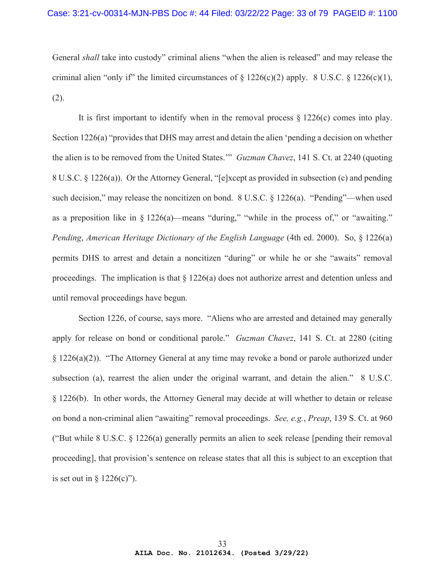General *shall* take into custody" criminal aliens "when the alien is released" and may release the criminal alien "only if" the limited circumstances of  $\S 1226(c)(2)$  apply. 8 U.S.C.  $\S 1226(c)(1)$ , (2).

It is first important to identify when in the removal process  $\S 1226(c)$  comes into play. Section 1226(a) "provides that DHS may arrest and detain the alien 'pending a decision on whether the alien is to be removed from the United States.'" *Guzman Chavez*, 141 S. Ct. at 2240 (quoting 8 U.S.C. § 1226(a)). Or the Attorney General, "[e]xcept as provided in subsection (c) and pending such decision," may release the noncitizen on bond. 8 U.S.C. § 1226(a). "Pending"—when used as a preposition like in  $\S 1226(a)$ —means "during," "while in the process of," or "awaiting." *Pending*, *American Heritage Dictionary of the English Language* (4th ed. 2000). So, § 1226(a) permits DHS to arrest and detain a noncitizen "during" or while he or she "awaits" removal proceedings. The implication is that § 1226(a) does not authorize arrest and detention unless and until removal proceedings have begun.

Section 1226, of course, says more. "Aliens who are arrested and detained may generally apply for release on bond or conditional parole." *Guzman Chavez*, 141 S. Ct. at 2280 (citing § 1226(a)(2)). "The Attorney General at any time may revoke a bond or parole authorized under subsection (a), rearrest the alien under the original warrant, and detain the alien." 8 U.S.C. § 1226(b). In other words, the Attorney General may decide at will whether to detain or release on bond a non-criminal alien "awaiting" removal proceedings. *See, e.g.*, *Preap*, 139 S. Ct. at 960 ("But while 8 U.S.C. § 1226(a) generally permits an alien to seek release [pending their removal proceeding], that provision's sentence on release states that all this is subject to an exception that is set out in  $\S$  1226(c)").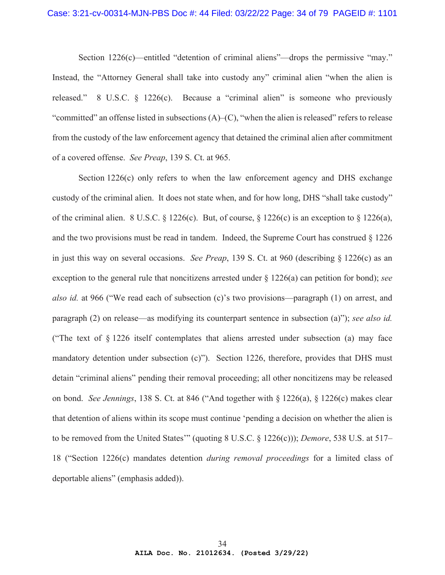Section 1226(c)—entitled "detention of criminal aliens"—drops the permissive "may." Instead, the "Attorney General shall take into custody any" criminal alien "when the alien is released." 8 U.S.C. § 1226(c). Because a "criminal alien" is someone who previously "committed" an offense listed in subsections  $(A)$ – $(C)$ , "when the alien is released" refers to release from the custody of the law enforcement agency that detained the criminal alien after commitment of a covered offense. *See Preap*, 139 S. Ct. at 965.

Section 1226(c) only refers to when the law enforcement agency and DHS exchange custody of the criminal alien. It does not state when, and for how long, DHS "shall take custody" of the criminal alien. 8 U.S.C. § 1226(c). But, of course, § 1226(c) is an exception to § 1226(a), and the two provisions must be read in tandem. Indeed, the Supreme Court has construed  $\S 1226$ in just this way on several occasions. *See Preap*, 139 S. Ct. at 960 (describing § 1226(c) as an exception to the general rule that noncitizens arrested under § 1226(a) can petition for bond); *see also id.* at 966 ("We read each of subsection (c)'s two provisions—paragraph (1) on arrest, and paragraph (2) on release—as modifying its counterpart sentence in subsection (a)"); *see also id.* ("The text of § 1226 itself contemplates that aliens arrested under subsection (a) may face mandatory detention under subsection  $(c)$ "). Section 1226, therefore, provides that DHS must detain "criminal aliens" pending their removal proceeding; all other noncitizens may be released on bond. *See Jennings*, 138 S. Ct. at 846 ("And together with § 1226(a), § 1226(c) makes clear that detention of aliens within its scope must continue 'pending a decision on whether the alien is to be removed from the United States'" (quoting 8 U.S.C. § 1226(c))); *Demore*, 538 U.S. at 517– 18 ("Section 1226(c) mandates detention *during removal proceedings* for a limited class of deportable aliens" (emphasis added)).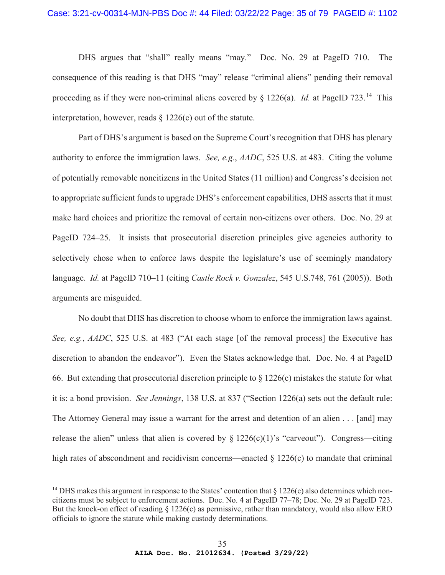DHS argues that "shall" really means "may." Doc. No. 29 at PageID 710. The consequence of this reading is that DHS "may" release "criminal aliens" pending their removal proceeding as if they were non-criminal aliens covered by  $\frac{1226(a)}{d}$ . *Id.* at PageID 723.<sup>14</sup> This interpretation, however, reads § 1226(c) out of the statute.

Part of DHS's argument is based on the Supreme Court's recognition that DHS has plenary authority to enforce the immigration laws. *See, e.g.*, *AADC*, 525 U.S. at 483. Citing the volume of potentially removable noncitizens in the United States (11 million) and Congress's decision not to appropriate sufficient funds to upgrade DHS's enforcement capabilities, DHS asserts that it must make hard choices and prioritize the removal of certain non-citizens over others. Doc. No. 29 at PageID 724–25. It insists that prosecutorial discretion principles give agencies authority to selectively chose when to enforce laws despite the legislature's use of seemingly mandatory language. *Id.* at PageID 710–11 (citing *Castle Rock v. Gonzalez*, 545 U.S.748, 761 (2005)). Both arguments are misguided.

No doubt that DHS has discretion to choose whom to enforce the immigration laws against. *See, e.g.*, *AADC*, 525 U.S. at 483 ("At each stage [of the removal process] the Executive has discretion to abandon the endeavor"). Even the States acknowledge that. Doc. No. 4 at PageID 66. But extending that prosecutorial discretion principle to  $\S 1226(c)$  mistakes the statute for what it is: a bond provision. *See Jennings*, 138 U.S. at 837 ("Section 1226(a) sets out the default rule: The Attorney General may issue a warrant for the arrest and detention of an alien . . . [and] may release the alien" unless that alien is covered by  $\S 1226(c)(1)$ 's "carveout"). Congress—citing high rates of abscondment and recidivism concerns—enacted  $\S 1226(c)$  to mandate that criminal

<sup>&</sup>lt;sup>14</sup> DHS makes this argument in response to the States' contention that  $\S 1226(c)$  also determines which noncitizens must be subject to enforcement actions. Doc. No. 4 at PageID 77–78; Doc. No. 29 at PageID 723. But the knock-on effect of reading § 1226(c) as permissive, rather than mandatory, would also allow ERO officials to ignore the statute while making custody determinations.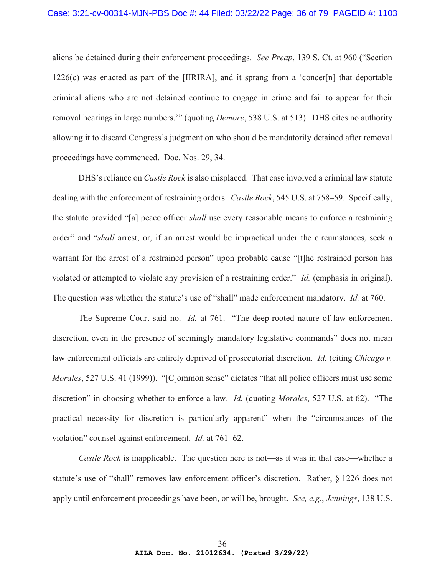aliens be detained during their enforcement proceedings. *See Preap*, 139 S. Ct. at 960 ("Section  $1226(c)$  was enacted as part of the [IIRIRA], and it sprang from a 'concer[n] that deportable criminal aliens who are not detained continue to engage in crime and fail to appear for their removal hearings in large numbers.'" (quoting *Demore*, 538 U.S. at 513). DHS cites no authority allowing it to discard Congress's judgment on who should be mandatorily detained after removal proceedings have commenced. Doc. Nos. 29, 34.

DHS's reliance on *Castle Rock* is also misplaced. That case involved a criminal law statute dealing with the enforcement of restraining orders. *Castle Rock*, 545 U.S. at 758–59. Specifically, the statute provided "[a] peace officer *shall* use every reasonable means to enforce a restraining order" and "*shall* arrest, or, if an arrest would be impractical under the circumstances, seek a warrant for the arrest of a restrained person" upon probable cause "[t]he restrained person has violated or attempted to violate any provision of a restraining order." *Id.* (emphasis in original). The question was whether the statute's use of "shall" made enforcement mandatory. *Id.* at 760.

The Supreme Court said no. *Id.* at 761. "The deep-rooted nature of law-enforcement discretion, even in the presence of seemingly mandatory legislative commands" does not mean law enforcement officials are entirely deprived of prosecutorial discretion. *Id.* (citing *Chicago v. Morales*, 527 U.S. 41 (1999)). "[C]ommon sense" dictates "that all police officers must use some discretion" in choosing whether to enforce a law. *Id.* (quoting *Morales*, 527 U.S. at 62). "The practical necessity for discretion is particularly apparent" when the "circumstances of the violation" counsel against enforcement. *Id.* at 761–62.

*Castle Rock* is inapplicable. The question here is not—as it was in that case—whether a statute's use of "shall" removes law enforcement officer's discretion. Rather, § 1226 does not apply until enforcement proceedings have been, or will be, brought. *See, e.g.*, *Jennings*, 138 U.S.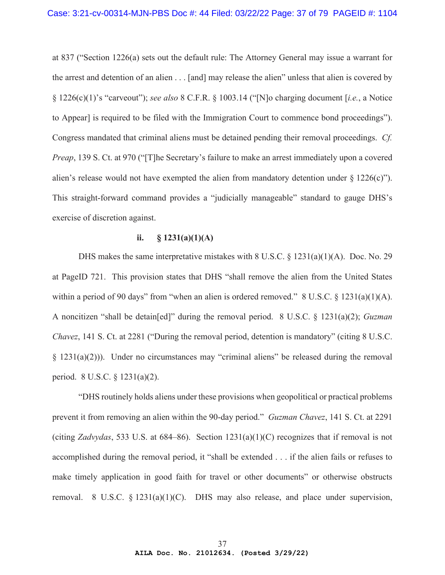at 837 ("Section 1226(a) sets out the default rule: The Attorney General may issue a warrant for the arrest and detention of an alien . . . [and] may release the alien" unless that alien is covered by § 1226(c)(1)'s "carveout"); *see also* 8 C.F.R. § 1003.14 ("[N]o charging document [*i.e.*, a Notice to Appear] is required to be filed with the Immigration Court to commence bond proceedings"). Congress mandated that criminal aliens must be detained pending their removal proceedings. *Cf. Preap*, 139 S. Ct. at 970 ("The Secretary's failure to make an arrest immediately upon a covered alien's release would not have exempted the alien from mandatory detention under  $\S 1226(c)$ "). This straight-forward command provides a "judicially manageable" standard to gauge DHS's exercise of discretion against.

## ii.  $\$ 1231(a)(1)(A)$

DHS makes the same interpretative mistakes with  $8 \text{ U.S.C.} \& 1231(a)(1)(A)$ . Doc. No. 29 at PageID 721. This provision states that DHS "shall remove the alien from the United States within a period of 90 days" from "when an alien is ordered removed." 8 U.S.C. § 1231(a)(1)(A). A noncitizen "shall be detain[ed]" during the removal period. 8 U.S.C. § 1231(a)(2); *Guzman Chavez*, 141 S. Ct. at 2281 ("During the removal period, detention is mandatory" (citing 8 U.S.C. § 1231(a)(2))). Under no circumstances may "criminal aliens" be released during the removal period. 8 U.S.C. § 1231(a)(2).

"DHS routinely holds aliens under these provisions when geopolitical or practical problems prevent it from removing an alien within the 90-day period." *Guzman Chavez*, 141 S. Ct. at 2291 (citing *Zadvydas*, 533 U.S. at 684–86). Section 1231(a)(1)(C) recognizes that if removal is not accomplished during the removal period, it "shall be extended . . . if the alien fails or refuses to make timely application in good faith for travel or other documents" or otherwise obstructs removal. 8 U.S.C. § 1231(a)(1)(C). DHS may also release, and place under supervision,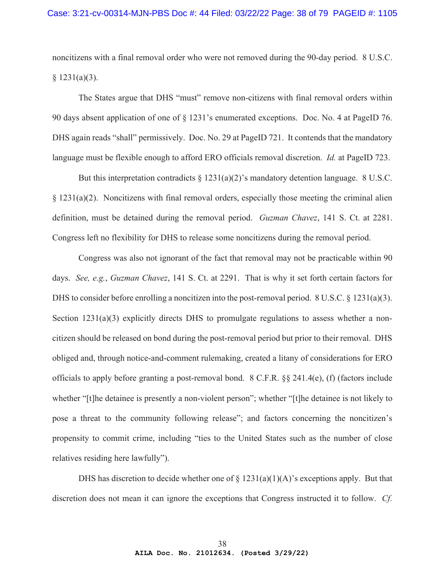noncitizens with a final removal order who were not removed during the 90-day period. 8 U.S.C.  $§ 1231(a)(3).$ 

The States argue that DHS "must" remove non-citizens with final removal orders within 90 days absent application of one of § 1231's enumerated exceptions. Doc. No. 4 at PageID 76. DHS again reads "shall" permissively. Doc. No. 29 at PageID 721. It contends that the mandatory language must be flexible enough to afford ERO officials removal discretion. *Id.* at PageID 723.

But this interpretation contradicts  $\S 1231(a)(2)$ 's mandatory detention language. 8 U.S.C. § 1231(a)(2). Noncitizens with final removal orders, especially those meeting the criminal alien definition, must be detained during the removal period. *Guzman Chavez*, 141 S. Ct. at 2281. Congress left no flexibility for DHS to release some noncitizens during the removal period.

Congress was also not ignorant of the fact that removal may not be practicable within 90 days. *See, e.g.*, *Guzman Chavez*, 141 S. Ct. at 2291. That is why it set forth certain factors for DHS to consider before enrolling a noncitizen into the post-removal period. 8 U.S.C. § 1231(a)(3). Section  $1231(a)(3)$  explicitly directs DHS to promulgate regulations to assess whether a noncitizen should be released on bond during the post-removal period but prior to their removal. DHS obliged and, through notice-and-comment rulemaking, created a litany of considerations for ERO officials to apply before granting a post-removal bond. 8 C.F.R. §§ 241.4(e), (f) (factors include whether "[t]he detainee is presently a non-violent person"; whether "[t]he detainee is not likely to pose a threat to the community following release"; and factors concerning the noncitizen's propensity to commit crime, including "ties to the United States such as the number of close relatives residing here lawfully").

DHS has discretion to decide whether one of  $\S$  1231(a)(1)(A)'s exceptions apply. But that discretion does not mean it can ignore the exceptions that Congress instructed it to follow. *Cf.*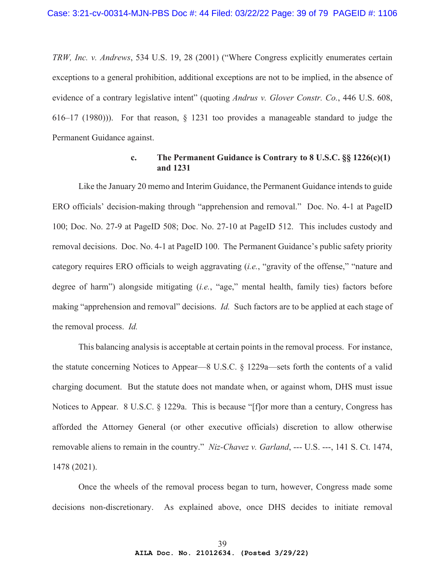*TRW, Inc. v. Andrews*, 534 U.S. 19, 28 (2001) ("Where Congress explicitly enumerates certain exceptions to a general prohibition, additional exceptions are not to be implied, in the absence of evidence of a contrary legislative intent" (quoting *Andrus v. Glover Constr. Co.*, 446 U.S. 608, 616–17 (1980))). For that reason, § 1231 too provides a manageable standard to judge the Permanent Guidance against.

# **c. The Permanent Guidance is Contrary to 8 U.S.C. §§ 1226(c)(1) and 1231**

Like the January 20 memo and Interim Guidance, the Permanent Guidance intends to guide ERO officials' decision-making through "apprehension and removal." Doc. No. 4-1 at PageID 100; Doc. No. 27-9 at PageID 508; Doc. No. 27-10 at PageID 512. This includes custody and removal decisions. Doc. No. 4-1 at PageID 100. The Permanent Guidance's public safety priority category requires ERO officials to weigh aggravating (*i.e.*, "gravity of the offense," "nature and degree of harm") alongside mitigating (*i.e.*, "age," mental health, family ties) factors before making "apprehension and removal" decisions. *Id.* Such factors are to be applied at each stage of the removal process. *Id.*

This balancing analysis is acceptable at certain points in the removal process. For instance, the statute concerning Notices to Appear—8 U.S.C. § 1229a—sets forth the contents of a valid charging document. But the statute does not mandate when, or against whom, DHS must issue Notices to Appear. 8 U.S.C. § 1229a. This is because "[f]or more than a century, Congress has afforded the Attorney General (or other executive officials) discretion to allow otherwise removable aliens to remain in the country." *Niz-Chavez v. Garland*, --- U.S. ---, 141 S. Ct. 1474, 1478 (2021).

Once the wheels of the removal process began to turn, however, Congress made some decisions non-discretionary. As explained above, once DHS decides to initiate removal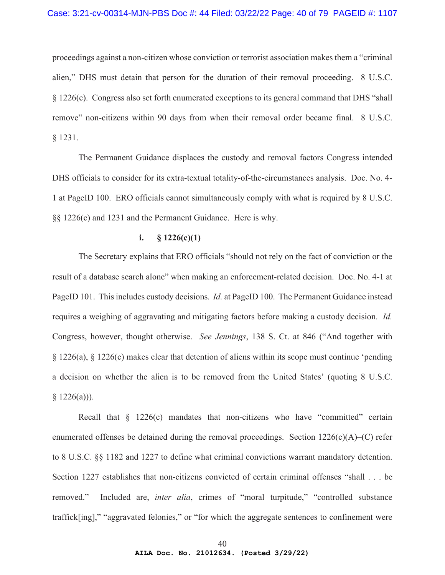### Case: 3:21-cv-00314-MJN-PBS Doc #: 44 Filed: 03/22/22 Page: 40 of 79 PAGEID #: 1107

proceedings against a non-citizen whose conviction or terrorist association makes them a "criminal alien," DHS must detain that person for the duration of their removal proceeding. 8 U.S.C. § 1226(c). Congress also set forth enumerated exceptions to its general command that DHS "shall remove" non-citizens within 90 days from when their removal order became final. 8 U.S.C. § 1231.

The Permanent Guidance displaces the custody and removal factors Congress intended DHS officials to consider for its extra-textual totality-of-the-circumstances analysis. Doc. No. 4- 1 at PageID 100. ERO officials cannot simultaneously comply with what is required by 8 U.S.C. §§ 1226(c) and 1231 and the Permanent Guidance. Here is why.

## **i. § 1226(c)(1)**

The Secretary explains that ERO officials "should not rely on the fact of conviction or the result of a database search alone" when making an enforcement-related decision. Doc. No. 4-1 at PageID 101. This includes custody decisions. *Id.* at PageID 100. The Permanent Guidance instead requires a weighing of aggravating and mitigating factors before making a custody decision. *Id.* Congress, however, thought otherwise. *See Jennings*, 138 S. Ct. at 846 ("And together with § 1226(a), § 1226(c) makes clear that detention of aliens within its scope must continue 'pending a decision on whether the alien is to be removed from the United States' (quoting 8 U.S.C.  $§ 1226(a))$ .

Recall that  $\S$  1226(c) mandates that non-citizens who have "committed" certain enumerated offenses be detained during the removal proceedings. Section  $1226(c)(A)$ –(C) refer to 8 U.S.C. §§ 1182 and 1227 to define what criminal convictions warrant mandatory detention. Section 1227 establishes that non-citizens convicted of certain criminal offenses "shall . . . be removed." Included are, *inter alia*, crimes of "moral turpitude," "controlled substance traffick[ing]," "aggravated felonies," or "for which the aggregate sentences to confinement were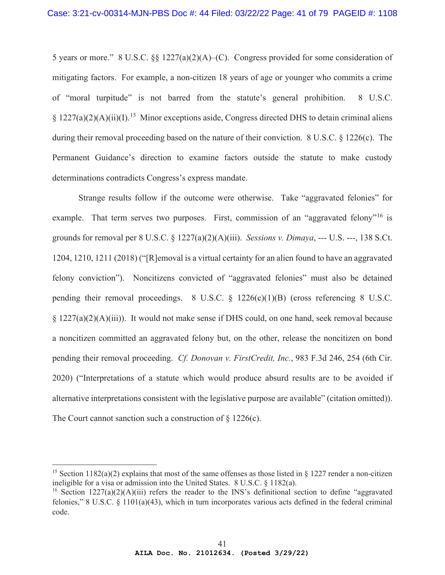5 years or more." 8 U.S.C. §§ 1227(a)(2)(A)–(C). Congress provided for some consideration of mitigating factors. For example, a non-citizen 18 years of age or younger who commits a crime of "moral turpitude" is not barred from the statute's general prohibition. 8 U.S.C.  $\S 1227(a)(2)(A)(ii)(I).$ <sup>15</sup> Minor exceptions aside, Congress directed DHS to detain criminal aliens during their removal proceeding based on the nature of their conviction. 8 U.S.C. § 1226(c). The Permanent Guidance's direction to examine factors outside the statute to make custody determinations contradicts Congress's express mandate.

Strange results follow if the outcome were otherwise. Take "aggravated felonies" for example. That term serves two purposes. First, commission of an "aggravated felony"<sup>16</sup> is grounds for removal per 8 U.S.C. § 1227(a)(2)(A)(iii). *Sessions v. Dimaya*, --- U.S. ---, 138 S.Ct. 1204, 1210, 1211 (2018) ("[R]emoval is a virtual certainty for an alien found to have an aggravated felony conviction"). Noncitizens convicted of "aggravated felonies" must also be detained pending their removal proceedings.  $8 \text{ U.S.C.} \$   $1226(c)(1)(B)$  (cross referencing  $8 \text{ U.S.C.}$ ) § 1227(a)(2)(A)(iii)). It would not make sense if DHS could, on one hand, seek removal because a noncitizen committed an aggravated felony but, on the other, release the noncitizen on bond pending their removal proceeding. *Cf. Donovan v. FirstCredit, Inc.*, 983 F.3d 246, 254 (6th Cir. 2020) ("Interpretations of a statute which would produce absurd results are to be avoided if alternative interpretations consistent with the legislative purpose are available" (citation omitted)). The Court cannot sanction such a construction of § 1226(c).

<sup>&</sup>lt;sup>15</sup> Section 1182(a)(2) explains that most of the same offenses as those listed in § 1227 render a non-citizen ineligible for a visa or admission into the United States. 8 U.S.C. § 1182(a).

<sup>&</sup>lt;sup>16</sup> Section  $1227(a)(2)(A)(iii)$  refers the reader to the INS's definitional section to define "aggravated" felonies," 8 U.S.C. § 1101(a)(43), which in turn incorporates various acts defined in the federal criminal code.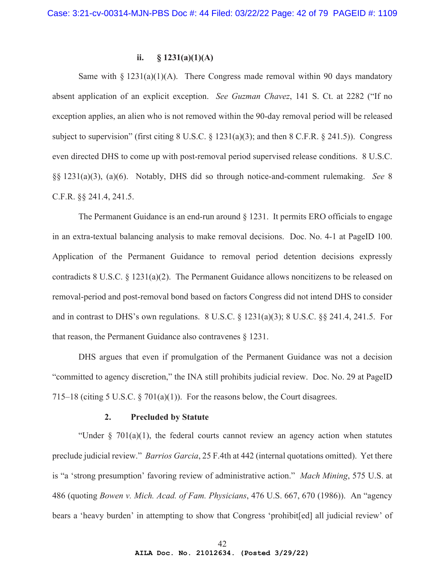# ii.  $\$ 1231(a)(1)(A)$

Same with  $\S 1231(a)(1)(A)$ . There Congress made removal within 90 days mandatory absent application of an explicit exception. *See Guzman Chavez*, 141 S. Ct. at 2282 ("If no exception applies, an alien who is not removed within the 90-day removal period will be released subject to supervision" (first citing 8 U.S.C. § 1231(a)(3); and then 8 C.F.R. § 241.5)). Congress even directed DHS to come up with post-removal period supervised release conditions. 8 U.S.C. §§ 1231(a)(3), (a)(6). Notably, DHS did so through notice-and-comment rulemaking. *See* 8 C.F.R. §§ 241.4, 241.5.

The Permanent Guidance is an end-run around § 1231. It permits ERO officials to engage in an extra-textual balancing analysis to make removal decisions. Doc. No. 4-1 at PageID 100. Application of the Permanent Guidance to removal period detention decisions expressly contradicts 8 U.S.C. § 1231(a)(2). The Permanent Guidance allows noncitizens to be released on removal-period and post-removal bond based on factors Congress did not intend DHS to consider and in contrast to DHS's own regulations. 8 U.S.C.  $\S$  1231(a)(3); 8 U.S.C.  $\S$  241.4, 241.5. For that reason, the Permanent Guidance also contravenes § 1231.

DHS argues that even if promulgation of the Permanent Guidance was not a decision "committed to agency discretion," the INA still prohibits judicial review. Doc. No. 29 at PageID 715–18 (citing 5 U.S.C.  $\S$  701(a)(1)). For the reasons below, the Court disagrees.

#### **2. Precluded by Statute**

"Under  $\S$  701(a)(1), the federal courts cannot review an agency action when statutes preclude judicial review." *Barrios Garcia*, 25 F.4th at 442 (internal quotations omitted). Yet there is "a 'strong presumption' favoring review of administrative action." *Mach Mining*, 575 U.S. at 486 (quoting *Bowen v. Mich. Acad. of Fam. Physicians*, 476 U.S. 667, 670 (1986)). An "agency bears a 'heavy burden' in attempting to show that Congress 'prohibit[ed] all judicial review' of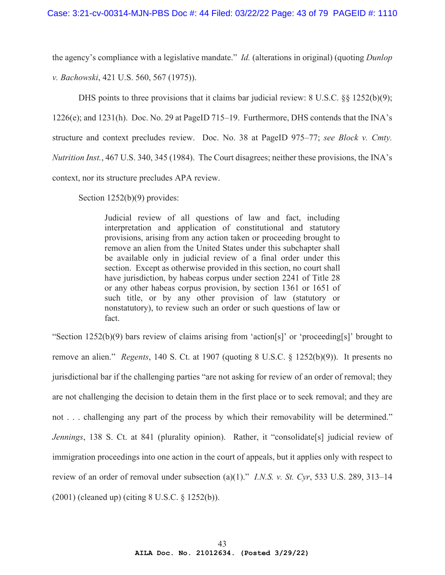the agency's compliance with a legislative mandate." *Id.* (alterations in original) (quoting *Dunlop* 

*v. Bachowski*, 421 U.S. 560, 567 (1975)).

DHS points to three provisions that it claims bar judicial review: 8 U.S.C. §§ 1252(b)(9);

1226(e); and 1231(h). Doc. No. 29 at PageID 715–19. Furthermore, DHS contends that the INA's

structure and context precludes review. Doc. No. 38 at PageID 975–77; *see Block v. Cmty.* 

*Nutrition Inst.*, 467 U.S. 340, 345 (1984). The Court disagrees; neither these provisions, the INA's

context, nor its structure precludes APA review.

Section 1252(b)(9) provides:

Judicial review of all questions of law and fact, including interpretation and application of constitutional and statutory provisions, arising from any action taken or proceeding brought to remove an alien from the United States under this subchapter shall be available only in judicial review of a final order under this section. Except as otherwise provided in this section, no court shall have jurisdiction, by habeas corpus under section 2241 of Title 28 or any other habeas corpus provision, by section 1361 or 1651 of such title, or by any other provision of law (statutory or nonstatutory), to review such an order or such questions of law or fact.

"Section  $1252(b)(9)$  bars review of claims arising from 'action[s]' or 'proceeding[s]' brought to remove an alien." *Regents*, 140 S. Ct. at 1907 (quoting 8 U.S.C. § 1252(b)(9)). It presents no jurisdictional bar if the challenging parties "are not asking for review of an order of removal; they are not challenging the decision to detain them in the first place or to seek removal; and they are not . . . challenging any part of the process by which their removability will be determined." *Jennings*, 138 S. Ct. at 841 (plurality opinion). Rather, it "consolidate[s] judicial review of immigration proceedings into one action in the court of appeals, but it applies only with respect to review of an order of removal under subsection (a)(1)." *I.N.S. v. St. Cyr*, 533 U.S. 289, 313–14 (2001) (cleaned up) (citing 8 U.S.C. § 1252(b)).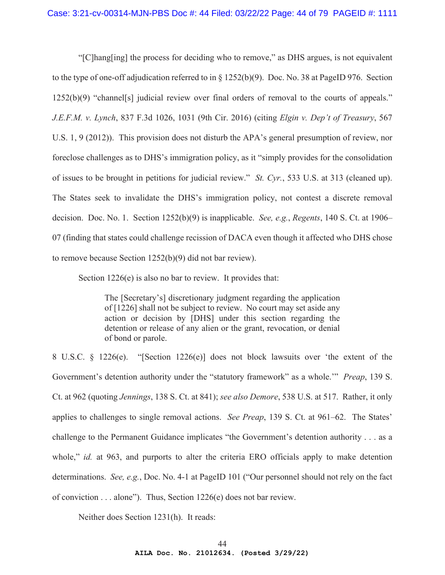"[C]hang[ing] the process for deciding who to remove," as DHS argues, is not equivalent to the type of one-off adjudication referred to in § 1252(b)(9). Doc. No. 38 at PageID 976. Section 1252(b)(9) "channel[s] judicial review over final orders of removal to the courts of appeals." *J.E.F.M. v. Lynch*, 837 F.3d 1026, 1031 (9th Cir. 2016) (citing *Elgin v. Dep't of Treasury*, 567 U.S. 1, 9 (2012)). This provision does not disturb the APA's general presumption of review, nor foreclose challenges as to DHS's immigration policy, as it "simply provides for the consolidation of issues to be brought in petitions for judicial review." *St. Cyr.*, 533 U.S. at 313 (cleaned up). The States seek to invalidate the DHS's immigration policy, not contest a discrete removal decision. Doc. No. 1. Section 1252(b)(9) is inapplicable. *See, e.g.*, *Regents*, 140 S. Ct. at 1906– 07 (finding that states could challenge recission of DACA even though it affected who DHS chose to remove because Section 1252(b)(9) did not bar review).

Section 1226(e) is also no bar to review. It provides that:

The [Secretary's] discretionary judgment regarding the application of [1226] shall not be subject to review. No court may set aside any action or decision by [DHS] under this section regarding the detention or release of any alien or the grant, revocation, or denial of bond or parole.

8 U.S.C. § 1226(e). "[Section 1226(e)] does not block lawsuits over 'the extent of the Government's detention authority under the "statutory framework" as a whole.'" *Preap*, 139 S. Ct. at 962 (quoting *Jennings*, 138 S. Ct. at 841); *see also Demore*, 538 U.S. at 517. Rather, it only applies to challenges to single removal actions. *See Preap*, 139 S. Ct. at 961–62. The States' challenge to the Permanent Guidance implicates "the Government's detention authority . . . as a whole," *id.* at 963, and purports to alter the criteria ERO officials apply to make detention determinations. *See, e.g.*, Doc. No. 4-1 at PageID 101 ("Our personnel should not rely on the fact of conviction . . . alone"). Thus, Section 1226(e) does not bar review.

Neither does Section 1231(h). It reads: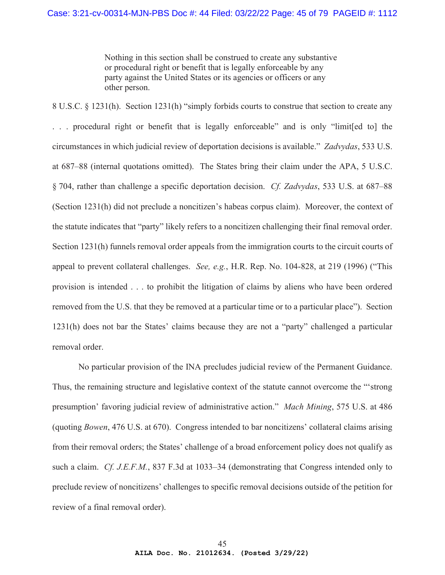Nothing in this section shall be construed to create any substantive or procedural right or benefit that is legally enforceable by any party against the United States or its agencies or officers or any other person.

8 U.S.C. § 1231(h). Section 1231(h) "simply forbids courts to construe that section to create any . . . procedural right or benefit that is legally enforceable" and is only "limit[ed to] the circumstances in which judicial review of deportation decisions is available." *Zadvydas*, 533 U.S. at 687–88 (internal quotations omitted). The States bring their claim under the APA, 5 U.S.C. § 704, rather than challenge a specific deportation decision. *Cf. Zadvydas*, 533 U.S. at 687–88 (Section 1231(h) did not preclude a noncitizen's habeas corpus claim). Moreover, the context of the statute indicates that "party" likely refers to a noncitizen challenging their final removal order. Section 1231(h) funnels removal order appeals from the immigration courts to the circuit courts of appeal to prevent collateral challenges. *See, e.g.*, H.R. Rep. No. 104-828, at 219 (1996) ("This provision is intended . . . to prohibit the litigation of claims by aliens who have been ordered removed from the U.S. that they be removed at a particular time or to a particular place"). Section 1231(h) does not bar the States' claims because they are not a "party" challenged a particular removal order.

No particular provision of the INA precludes judicial review of the Permanent Guidance. Thus, the remaining structure and legislative context of the statute cannot overcome the "'strong presumption' favoring judicial review of administrative action." *Mach Mining*, 575 U.S. at 486 (quoting *Bowen*, 476 U.S. at 670). Congress intended to bar noncitizens' collateral claims arising from their removal orders; the States' challenge of a broad enforcement policy does not qualify as such a claim. *Cf. J.E.F.M.*, 837 F.3d at 1033–34 (demonstrating that Congress intended only to preclude review of noncitizens' challenges to specific removal decisions outside of the petition for review of a final removal order).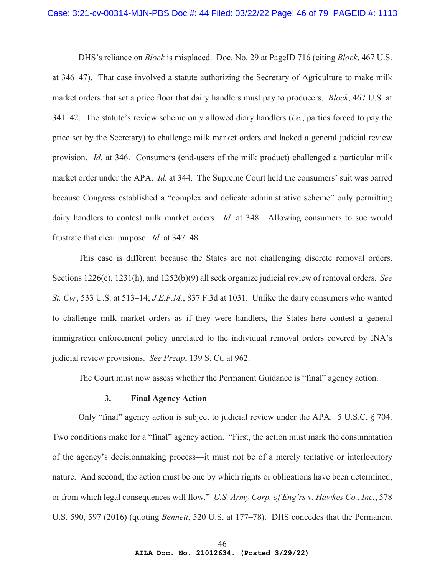DHS's reliance on *Block* is misplaced. Doc. No. 29 at PageID 716 (citing *Block*, 467 U.S. at 346–47). That case involved a statute authorizing the Secretary of Agriculture to make milk market orders that set a price floor that dairy handlers must pay to producers. *Block*, 467 U.S. at 341–42. The statute's review scheme only allowed diary handlers (*i.e.*, parties forced to pay the price set by the Secretary) to challenge milk market orders and lacked a general judicial review provision. *Id.* at 346. Consumers (end-users of the milk product) challenged a particular milk market order under the APA. *Id.* at 344. The Supreme Court held the consumers' suit was barred because Congress established a "complex and delicate administrative scheme" only permitting dairy handlers to contest milk market orders. *Id.* at 348. Allowing consumers to sue would frustrate that clear purpose. *Id.* at 347–48.

This case is different because the States are not challenging discrete removal orders. Sections 1226(e), 1231(h), and 1252(b)(9) all seek organize judicial review of removal orders. *See St. Cyr*, 533 U.S. at 513–14; *J.E.F.M.*, 837 F.3d at 1031. Unlike the dairy consumers who wanted to challenge milk market orders as if they were handlers, the States here contest a general immigration enforcement policy unrelated to the individual removal orders covered by INA's judicial review provisions. *See Preap*, 139 S. Ct. at 962.

The Court must now assess whether the Permanent Guidance is "final" agency action.

#### **3. Final Agency Action**

Only "final" agency action is subject to judicial review under the APA. 5 U.S.C. § 704. Two conditions make for a "final" agency action. "First, the action must mark the consummation of the agency's decisionmaking process—it must not be of a merely tentative or interlocutory nature. And second, the action must be one by which rights or obligations have been determined, or from which legal consequences will flow." *U.S. Army Corp. of Eng'rs v. Hawkes Co., Inc.*, 578 U.S. 590, 597 (2016) (quoting *Bennett*, 520 U.S. at 177–78). DHS concedes that the Permanent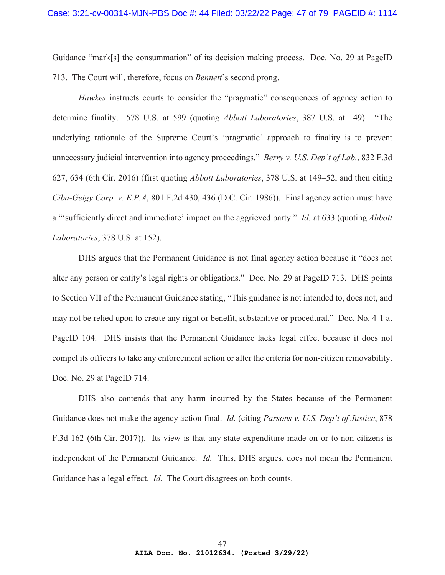Guidance "mark[s] the consummation" of its decision making process. Doc. No. 29 at PageID 713. The Court will, therefore, focus on *Bennett*'s second prong.

*Hawkes* instructs courts to consider the "pragmatic" consequences of agency action to determine finality. 578 U.S. at 599 (quoting *Abbott Laboratories*, 387 U.S. at 149). "The underlying rationale of the Supreme Court's 'pragmatic' approach to finality is to prevent unnecessary judicial intervention into agency proceedings." *Berry v. U.S. Dep't of Lab.*, 832 F.3d 627, 634 (6th Cir. 2016) (first quoting *Abbott Laboratories*, 378 U.S. at 149–52; and then citing *Ciba-Geigy Corp. v. E.P.A*, 801 F.2d 430, 436 (D.C. Cir. 1986)). Final agency action must have a "'sufficiently direct and immediate' impact on the aggrieved party." *Id.* at 633 (quoting *Abbott Laboratories*, 378 U.S. at 152).

DHS argues that the Permanent Guidance is not final agency action because it "does not alter any person or entity's legal rights or obligations." Doc. No. 29 at PageID 713. DHS points to Section VII of the Permanent Guidance stating, "This guidance is not intended to, does not, and may not be relied upon to create any right or benefit, substantive or procedural." Doc. No. 4-1 at PageID 104. DHS insists that the Permanent Guidance lacks legal effect because it does not compel its officers to take any enforcement action or alter the criteria for non-citizen removability. Doc. No. 29 at PageID 714.

DHS also contends that any harm incurred by the States because of the Permanent Guidance does not make the agency action final. *Id.* (citing *Parsons v. U.S. Dep't of Justice*, 878 F.3d 162 (6th Cir. 2017)). Its view is that any state expenditure made on or to non-citizens is independent of the Permanent Guidance. *Id.* This, DHS argues, does not mean the Permanent Guidance has a legal effect. *Id.* The Court disagrees on both counts.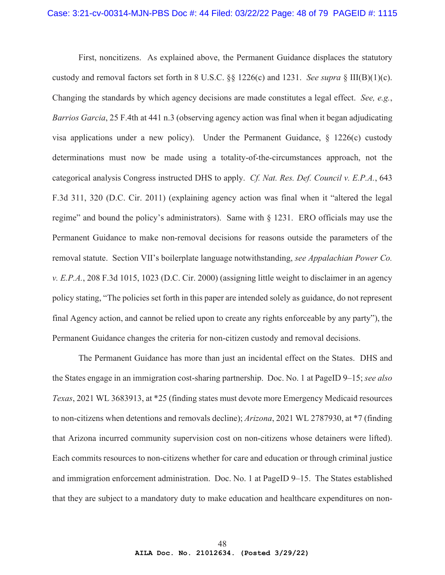First, noncitizens. As explained above, the Permanent Guidance displaces the statutory custody and removal factors set forth in 8 U.S.C. §§ 1226(c) and 1231. *See supra* § III(B)(1)(c). Changing the standards by which agency decisions are made constitutes a legal effect. *See, e.g.*, *Barrios Garcia*, 25 F.4th at 441 n.3 (observing agency action was final when it began adjudicating visa applications under a new policy). Under the Permanent Guidance, § 1226(c) custody determinations must now be made using a totality-of-the-circumstances approach, not the categorical analysis Congress instructed DHS to apply. *Cf. Nat. Res. Def. Council v. E.P.A.*, 643 F.3d 311, 320 (D.C. Cir. 2011) (explaining agency action was final when it "altered the legal regime" and bound the policy's administrators). Same with § 1231. ERO officials may use the Permanent Guidance to make non-removal decisions for reasons outside the parameters of the removal statute. Section VII's boilerplate language notwithstanding, *see Appalachian Power Co. v. E.P.A.*, 208 F.3d 1015, 1023 (D.C. Cir. 2000) (assigning little weight to disclaimer in an agency policy stating, "The policies set forth in this paper are intended solely as guidance, do not represent final Agency action, and cannot be relied upon to create any rights enforceable by any party"), the Permanent Guidance changes the criteria for non-citizen custody and removal decisions.

The Permanent Guidance has more than just an incidental effect on the States. DHS and the States engage in an immigration cost-sharing partnership. Doc. No. 1 at PageID 9–15; *see also Texas*, 2021 WL 3683913, at \*25 (finding states must devote more Emergency Medicaid resources to non-citizens when detentions and removals decline); *Arizona*, 2021 WL 2787930, at \*7 (finding that Arizona incurred community supervision cost on non-citizens whose detainers were lifted). Each commits resources to non-citizens whether for care and education or through criminal justice and immigration enforcement administration. Doc. No. 1 at PageID 9–15. The States established that they are subject to a mandatory duty to make education and healthcare expenditures on non-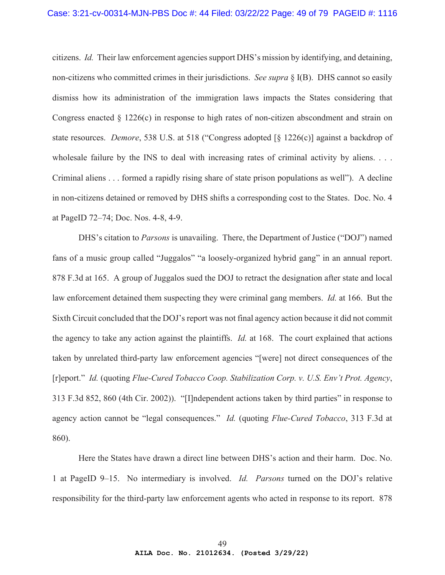### Case: 3:21-cv-00314-MJN-PBS Doc #: 44 Filed: 03/22/22 Page: 49 of 79 PAGEID #: 1116

citizens. *Id.* Their law enforcement agencies support DHS's mission by identifying, and detaining, non-citizens who committed crimes in their jurisdictions. *See supra* § I(B). DHS cannot so easily dismiss how its administration of the immigration laws impacts the States considering that Congress enacted § 1226(c) in response to high rates of non-citizen abscondment and strain on state resources. *Demore*, 538 U.S. at 518 ("Congress adopted [§ 1226(c)] against a backdrop of wholesale failure by the INS to deal with increasing rates of criminal activity by aliens. . . . Criminal aliens . . . formed a rapidly rising share of state prison populations as well"). A decline in non-citizens detained or removed by DHS shifts a corresponding cost to the States. Doc. No. 4 at PageID 72–74; Doc. Nos. 4-8, 4-9.

DHS's citation to *Parsons* is unavailing. There, the Department of Justice ("DOJ") named fans of a music group called "Juggalos" "a loosely-organized hybrid gang" in an annual report. 878 F.3d at 165. A group of Juggalos sued the DOJ to retract the designation after state and local law enforcement detained them suspecting they were criminal gang members. *Id.* at 166. But the Sixth Circuit concluded that the DOJ's report was not final agency action because it did not commit the agency to take any action against the plaintiffs. *Id.* at 168. The court explained that actions taken by unrelated third-party law enforcement agencies "[were] not direct consequences of the [r]eport." *Id.* (quoting *Flue-Cured Tobacco Coop. Stabilization Corp. v. U.S. Env't Prot. Agency*, 313 F.3d 852, 860 (4th Cir. 2002)). "[I]ndependent actions taken by third parties" in response to agency action cannot be "legal consequences." *Id.* (quoting *Flue-Cured Tobacco*, 313 F.3d at 860).

Here the States have drawn a direct line between DHS's action and their harm. Doc. No. 1 at PageID 9–15. No intermediary is involved. *Id. Parsons* turned on the DOJ's relative responsibility for the third-party law enforcement agents who acted in response to its report. 878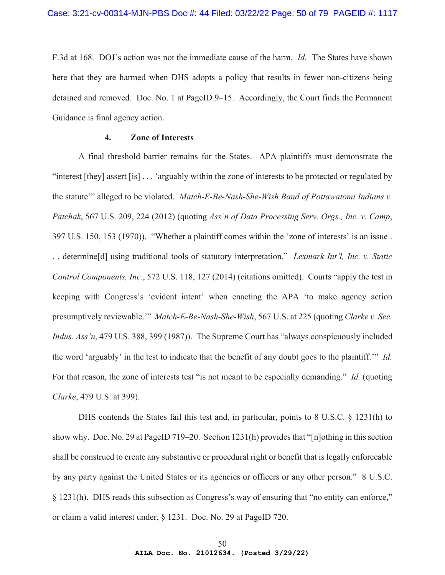F.3d at 168. DOJ's action was not the immediate cause of the harm. *Id.* The States have shown here that they are harmed when DHS adopts a policy that results in fewer non-citizens being detained and removed. Doc. No. 1 at PageID 9–15. Accordingly, the Court finds the Permanent Guidance is final agency action.

# **4. Zone of Interests**

A final threshold barrier remains for the States. APA plaintiffs must demonstrate the "interest [they] assert [is] . . . 'arguably within the zone of interests to be protected or regulated by the statute'" alleged to be violated. *Match-E-Be-Nash-She-Wish Band of Pottawatomi Indians v. Patchak*, 567 U.S. 209, 224 (2012) (quoting *Ass'n of Data Processing Serv. Orgs., Inc. v. Camp*, 397 U.S. 150, 153 (1970)). "Whether a plaintiff comes within the 'zone of interests' is an issue . . . determine[d] using traditional tools of statutory interpretation." *Lexmark Int'l, Inc. v. Static Control Components, Inc.*, 572 U.S. 118, 127 (2014) (citations omitted). Courts "apply the test in keeping with Congress's 'evident intent' when enacting the APA 'to make agency action presumptively reviewable.'" *Match-E-Be-Nash-She-Wish*, 567 U.S. at 225 (quoting *Clarke v. Sec. Indus. Ass'n*, 479 U.S. 388, 399 (1987)). The Supreme Court has "always conspicuously included the word 'arguably' in the test to indicate that the benefit of any doubt goes to the plaintiff.'" *Id.* For that reason, the zone of interests test "is not meant to be especially demanding." *Id.* (quoting *Clarke*, 479 U.S. at 399).

DHS contends the States fail this test and, in particular, points to 8 U.S.C. § 1231(h) to show why. Doc. No. 29 at PageID 719–20. Section 1231(h) provides that "[n]othing in this section shall be construed to create any substantive or procedural right or benefit that is legally enforceable by any party against the United States or its agencies or officers or any other person." 8 U.S.C. § 1231(h). DHS reads this subsection as Congress's way of ensuring that "no entity can enforce," or claim a valid interest under, § 1231. Doc. No. 29 at PageID 720.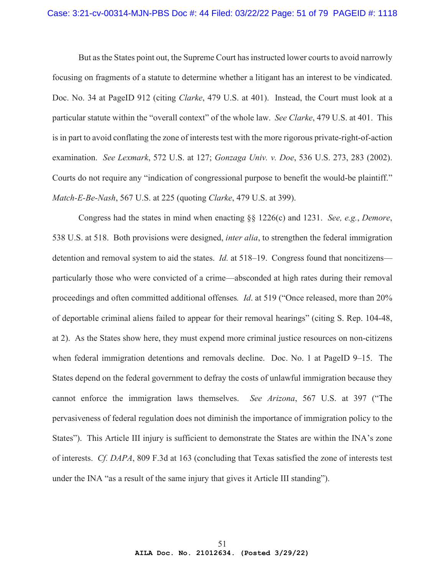But as the States point out, the Supreme Court has instructed lower courts to avoid narrowly focusing on fragments of a statute to determine whether a litigant has an interest to be vindicated. Doc. No. 34 at PageID 912 (citing *Clarke*, 479 U.S. at 401). Instead, the Court must look at a particular statute within the "overall context" of the whole law. *See Clarke*, 479 U.S. at 401. This is in part to avoid conflating the zone of interests test with the more rigorous private-right-of-action examination. *See Lexmark*, 572 U.S. at 127; *Gonzaga Univ. v. Doe*, 536 U.S. 273, 283 (2002). Courts do not require any "indication of congressional purpose to benefit the would-be plaintiff." *Match-E-Be-Nash*, 567 U.S. at 225 (quoting *Clarke*, 479 U.S. at 399).

Congress had the states in mind when enacting §§ 1226(c) and 1231. *See, e.g.*, *Demore*, 538 U.S. at 518. Both provisions were designed, *inter alia*, to strengthen the federal immigration detention and removal system to aid the states. *Id.* at 518–19. Congress found that noncitizens particularly those who were convicted of a crime—absconded at high rates during their removal proceedings and often committed additional offenses*. Id*. at 519 ("Once released, more than 20% of deportable criminal aliens failed to appear for their removal hearings" (citing S. Rep. 104-48, at 2). As the States show here, they must expend more criminal justice resources on non-citizens when federal immigration detentions and removals decline. Doc. No. 1 at PageID 9–15. The States depend on the federal government to defray the costs of unlawful immigration because they cannot enforce the immigration laws themselves. *See Arizona*, 567 U.S. at 397 ("The pervasiveness of federal regulation does not diminish the importance of immigration policy to the States"). This Article III injury is sufficient to demonstrate the States are within the INA's zone of interests. *Cf. DAPA*, 809 F.3d at 163 (concluding that Texas satisfied the zone of interests test under the INA "as a result of the same injury that gives it Article III standing").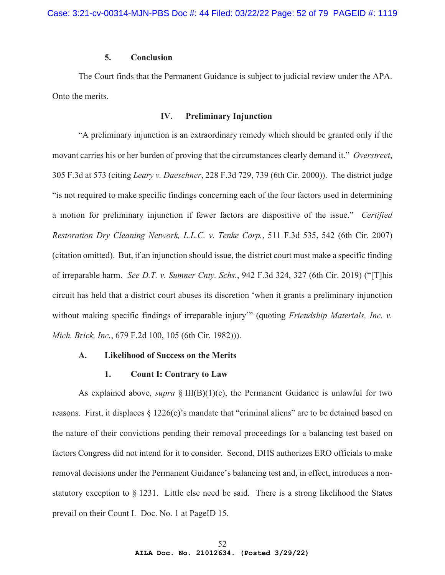# **5. Conclusion**

The Court finds that the Permanent Guidance is subject to judicial review under the APA. Onto the merits.

## **IV. Preliminary Injunction**

"A preliminary injunction is an extraordinary remedy which should be granted only if the movant carries his or her burden of proving that the circumstances clearly demand it." *Overstreet*, 305 F.3d at 573 (citing *Leary v. Daeschner*, 228 F.3d 729, 739 (6th Cir. 2000)). The district judge "is not required to make specific findings concerning each of the four factors used in determining a motion for preliminary injunction if fewer factors are dispositive of the issue." *Certified Restoration Dry Cleaning Network, L.L.C. v. Tenke Corp.*, 511 F.3d 535, 542 (6th Cir. 2007) (citation omitted). But, if an injunction should issue, the district court must make a specific finding of irreparable harm. *See D.T. v. Sumner Cnty. Schs.*, 942 F.3d 324, 327 (6th Cir. 2019) ("[T]his circuit has held that a district court abuses its discretion 'when it grants a preliminary injunction without making specific findings of irreparable injury" (quoting *Friendship Materials, Inc. v. Mich. Brick, Inc.*, 679 F.2d 100, 105 (6th Cir. 1982))).

## **A. Likelihood of Success on the Merits**

#### **1. Count I: Contrary to Law**

As explained above, *supra* § III(B)(1)(c), the Permanent Guidance is unlawful for two reasons. First, it displaces § 1226(c)'s mandate that "criminal aliens" are to be detained based on the nature of their convictions pending their removal proceedings for a balancing test based on factors Congress did not intend for it to consider. Second, DHS authorizes ERO officials to make removal decisions under the Permanent Guidance's balancing test and, in effect, introduces a nonstatutory exception to § 1231. Little else need be said. There is a strong likelihood the States prevail on their Count I. Doc. No. 1 at PageID 15.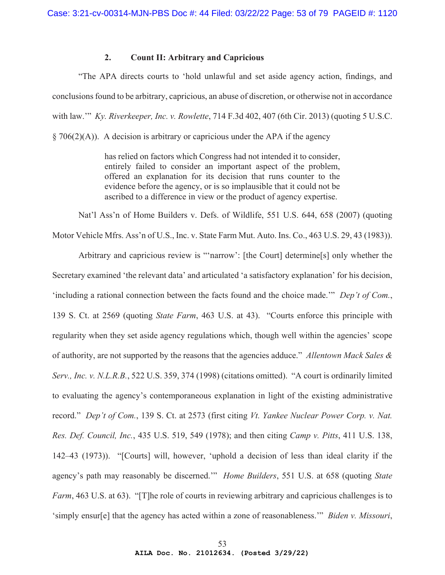## **2. Count II: Arbitrary and Capricious**

"The APA directs courts to 'hold unlawful and set aside agency action, findings, and conclusions found to be arbitrary, capricious, an abuse of discretion, or otherwise not in accordance with law.'" *Ky. Riverkeeper, Inc. v. Rowlette*, 714 F.3d 402, 407 (6th Cir. 2013) (quoting 5 U.S.C.

 $\S 706(2)(A)$ ). A decision is arbitrary or capricious under the APA if the agency

has relied on factors which Congress had not intended it to consider, entirely failed to consider an important aspect of the problem, offered an explanation for its decision that runs counter to the evidence before the agency, or is so implausible that it could not be ascribed to a difference in view or the product of agency expertise.

Nat'l Ass'n of Home Builders v. Defs. of Wildlife, 551 U.S. 644, 658 (2007) (quoting Motor Vehicle Mfrs. Ass'n of U.S., Inc. v. State Farm Mut. Auto. Ins. Co., 463 U.S. 29, 43 (1983)).

Arbitrary and capricious review is "'narrow': [the Court] determine[s] only whether the Secretary examined 'the relevant data' and articulated 'a satisfactory explanation' for his decision, 'including a rational connection between the facts found and the choice made.'" *Dep't of Com.*, 139 S. Ct. at 2569 (quoting *State Farm*, 463 U.S. at 43). "Courts enforce this principle with regularity when they set aside agency regulations which, though well within the agencies' scope of authority, are not supported by the reasons that the agencies adduce." *Allentown Mack Sales & Serv., Inc. v. N.L.R.B.*, 522 U.S. 359, 374 (1998) (citations omitted). "A court is ordinarily limited to evaluating the agency's contemporaneous explanation in light of the existing administrative record." *Dep't of Com.*, 139 S. Ct. at 2573 (first citing *Vt. Yankee Nuclear Power Corp. v. Nat. Res. Def. Council, Inc.*, 435 U.S. 519, 549 (1978); and then citing *Camp v. Pitts*, 411 U.S. 138, 142–43 (1973)). "[Courts] will, however, 'uphold a decision of less than ideal clarity if the agency's path may reasonably be discerned.'" *Home Builders*, 551 U.S. at 658 (quoting *State Farm*, 463 U.S. at 63). "[T]he role of courts in reviewing arbitrary and capricious challenges is to 'simply ensur[e] that the agency has acted within a zone of reasonableness.'" *Biden v. Missouri*,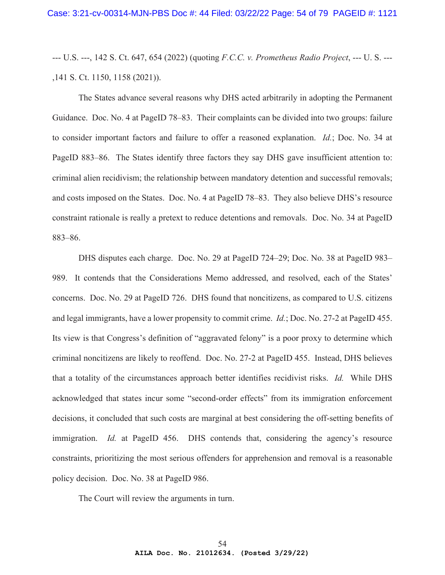--- U.S. ---, 142 S. Ct. 647, 654 (2022) (quoting *F.C.C. v. Prometheus Radio Project*, --- U. S. --- ,141 S. Ct. 1150, 1158 (2021)).

The States advance several reasons why DHS acted arbitrarily in adopting the Permanent Guidance. Doc. No. 4 at PageID 78–83. Their complaints can be divided into two groups: failure to consider important factors and failure to offer a reasoned explanation. *Id.*; Doc. No. 34 at PageID 883–86. The States identify three factors they say DHS gave insufficient attention to: criminal alien recidivism; the relationship between mandatory detention and successful removals; and costs imposed on the States. Doc. No. 4 at PageID 78–83. They also believe DHS's resource constraint rationale is really a pretext to reduce detentions and removals. Doc. No. 34 at PageID 883–86.

DHS disputes each charge. Doc. No. 29 at PageID 724–29; Doc. No. 38 at PageID 983– 989. It contends that the Considerations Memo addressed, and resolved, each of the States' concerns. Doc. No. 29 at PageID 726. DHS found that noncitizens, as compared to U.S. citizens and legal immigrants, have a lower propensity to commit crime. *Id.*; Doc. No. 27-2 at PageID 455. Its view is that Congress's definition of "aggravated felony" is a poor proxy to determine which criminal noncitizens are likely to reoffend. Doc. No. 27-2 at PageID 455. Instead, DHS believes that a totality of the circumstances approach better identifies recidivist risks. *Id.* While DHS acknowledged that states incur some "second-order effects" from its immigration enforcement decisions, it concluded that such costs are marginal at best considering the off-setting benefits of immigration. *Id.* at PageID 456. DHS contends that, considering the agency's resource constraints, prioritizing the most serious offenders for apprehension and removal is a reasonable policy decision. Doc. No. 38 at PageID 986.

The Court will review the arguments in turn.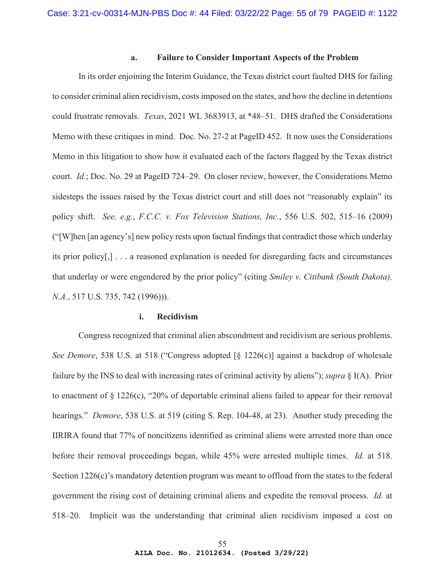## **a. Failure to Consider Important Aspects of the Problem**

In its order enjoining the Interim Guidance, the Texas district court faulted DHS for failing to consider criminal alien recidivism, costs imposed on the states, and how the decline in detentions could frustrate removals. *Texas*, 2021 WL 3683913, at \*48–51. DHS drafted the Considerations Memo with these critiques in mind. Doc. No. 27-2 at PageID 452. It now uses the Considerations Memo in this litigation to show how it evaluated each of the factors flagged by the Texas district court. *Id.*; Doc. No. 29 at PageID 724–29. On closer review, however, the Considerations Memo sidesteps the issues raised by the Texas district court and still does not "reasonably explain" its policy shift. *See, e.g.*, *F.C.C. v. Fox Television Stations, Inc.*, 556 U.S. 502, 515–16 (2009) ("[W]hen [an agency's] new policy rests upon factual findings that contradict those which underlay its prior policy[,] . . . a reasoned explanation is needed for disregarding facts and circumstances that underlay or were engendered by the prior policy" (citing *Smiley v. Citibank (South Dakota), N.A.*, 517 U.S. 735, 742 (1996)).

#### **i. Recidivism**

Congress recognized that criminal alien abscondment and recidivism are serious problems. *See Demore*, 538 U.S. at 518 ("Congress adopted [§ 1226(c)] against a backdrop of wholesale failure by the INS to deal with increasing rates of criminal activity by aliens"); *supra* § I(A). Prior to enactment of  $\S 1226(c)$ , "20% of deportable criminal aliens failed to appear for their removal hearings." *Demore*, 538 U.S. at 519 (citing S. Rep. 104-48, at 23). Another study preceding the IIRIRA found that 77% of noncitizens identified as criminal aliens were arrested more than once before their removal proceedings began, while 45% were arrested multiple times. *Id.* at 518. Section 1226(c)'s mandatory detention program was meant to offload from the states to the federal government the rising cost of detaining criminal aliens and expedite the removal process. *Id.* at 518–20. Implicit was the understanding that criminal alien recidivism imposed a cost on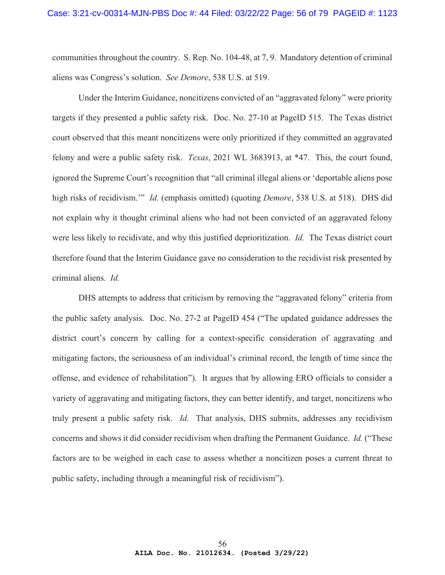communities throughout the country. S. Rep. No. 104-48, at 7, 9. Mandatory detention of criminal aliens was Congress's solution. *See Demore*, 538 U.S. at 519.

Under the Interim Guidance, noncitizens convicted of an "aggravated felony" were priority targets if they presented a public safety risk. Doc. No. 27-10 at PageID 515. The Texas district court observed that this meant noncitizens were only prioritized if they committed an aggravated felony and were a public safety risk. *Texas*, 2021 WL 3683913, at \*47. This, the court found, ignored the Supreme Court's recognition that "all criminal illegal aliens or 'deportable aliens pose high risks of recidivism.'" *Id.* (emphasis omitted) (quoting *Demore*, 538 U.S. at 518). DHS did not explain why it thought criminal aliens who had not been convicted of an aggravated felony were less likely to recidivate, and why this justified deprioritization. *Id.* The Texas district court therefore found that the Interim Guidance gave no consideration to the recidivist risk presented by criminal aliens. *Id.*

DHS attempts to address that criticism by removing the "aggravated felony" criteria from the public safety analysis. Doc. No. 27-2 at PageID 454 ("The updated guidance addresses the district court's concern by calling for a context-specific consideration of aggravating and mitigating factors, the seriousness of an individual's criminal record, the length of time since the offense, and evidence of rehabilitation"). It argues that by allowing ERO officials to consider a variety of aggravating and mitigating factors, they can better identify, and target, noncitizens who truly present a public safety risk. *Id.* That analysis, DHS submits, addresses any recidivism concerns and shows it did consider recidivism when drafting the Permanent Guidance. *Id.* ("These factors are to be weighed in each case to assess whether a noncitizen poses a current threat to public safety, including through a meaningful risk of recidivism").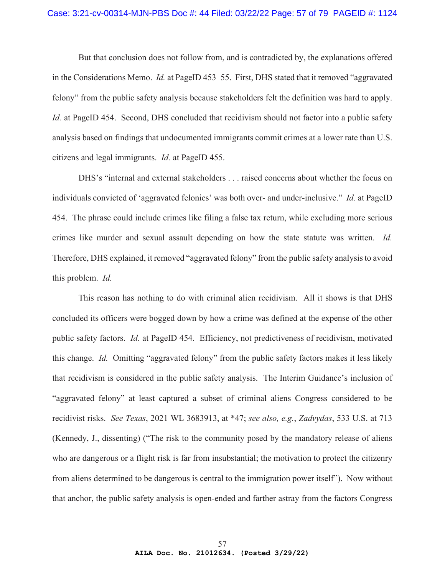#### Case: 3:21-cv-00314-MJN-PBS Doc #: 44 Filed: 03/22/22 Page: 57 of 79 PAGEID #: 1124

But that conclusion does not follow from, and is contradicted by, the explanations offered in the Considerations Memo. *Id.* at PageID 453–55. First, DHS stated that it removed "aggravated felony" from the public safety analysis because stakeholders felt the definition was hard to apply. *Id.* at PageID 454. Second, DHS concluded that recidivism should not factor into a public safety analysis based on findings that undocumented immigrants commit crimes at a lower rate than U.S. citizens and legal immigrants. *Id.* at PageID 455.

DHS's "internal and external stakeholders . . . raised concerns about whether the focus on individuals convicted of 'aggravated felonies' was both over- and under-inclusive." *Id.* at PageID 454. The phrase could include crimes like filing a false tax return, while excluding more serious crimes like murder and sexual assault depending on how the state statute was written. *Id.* Therefore, DHS explained, it removed "aggravated felony" from the public safety analysis to avoid this problem. *Id.*

This reason has nothing to do with criminal alien recidivism. All it shows is that DHS concluded its officers were bogged down by how a crime was defined at the expense of the other public safety factors. *Id.* at PageID 454. Efficiency, not predictiveness of recidivism, motivated this change. *Id.* Omitting "aggravated felony" from the public safety factors makes it less likely that recidivism is considered in the public safety analysis. The Interim Guidance's inclusion of "aggravated felony" at least captured a subset of criminal aliens Congress considered to be recidivist risks. *See Texas*, 2021 WL 3683913, at \*47; *see also, e.g.*, *Zadvydas*, 533 U.S. at 713 (Kennedy, J., dissenting) ("The risk to the community posed by the mandatory release of aliens who are dangerous or a flight risk is far from insubstantial; the motivation to protect the citizenry from aliens determined to be dangerous is central to the immigration power itself"). Now without that anchor, the public safety analysis is open-ended and farther astray from the factors Congress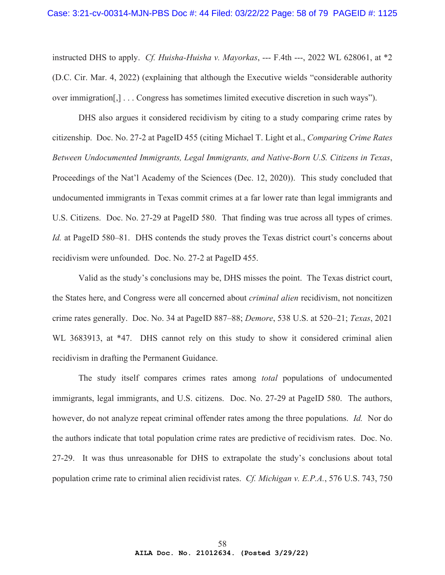instructed DHS to apply. *Cf. Huisha-Huisha v. Mayorkas*, --- F.4th ---, 2022 WL 628061, at \*2 (D.C. Cir. Mar. 4, 2022) (explaining that although the Executive wields "considerable authority over immigration[,] . . . Congress has sometimes limited executive discretion in such ways").

DHS also argues it considered recidivism by citing to a study comparing crime rates by citizenship. Doc. No. 27-2 at PageID 455 (citing Michael T. Light et al., *Comparing Crime Rates Between Undocumented Immigrants, Legal Immigrants, and Native-Born U.S. Citizens in Texas*, Proceedings of the Nat'l Academy of the Sciences (Dec. 12, 2020)). This study concluded that undocumented immigrants in Texas commit crimes at a far lower rate than legal immigrants and U.S. Citizens. Doc. No. 27-29 at PageID 580. That finding was true across all types of crimes. *Id.* at PageID 580–81. DHS contends the study proves the Texas district court's concerns about recidivism were unfounded. Doc. No. 27-2 at PageID 455.

Valid as the study's conclusions may be, DHS misses the point. The Texas district court, the States here, and Congress were all concerned about *criminal alien* recidivism, not noncitizen crime rates generally. Doc. No. 34 at PageID 887–88; *Demore*, 538 U.S. at 520–21; *Texas*, 2021 WL 3683913, at \*47. DHS cannot rely on this study to show it considered criminal alien recidivism in drafting the Permanent Guidance.

The study itself compares crimes rates among *total* populations of undocumented immigrants, legal immigrants, and U.S. citizens. Doc. No. 27-29 at PageID 580. The authors, however, do not analyze repeat criminal offender rates among the three populations. *Id.* Nor do the authors indicate that total population crime rates are predictive of recidivism rates. Doc. No. 27-29. It was thus unreasonable for DHS to extrapolate the study's conclusions about total population crime rate to criminal alien recidivist rates. *Cf. Michigan v. E.P.A.*, 576 U.S. 743, 750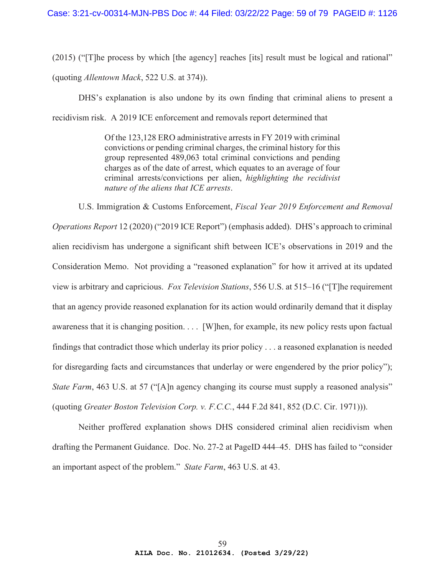(2015) ("[T]he process by which [the agency] reaches [its] result must be logical and rational"

(quoting *Allentown Mack*, 522 U.S. at 374)).

DHS's explanation is also undone by its own finding that criminal aliens to present a recidivism risk. A 2019 ICE enforcement and removals report determined that

> Of the 123,128 ERO administrative arrests in FY 2019 with criminal convictions or pending criminal charges, the criminal history for this group represented 489,063 total criminal convictions and pending charges as of the date of arrest, which equates to an average of four criminal arrests/convictions per alien, *highlighting the recidivist nature of the aliens that ICE arrests*.

U.S. Immigration & Customs Enforcement, *Fiscal Year 2019 Enforcement and Removal Operations Report* 12 (2020) ("2019 ICE Report") (emphasis added). DHS's approach to criminal alien recidivism has undergone a significant shift between ICE's observations in 2019 and the Consideration Memo. Not providing a "reasoned explanation" for how it arrived at its updated view is arbitrary and capricious. *Fox Television Stations*, 556 U.S. at 515–16 ("[T]he requirement that an agency provide reasoned explanation for its action would ordinarily demand that it display awareness that it is changing position. . . . [W]hen, for example, its new policy rests upon factual findings that contradict those which underlay its prior policy . . . a reasoned explanation is needed for disregarding facts and circumstances that underlay or were engendered by the prior policy"); *State Farm*, 463 U.S. at 57 ("[A]n agency changing its course must supply a reasoned analysis" (quoting *Greater Boston Television Corp. v. F.C.C.*, 444 F.2d 841, 852 (D.C. Cir. 1971))).

Neither proffered explanation shows DHS considered criminal alien recidivism when drafting the Permanent Guidance. Doc. No. 27-2 at PageID 444–45. DHS has failed to "consider an important aspect of the problem." *State Farm*, 463 U.S. at 43.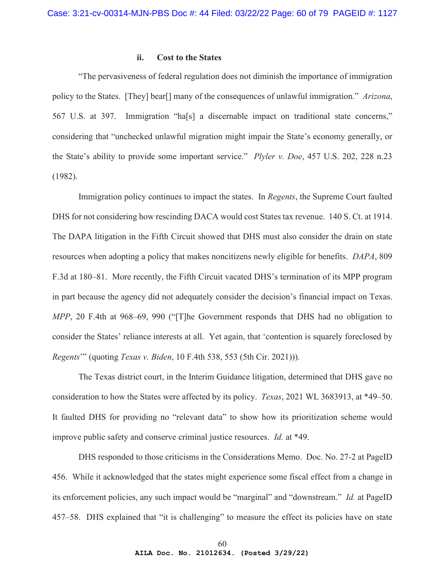# **ii. Cost to the States**

"The pervasiveness of federal regulation does not diminish the importance of immigration policy to the States. [They] bear[] many of the consequences of unlawful immigration." *Arizona*, 567 U.S. at 397. Immigration "ha[s] a discernable impact on traditional state concerns," considering that "unchecked unlawful migration might impair the State's economy generally, or the State's ability to provide some important service." *Plyler v. Doe*, 457 U.S. 202, 228 n.23 (1982).

Immigration policy continues to impact the states. In *Regents*, the Supreme Court faulted DHS for not considering how rescinding DACA would cost States tax revenue. 140 S. Ct. at 1914. The DAPA litigation in the Fifth Circuit showed that DHS must also consider the drain on state resources when adopting a policy that makes noncitizens newly eligible for benefits. *DAPA*, 809 F.3d at 180–81. More recently, the Fifth Circuit vacated DHS's termination of its MPP program in part because the agency did not adequately consider the decision's financial impact on Texas. *MPP*, 20 F.4th at 968–69, 990 ("[T]he Government responds that DHS had no obligation to consider the States' reliance interests at all. Yet again, that 'contention is squarely foreclosed by *Regents*'" (quoting *Texas v. Biden*, 10 F.4th 538, 553 (5th Cir. 2021))).

The Texas district court, in the Interim Guidance litigation, determined that DHS gave no consideration to how the States were affected by its policy. *Texas*, 2021 WL 3683913, at \*49–50. It faulted DHS for providing no "relevant data" to show how its prioritization scheme would improve public safety and conserve criminal justice resources. *Id.* at \*49.

DHS responded to those criticisms in the Considerations Memo. Doc. No. 27-2 at PageID 456. While it acknowledged that the states might experience some fiscal effect from a change in its enforcement policies, any such impact would be "marginal" and "downstream." *Id.* at PageID 457–58. DHS explained that "it is challenging" to measure the effect its policies have on state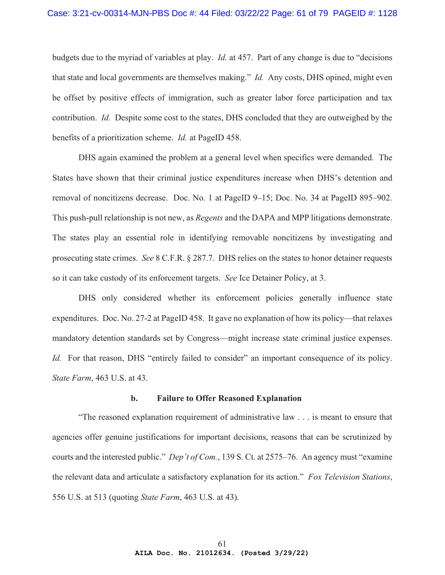budgets due to the myriad of variables at play. *Id.* at 457. Part of any change is due to "decisions that state and local governments are themselves making." *Id.* Any costs, DHS opined, might even be offset by positive effects of immigration, such as greater labor force participation and tax contribution. *Id.* Despite some cost to the states, DHS concluded that they are outweighed by the benefits of a prioritization scheme. *Id.* at PageID 458.

DHS again examined the problem at a general level when specifics were demanded. The States have shown that their criminal justice expenditures increase when DHS's detention and removal of noncitizens decrease. Doc. No. 1 at PageID 9–15; Doc. No. 34 at PageID 895–902. This push-pull relationship is not new, as *Regents* and the DAPA and MPP litigations demonstrate. The states play an essential role in identifying removable noncitizens by investigating and prosecuting state crimes. *See* 8 C.F.R. § 287.7. DHS relies on the states to honor detainer requests so it can take custody of its enforcement targets. *See* Ice Detainer Policy, at 3.

DHS only considered whether its enforcement policies generally influence state expenditures. Doc. No. 27-2 at PageID 458. It gave no explanation of how its policy—that relaxes mandatory detention standards set by Congress—might increase state criminal justice expenses. *Id.* For that reason, DHS "entirely failed to consider" an important consequence of its policy. *State Farm*, 463 U.S. at 43.

## **b. Failure to Offer Reasoned Explanation**

"The reasoned explanation requirement of administrative law . . . is meant to ensure that agencies offer genuine justifications for important decisions, reasons that can be scrutinized by courts and the interested public." *Dep't of Com.*, 139 S. Ct. at 2575–76. An agency must "examine the relevant data and articulate a satisfactory explanation for its action." *Fox Television Stations*, 556 U.S. at 513 (quoting *State Farm*, 463 U.S. at 43).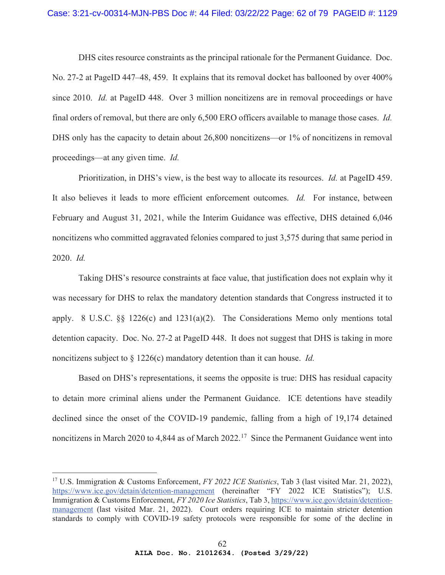## Case: 3:21-cv-00314-MJN-PBS Doc #: 44 Filed: 03/22/22 Page: 62 of 79 PAGEID #: 1129

DHS cites resource constraints as the principal rationale for the Permanent Guidance. Doc. No. 27-2 at PageID 447–48, 459. It explains that its removal docket has ballooned by over 400% since 2010. *Id.* at PageID 448. Over 3 million noncitizens are in removal proceedings or have final orders of removal, but there are only 6,500 ERO officers available to manage those cases. *Id.* DHS only has the capacity to detain about 26,800 noncitizens—or 1% of noncitizens in removal proceedings—at any given time. *Id.*

Prioritization, in DHS's view, is the best way to allocate its resources. *Id.* at PageID 459. It also believes it leads to more efficient enforcement outcomes. *Id.* For instance, between February and August 31, 2021, while the Interim Guidance was effective, DHS detained 6,046 noncitizens who committed aggravated felonies compared to just 3,575 during that same period in 2020. *Id.*

Taking DHS's resource constraints at face value, that justification does not explain why it was necessary for DHS to relax the mandatory detention standards that Congress instructed it to apply. 8 U.S.C. §§ 1226(c) and 1231(a)(2). The Considerations Memo only mentions total detention capacity. Doc. No. 27-2 at PageID 448. It does not suggest that DHS is taking in more noncitizens subject to § 1226(c) mandatory detention than it can house. *Id.*

Based on DHS's representations, it seems the opposite is true: DHS has residual capacity to detain more criminal aliens under the Permanent Guidance. ICE detentions have steadily declined since the onset of the COVID-19 pandemic, falling from a high of 19,174 detained noncitizens in March 2020 to 4,844 as of March 2022.<sup>17</sup> Since the Permanent Guidance went into

<sup>17</sup> U.S. Immigration & Customs Enforcement, *FY 2022 ICE Statistics*, Tab 3 (last visited Mar. 21, 2022), https://www.ice.gov/detain/detention-management (hereinafter "FY 2022 ICE Statistics"); U.S. Immigration & Customs Enforcement, *FY 2020 Ice Statistics*, Tab 3, https://www.ice.gov/detain/detentionmanagement (last visited Mar. 21, 2022). Court orders requiring ICE to maintain stricter detention standards to comply with COVID-19 safety protocols were responsible for some of the decline in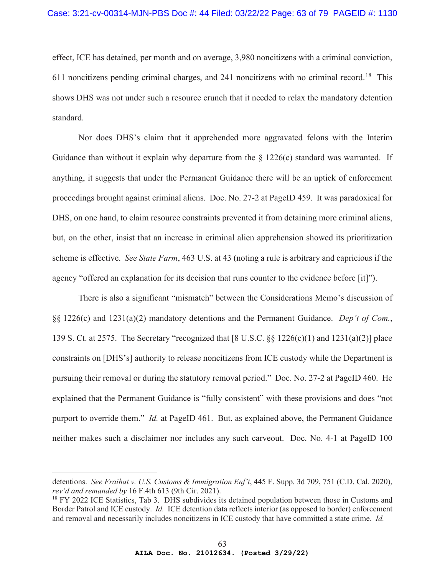effect, ICE has detained, per month and on average, 3,980 noncitizens with a criminal conviction, 611 noncitizens pending criminal charges, and 241 noncitizens with no criminal record.<sup>18</sup> This shows DHS was not under such a resource crunch that it needed to relax the mandatory detention standard.

Nor does DHS's claim that it apprehended more aggravated felons with the Interim Guidance than without it explain why departure from the  $\S$  1226(c) standard was warranted. If anything, it suggests that under the Permanent Guidance there will be an uptick of enforcement proceedings brought against criminal aliens. Doc. No. 27-2 at PageID 459. It was paradoxical for DHS, on one hand, to claim resource constraints prevented it from detaining more criminal aliens, but, on the other, insist that an increase in criminal alien apprehension showed its prioritization scheme is effective. *See State Farm*, 463 U.S. at 43 (noting a rule is arbitrary and capricious if the agency "offered an explanation for its decision that runs counter to the evidence before [it]").

There is also a significant "mismatch" between the Considerations Memo's discussion of §§ 1226(c) and 1231(a)(2) mandatory detentions and the Permanent Guidance. *Dep't of Com.*, 139 S. Ct. at 2575. The Secretary "recognized that [8 U.S.C. §§ 1226(c)(1) and 1231(a)(2)] place constraints on [DHS's] authority to release noncitizens from ICE custody while the Department is pursuing their removal or during the statutory removal period." Doc. No. 27-2 at PageID 460. He explained that the Permanent Guidance is "fully consistent" with these provisions and does "not purport to override them." *Id.* at PageID 461. But, as explained above, the Permanent Guidance neither makes such a disclaimer nor includes any such carveout. Doc. No. 4-1 at PageID 100

detentions. *See Fraihat v. U.S. Customs & Immigration Enf't*, 445 F. Supp. 3d 709, 751 (C.D. Cal. 2020), *rev'd and remanded by* 16 F.4th 613 (9th Cir. 2021).

<sup>&</sup>lt;sup>18</sup> FY 2022 ICE Statistics, Tab 3. DHS subdivides its detained population between those in Customs and Border Patrol and ICE custody. *Id.* ICE detention data reflects interior (as opposed to border) enforcement and removal and necessarily includes noncitizens in ICE custody that have committed a state crime. *Id.*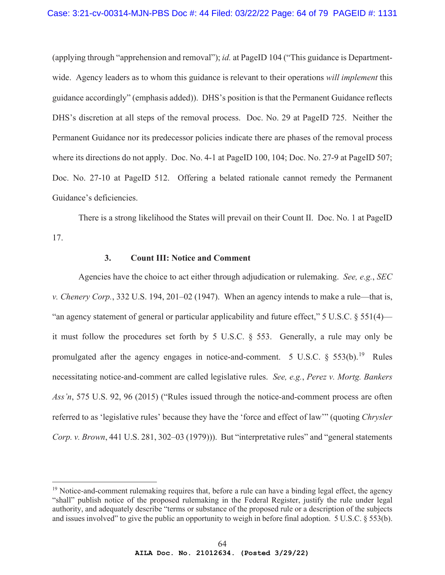(applying through "apprehension and removal"); *id.* at PageID 104 ("This guidance is Departmentwide. Agency leaders as to whom this guidance is relevant to their operations *will implement* this guidance accordingly" (emphasis added)). DHS's position is that the Permanent Guidance reflects DHS's discretion at all steps of the removal process. Doc. No. 29 at PageID 725. Neither the Permanent Guidance nor its predecessor policies indicate there are phases of the removal process where its directions do not apply. Doc. No. 4-1 at PageID 100, 104; Doc. No. 27-9 at PageID 507; Doc. No. 27-10 at PageID 512. Offering a belated rationale cannot remedy the Permanent Guidance's deficiencies.

There is a strong likelihood the States will prevail on their Count II. Doc. No. 1 at PageID 17.

# **3. Count III: Notice and Comment**

Agencies have the choice to act either through adjudication or rulemaking. *See, e.g.*, *SEC v. Chenery Corp.*, 332 U.S. 194, 201–02 (1947). When an agency intends to make a rule—that is, "an agency statement of general or particular applicability and future effect," 5 U.S.C.  $\S$  551(4) it must follow the procedures set forth by 5 U.S.C. § 553. Generally, a rule may only be promulgated after the agency engages in notice-and-comment. 5 U.S.C.  $\S$  553(b).<sup>19</sup> Rules necessitating notice-and-comment are called legislative rules. *See, e.g.*, *Perez v. Mortg. Bankers Ass'n*, 575 U.S. 92, 96 (2015) ("Rules issued through the notice-and-comment process are often referred to as 'legislative rules' because they have the 'force and effect of law'" (quoting *Chrysler Corp. v. Brown*, 441 U.S. 281, 302–03 (1979))). But "interpretative rules" and "general statements

 $19$  Notice-and-comment rulemaking requires that, before a rule can have a binding legal effect, the agency "shall" publish notice of the proposed rulemaking in the Federal Register, justify the rule under legal authority, and adequately describe "terms or substance of the proposed rule or a description of the subjects and issues involved" to give the public an opportunity to weigh in before final adoption. 5 U.S.C. § 553(b).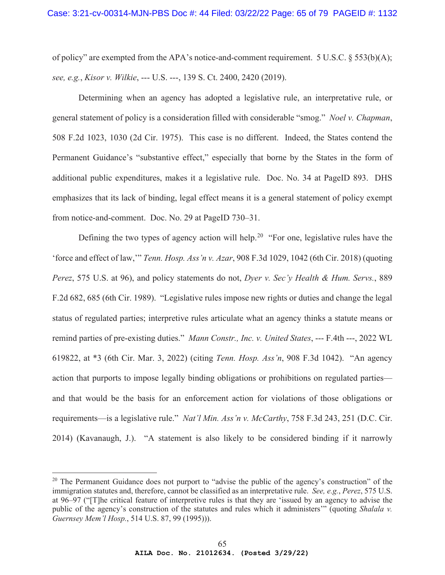of policy" are exempted from the APA's notice-and-comment requirement. 5 U.S.C.  $\S$  553(b)(A); *see, e.g.*, *Kisor v. Wilkie*, --- U.S. ---, 139 S. Ct. 2400, 2420 (2019).

Determining when an agency has adopted a legislative rule, an interpretative rule, or general statement of policy is a consideration filled with considerable "smog." *Noel v. Chapman*, 508 F.2d 1023, 1030 (2d Cir. 1975). This case is no different. Indeed, the States contend the Permanent Guidance's "substantive effect," especially that borne by the States in the form of additional public expenditures, makes it a legislative rule. Doc. No. 34 at PageID 893. DHS emphasizes that its lack of binding, legal effect means it is a general statement of policy exempt from notice-and-comment. Doc. No. 29 at PageID 730–31.

Defining the two types of agency action will help.<sup>20</sup> "For one, legislative rules have the 'force and effect of law,'" *Tenn. Hosp. Ass'n v. Azar*, 908 F.3d 1029, 1042 (6th Cir. 2018) (quoting *Perez*, 575 U.S. at 96), and policy statements do not, *Dyer v. Sec'y Health & Hum. Servs.*, 889 F.2d 682, 685 (6th Cir. 1989). "Legislative rules impose new rights or duties and change the legal status of regulated parties; interpretive rules articulate what an agency thinks a statute means or remind parties of pre-existing duties." *Mann Constr., Inc. v. United States*, --- F.4th ---, 2022 WL 619822, at \*3 (6th Cir. Mar. 3, 2022) (citing *Tenn. Hosp. Ass'n*, 908 F.3d 1042). "An agency action that purports to impose legally binding obligations or prohibitions on regulated parties and that would be the basis for an enforcement action for violations of those obligations or requirements—is a legislative rule." *Nat'l Min. Ass'n v. McCarthy*, 758 F.3d 243, 251 (D.C. Cir. 2014) (Kavanaugh, J.). "A statement is also likely to be considered binding if it narrowly

 $20$  The Permanent Guidance does not purport to "advise the public of the agency's construction" of the immigration statutes and, therefore, cannot be classified as an interpretative rule. *See, e.g.*, *Perez*, 575 U.S. at 96–97 ("[T]he critical feature of interpretive rules is that they are 'issued by an agency to advise the public of the agency's construction of the statutes and rules which it administers'" (quoting *Shalala v. Guernsey Mem'l Hosp.*, 514 U.S. 87, 99 (1995))).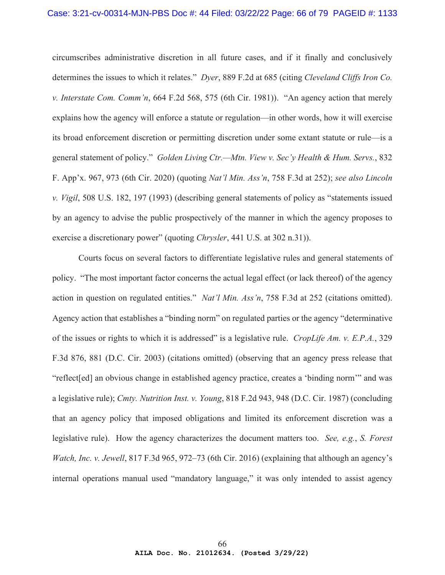circumscribes administrative discretion in all future cases, and if it finally and conclusively determines the issues to which it relates." *Dyer*, 889 F.2d at 685 (citing *Cleveland Cliffs Iron Co. v. Interstate Com. Comm'n*, 664 F.2d 568, 575 (6th Cir. 1981)). "An agency action that merely explains how the agency will enforce a statute or regulation—in other words, how it will exercise its broad enforcement discretion or permitting discretion under some extant statute or rule—is a general statement of policy." *Golden Living Ctr.—Mtn. View v. Sec'y Health & Hum. Servs.*, 832 F. App'x. 967, 973 (6th Cir. 2020) (quoting *Nat'l Min. Ass'n*, 758 F.3d at 252); *see also Lincoln v. Vigil*, 508 U.S. 182, 197 (1993) (describing general statements of policy as "statements issued by an agency to advise the public prospectively of the manner in which the agency proposes to exercise a discretionary power" (quoting *Chrysler*, 441 U.S. at 302 n.31)).

Courts focus on several factors to differentiate legislative rules and general statements of policy. "The most important factor concerns the actual legal effect (or lack thereof) of the agency action in question on regulated entities." *Nat'l Min. Ass'n*, 758 F.3d at 252 (citations omitted). Agency action that establishes a "binding norm" on regulated parties or the agency "determinative of the issues or rights to which it is addressed" is a legislative rule. *CropLife Am. v. E.P.A.*, 329 F.3d 876, 881 (D.C. Cir. 2003) (citations omitted) (observing that an agency press release that "reflect[ed] an obvious change in established agency practice, creates a 'binding norm'" and was a legislative rule); *Cmty. Nutrition Inst. v. Young*, 818 F.2d 943, 948 (D.C. Cir. 1987) (concluding that an agency policy that imposed obligations and limited its enforcement discretion was a legislative rule). How the agency characterizes the document matters too. *See, e.g.*, *S. Forest Watch, Inc. v. Jewell*, 817 F.3d 965, 972–73 (6th Cir. 2016) (explaining that although an agency's internal operations manual used "mandatory language," it was only intended to assist agency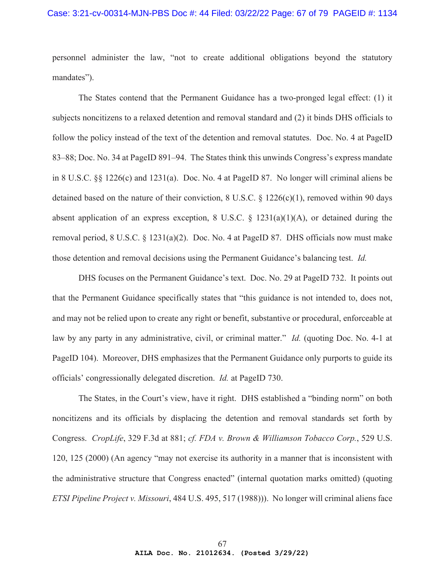## Case: 3:21-cv-00314-MJN-PBS Doc #: 44 Filed: 03/22/22 Page: 67 of 79 PAGEID #: 1134

personnel administer the law, "not to create additional obligations beyond the statutory mandates").

The States contend that the Permanent Guidance has a two-pronged legal effect: (1) it subjects noncitizens to a relaxed detention and removal standard and (2) it binds DHS officials to follow the policy instead of the text of the detention and removal statutes. Doc. No. 4 at PageID 83–88; Doc. No. 34 at PageID 891–94. The States think this unwinds Congress's express mandate in 8 U.S.C. §§ 1226(c) and 1231(a). Doc. No. 4 at PageID 87. No longer will criminal aliens be detained based on the nature of their conviction, 8 U.S.C. § 1226(c)(1), removed within 90 days absent application of an express exception, 8 U.S.C.  $\S$  1231(a)(1)(A), or detained during the removal period, 8 U.S.C. § 1231(a)(2). Doc. No. 4 at PageID 87. DHS officials now must make those detention and removal decisions using the Permanent Guidance's balancing test. *Id.*

DHS focuses on the Permanent Guidance's text. Doc. No. 29 at PageID 732. It points out that the Permanent Guidance specifically states that "this guidance is not intended to, does not, and may not be relied upon to create any right or benefit, substantive or procedural, enforceable at law by any party in any administrative, civil, or criminal matter." *Id.* (quoting Doc. No. 4-1 at PageID 104). Moreover, DHS emphasizes that the Permanent Guidance only purports to guide its officials' congressionally delegated discretion. *Id.* at PageID 730.

The States, in the Court's view, have it right. DHS established a "binding norm" on both noncitizens and its officials by displacing the detention and removal standards set forth by Congress. *CropLife*, 329 F.3d at 881; *cf. FDA v. Brown & Williamson Tobacco Corp.*, 529 U.S. 120, 125 (2000) (An agency "may not exercise its authority in a manner that is inconsistent with the administrative structure that Congress enacted" (internal quotation marks omitted) (quoting *ETSI Pipeline Project v. Missouri*, 484 U.S. 495, 517 (1988))). No longer will criminal aliens face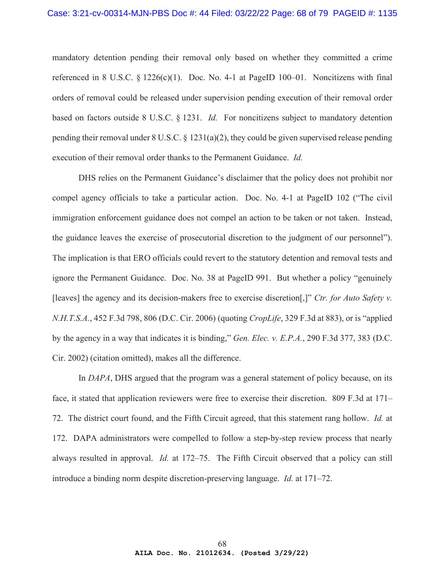mandatory detention pending their removal only based on whether they committed a crime referenced in 8 U.S.C.  $\S 1226(c)(1)$ . Doc. No. 4-1 at PageID 100–01. Noncitizens with final orders of removal could be released under supervision pending execution of their removal order based on factors outside 8 U.S.C. § 1231. *Id.* For noncitizens subject to mandatory detention pending their removal under  $8 \text{ U.S.C.} \$   $\frac{1231(a)(2)}{2}$ , they could be given supervised release pending execution of their removal order thanks to the Permanent Guidance. *Id.*

DHS relies on the Permanent Guidance's disclaimer that the policy does not prohibit nor compel agency officials to take a particular action. Doc. No. 4-1 at PageID 102 ("The civil immigration enforcement guidance does not compel an action to be taken or not taken. Instead, the guidance leaves the exercise of prosecutorial discretion to the judgment of our personnel"). The implication is that ERO officials could revert to the statutory detention and removal tests and ignore the Permanent Guidance. Doc. No. 38 at PageID 991. But whether a policy "genuinely [leaves] the agency and its decision-makers free to exercise discretion[,]" *Ctr. for Auto Safety v. N.H.T.S.A.*, 452 F.3d 798, 806 (D.C. Cir. 2006) (quoting *CropLife*, 329 F.3d at 883), or is "applied by the agency in a way that indicates it is binding," *Gen. Elec. v. E.P.A.*, 290 F.3d 377, 383 (D.C. Cir. 2002) (citation omitted), makes all the difference.

In *DAPA*, DHS argued that the program was a general statement of policy because, on its face, it stated that application reviewers were free to exercise their discretion. 809 F.3d at 171– 72. The district court found, and the Fifth Circuit agreed, that this statement rang hollow. *Id.* at 172. DAPA administrators were compelled to follow a step-by-step review process that nearly always resulted in approval. *Id.* at 172–75. The Fifth Circuit observed that a policy can still introduce a binding norm despite discretion-preserving language. *Id.* at 171–72.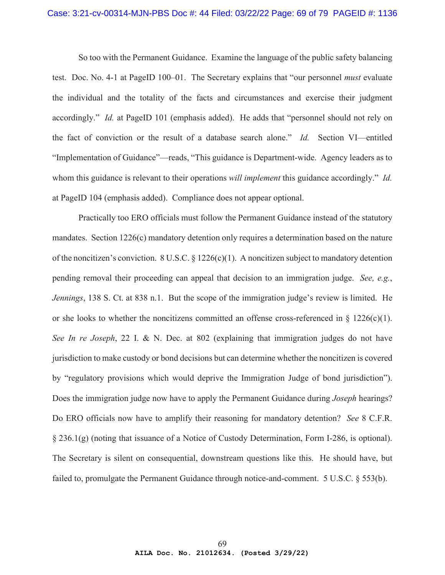### Case: 3:21-cv-00314-MJN-PBS Doc #: 44 Filed: 03/22/22 Page: 69 of 79 PAGEID #: 1136

So too with the Permanent Guidance. Examine the language of the public safety balancing test. Doc. No. 4-1 at PageID 100–01. The Secretary explains that "our personnel *must* evaluate the individual and the totality of the facts and circumstances and exercise their judgment accordingly." *Id.* at PageID 101 (emphasis added). He adds that "personnel should not rely on the fact of conviction or the result of a database search alone." *Id.* Section VI—entitled "Implementation of Guidance"—reads, "This guidance is Department-wide. Agency leaders as to whom this guidance is relevant to their operations *will implement* this guidance accordingly." *Id.* at PageID 104 (emphasis added). Compliance does not appear optional.

Practically too ERO officials must follow the Permanent Guidance instead of the statutory mandates. Section 1226(c) mandatory detention only requires a determination based on the nature of the noncitizen's conviction. 8 U.S.C.  $\S 1226(c)(1)$ . A noncitizen subject to mandatory detention pending removal their proceeding can appeal that decision to an immigration judge. *See, e.g.*, *Jennings*, 138 S. Ct. at 838 n.1. But the scope of the immigration judge's review is limited. He or she looks to whether the noncitizens committed an offense cross-referenced in § 1226(c)(1). *See In re Joseph*, 22 I. & N. Dec. at 802 (explaining that immigration judges do not have jurisdiction to make custody or bond decisions but can determine whether the noncitizen is covered by "regulatory provisions which would deprive the Immigration Judge of bond jurisdiction"). Does the immigration judge now have to apply the Permanent Guidance during *Joseph* hearings? Do ERO officials now have to amplify their reasoning for mandatory detention? *See* 8 C.F.R. § 236.1(g) (noting that issuance of a Notice of Custody Determination, Form I-286, is optional). The Secretary is silent on consequential, downstream questions like this. He should have, but failed to, promulgate the Permanent Guidance through notice-and-comment. 5 U.S.C. § 553(b).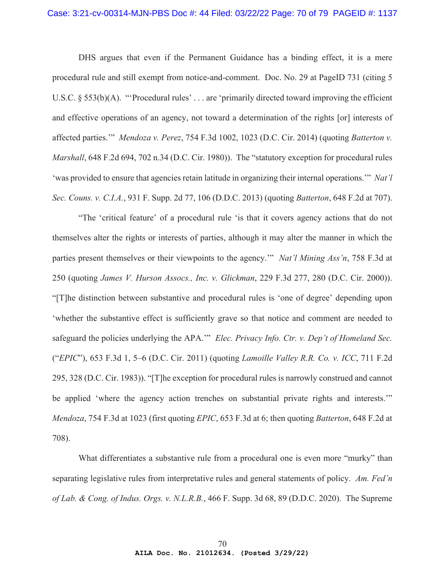DHS argues that even if the Permanent Guidance has a binding effect, it is a mere procedural rule and still exempt from notice-and-comment. Doc. No. 29 at PageID 731 (citing 5 U.S.C. § 553(b)(A). "Procedural rules'... are 'primarily directed toward improving the efficient and effective operations of an agency, not toward a determination of the rights [or] interests of affected parties.'" *Mendoza v. Perez*, 754 F.3d 1002, 1023 (D.C. Cir. 2014) (quoting *Batterton v. Marshall*, 648 F.2d 694, 702 n.34 (D.C. Cir. 1980)). The "statutory exception for procedural rules 'was provided to ensure that agencies retain latitude in organizing their internal operations.'" *Nat'l Sec. Couns. v. C.I.A.*, 931 F. Supp. 2d 77, 106 (D.D.C. 2013) (quoting *Batterton*, 648 F.2d at 707).

"The 'critical feature' of a procedural rule 'is that it covers agency actions that do not themselves alter the rights or interests of parties, although it may alter the manner in which the parties present themselves or their viewpoints to the agency.'" *Nat'l Mining Ass'n*, 758 F.3d at 250 (quoting *James V. Hurson Assocs., Inc. v. Glickman*, 229 F.3d 277, 280 (D.C. Cir. 2000)). "[T]he distinction between substantive and procedural rules is 'one of degree' depending upon 'whether the substantive effect is sufficiently grave so that notice and comment are needed to safeguard the policies underlying the APA.'" *Elec. Privacy Info. Ctr. v. Dep't of Homeland Sec.* ("*EPIC*"), 653 F.3d 1, 5–6 (D.C. Cir. 2011) (quoting *Lamoille Valley R.R. Co. v. ICC*, 711 F.2d 295, 328 (D.C. Cir. 1983)). "[T]he exception for procedural rules is narrowly construed and cannot be applied 'where the agency action trenches on substantial private rights and interests." *Mendoza*, 754 F.3d at 1023 (first quoting *EPIC*, 653 F.3d at 6; then quoting *Batterton*, 648 F.2d at 708).

What differentiates a substantive rule from a procedural one is even more "murky" than separating legislative rules from interpretative rules and general statements of policy. *Am. Fed'n of Lab. & Cong. of Indus. Orgs. v. N.L.R.B.*, 466 F. Supp. 3d 68, 89 (D.D.C. 2020). The Supreme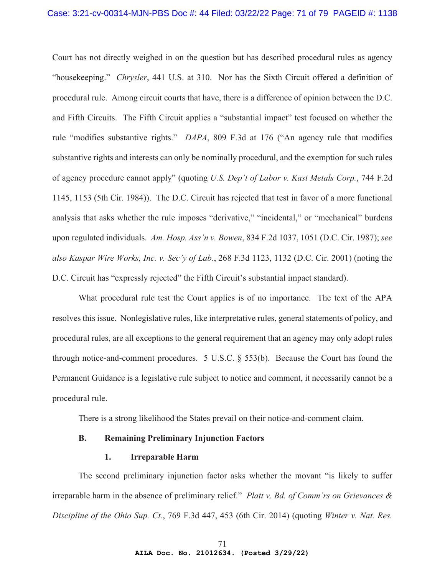Court has not directly weighed in on the question but has described procedural rules as agency "housekeeping." *Chrysler*, 441 U.S. at 310. Nor has the Sixth Circuit offered a definition of procedural rule. Among circuit courts that have, there is a difference of opinion between the D.C. and Fifth Circuits. The Fifth Circuit applies a "substantial impact" test focused on whether the rule "modifies substantive rights." *DAPA*, 809 F.3d at 176 ("An agency rule that modifies substantive rights and interests can only be nominally procedural, and the exemption for such rules of agency procedure cannot apply" (quoting *U.S. Dep't of Labor v. Kast Metals Corp.*, 744 F.2d 1145, 1153 (5th Cir. 1984)). The D.C. Circuit has rejected that test in favor of a more functional analysis that asks whether the rule imposes "derivative," "incidental," or "mechanical" burdens upon regulated individuals. *Am. Hosp. Ass'n v. Bowen*, 834 F.2d 1037, 1051 (D.C. Cir. 1987); *see also Kaspar Wire Works, Inc. v. Sec'y of Lab.*, 268 F.3d 1123, 1132 (D.C. Cir. 2001) (noting the D.C. Circuit has "expressly rejected" the Fifth Circuit's substantial impact standard).

What procedural rule test the Court applies is of no importance. The text of the APA resolves this issue. Nonlegislative rules, like interpretative rules, general statements of policy, and procedural rules, are all exceptions to the general requirement that an agency may only adopt rules through notice-and-comment procedures. 5 U.S.C. § 553(b). Because the Court has found the Permanent Guidance is a legislative rule subject to notice and comment, it necessarily cannot be a procedural rule.

There is a strong likelihood the States prevail on their notice-and-comment claim.

## **B. Remaining Preliminary Injunction Factors**

## **1. Irreparable Harm**

The second preliminary injunction factor asks whether the movant "is likely to suffer irreparable harm in the absence of preliminary relief." *Platt v. Bd. of Comm'rs on Grievances & Discipline of the Ohio Sup. Ct.*, 769 F.3d 447, 453 (6th Cir. 2014) (quoting *Winter v. Nat. Res.*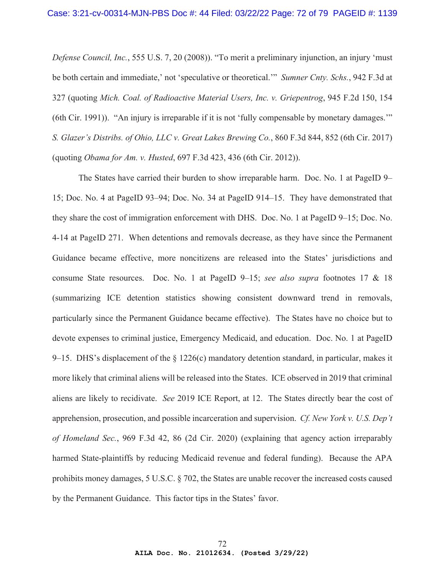*Defense Council, Inc.*, 555 U.S. 7, 20 (2008)). "To merit a preliminary injunction, an injury 'must be both certain and immediate,' not 'speculative or theoretical.'" *Sumner Cnty. Schs.*, 942 F.3d at 327 (quoting *Mich. Coal. of Radioactive Material Users, Inc. v. Griepentrog*, 945 F.2d 150, 154 (6th Cir. 1991)). "An injury is irreparable if it is not 'fully compensable by monetary damages.'" *S. Glazer's Distribs. of Ohio, LLC v. Great Lakes Brewing Co.*, 860 F.3d 844, 852 (6th Cir. 2017) (quoting *Obama for Am. v. Husted*, 697 F.3d 423, 436 (6th Cir. 2012)).

The States have carried their burden to show irreparable harm. Doc. No. 1 at PageID 9– 15; Doc. No. 4 at PageID 93–94; Doc. No. 34 at PageID 914–15. They have demonstrated that they share the cost of immigration enforcement with DHS. Doc. No. 1 at PageID 9–15; Doc. No. 4-14 at PageID 271. When detentions and removals decrease, as they have since the Permanent Guidance became effective, more noncitizens are released into the States' jurisdictions and consume State resources. Doc. No. 1 at PageID 9–15; *see also supra* footnotes 17 & 18 (summarizing ICE detention statistics showing consistent downward trend in removals, particularly since the Permanent Guidance became effective). The States have no choice but to devote expenses to criminal justice, Emergency Medicaid, and education. Doc. No. 1 at PageID 9–15. DHS's displacement of the  $\S$  1226(c) mandatory detention standard, in particular, makes it more likely that criminal aliens will be released into the States. ICE observed in 2019 that criminal aliens are likely to recidivate. *See* 2019 ICE Report, at 12. The States directly bear the cost of apprehension, prosecution, and possible incarceration and supervision. *Cf. New York v. U.S. Dep't of Homeland Sec.*, 969 F.3d 42, 86 (2d Cir. 2020) (explaining that agency action irreparably harmed State-plaintiffs by reducing Medicaid revenue and federal funding). Because the APA prohibits money damages, 5 U.S.C. § 702, the States are unable recover the increased costs caused by the Permanent Guidance. This factor tips in the States' favor.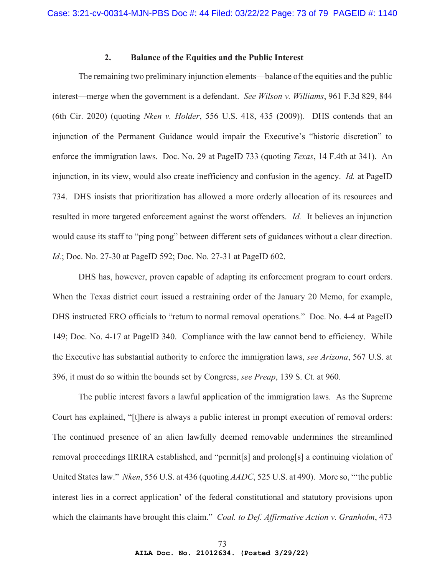## **2. Balance of the Equities and the Public Interest**

The remaining two preliminary injunction elements—balance of the equities and the public interest—merge when the government is a defendant. *See Wilson v. Williams*, 961 F.3d 829, 844 (6th Cir. 2020) (quoting *Nken v. Holder*, 556 U.S. 418, 435 (2009)). DHS contends that an injunction of the Permanent Guidance would impair the Executive's "historic discretion" to enforce the immigration laws. Doc. No. 29 at PageID 733 (quoting *Texas*, 14 F.4th at 341). An injunction, in its view, would also create inefficiency and confusion in the agency. *Id.* at PageID 734. DHS insists that prioritization has allowed a more orderly allocation of its resources and resulted in more targeted enforcement against the worst offenders. *Id.* It believes an injunction would cause its staff to "ping pong" between different sets of guidances without a clear direction. *Id.*; Doc. No. 27-30 at PageID 592; Doc. No. 27-31 at PageID 602.

DHS has, however, proven capable of adapting its enforcement program to court orders. When the Texas district court issued a restraining order of the January 20 Memo, for example, DHS instructed ERO officials to "return to normal removal operations." Doc. No. 4-4 at PageID 149; Doc. No. 4-17 at PageID 340. Compliance with the law cannot bend to efficiency. While the Executive has substantial authority to enforce the immigration laws, *see Arizona*, 567 U.S. at 396, it must do so within the bounds set by Congress, *see Preap*, 139 S. Ct. at 960.

The public interest favors a lawful application of the immigration laws. As the Supreme Court has explained, "[t]here is always a public interest in prompt execution of removal orders: The continued presence of an alien lawfully deemed removable undermines the streamlined removal proceedings IIRIRA established, and "permit[s] and prolong[s] a continuing violation of United States law." *Nken*, 556 U.S. at 436 (quoting *AADC*, 525 U.S. at 490). More so, "'the public interest lies in a correct application' of the federal constitutional and statutory provisions upon which the claimants have brought this claim." *Coal. to Def. Affirmative Action v. Granholm*, 473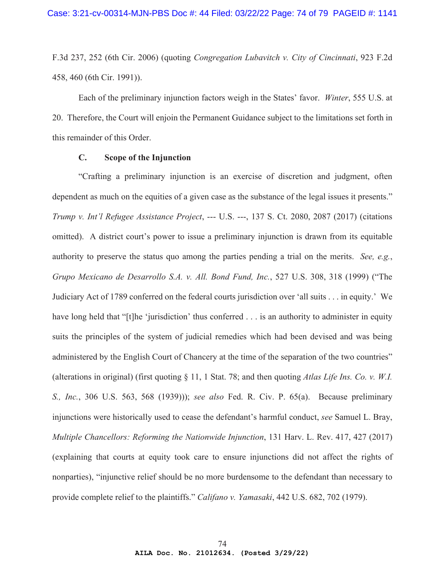F.3d 237, 252 (6th Cir. 2006) (quoting *Congregation Lubavitch v. City of Cincinnati*, 923 F.2d 458, 460 (6th Cir. 1991)).

Each of the preliminary injunction factors weigh in the States' favor. *Winter*, 555 U.S. at 20. Therefore, the Court will enjoin the Permanent Guidance subject to the limitations set forth in this remainder of this Order.

## **C. Scope of the Injunction**

"Crafting a preliminary injunction is an exercise of discretion and judgment, often dependent as much on the equities of a given case as the substance of the legal issues it presents." *Trump v. Int'l Refugee Assistance Project*, --- U.S. ---, 137 S. Ct. 2080, 2087 (2017) (citations omitted). A district court's power to issue a preliminary injunction is drawn from its equitable authority to preserve the status quo among the parties pending a trial on the merits. *See, e.g.*, *Grupo Mexicano de Desarrollo S.A. v. All. Bond Fund, Inc.*, 527 U.S. 308, 318 (1999) ("The Judiciary Act of 1789 conferred on the federal courts jurisdiction over 'all suits . . . in equity.' We have long held that "[t]he 'jurisdiction' thus conferred . . . is an authority to administer in equity suits the principles of the system of judicial remedies which had been devised and was being administered by the English Court of Chancery at the time of the separation of the two countries" (alterations in original) (first quoting § 11, 1 Stat. 78; and then quoting *Atlas Life Ins. Co. v. W.I. S., Inc.*, 306 U.S. 563, 568 (1939))); *see also* Fed. R. Civ. P. 65(a). Because preliminary injunctions were historically used to cease the defendant's harmful conduct, *see* Samuel L. Bray, *Multiple Chancellors: Reforming the Nationwide Injunction*, 131 Harv. L. Rev. 417, 427 (2017) (explaining that courts at equity took care to ensure injunctions did not affect the rights of nonparties), "injunctive relief should be no more burdensome to the defendant than necessary to provide complete relief to the plaintiffs." *Califano v. Yamasaki*, 442 U.S. 682, 702 (1979).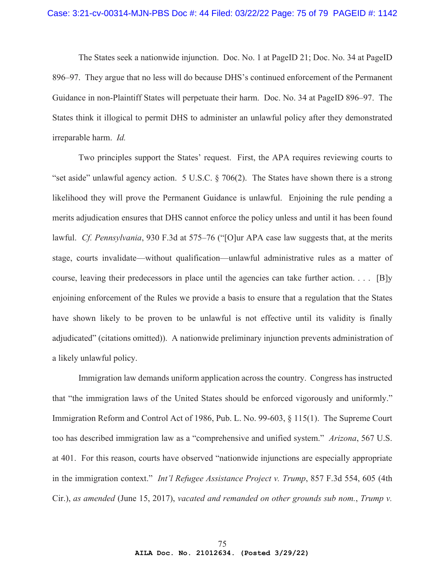The States seek a nationwide injunction. Doc. No. 1 at PageID 21; Doc. No. 34 at PageID 896–97. They argue that no less will do because DHS's continued enforcement of the Permanent Guidance in non-Plaintiff States will perpetuate their harm. Doc. No. 34 at PageID 896–97. The States think it illogical to permit DHS to administer an unlawful policy after they demonstrated irreparable harm. *Id.*

Two principles support the States' request. First, the APA requires reviewing courts to "set aside" unlawful agency action. 5 U.S.C. § 706(2). The States have shown there is a strong likelihood they will prove the Permanent Guidance is unlawful. Enjoining the rule pending a merits adjudication ensures that DHS cannot enforce the policy unless and until it has been found lawful. *Cf. Pennsylvania*, 930 F.3d at 575–76 ("[O]ur APA case law suggests that, at the merits stage, courts invalidate—without qualification—unlawful administrative rules as a matter of course, leaving their predecessors in place until the agencies can take further action. . . . [B]y enjoining enforcement of the Rules we provide a basis to ensure that a regulation that the States have shown likely to be proven to be unlawful is not effective until its validity is finally adjudicated" (citations omitted)). A nationwide preliminary injunction prevents administration of a likely unlawful policy.

Immigration law demands uniform application across the country. Congress has instructed that "the immigration laws of the United States should be enforced vigorously and uniformly." Immigration Reform and Control Act of 1986, Pub. L. No. 99-603, § 115(1). The Supreme Court too has described immigration law as a "comprehensive and unified system." *Arizona*, 567 U.S. at 401. For this reason, courts have observed "nationwide injunctions are especially appropriate in the immigration context." *Int'l Refugee Assistance Project v. Trump*, 857 F.3d 554, 605 (4th Cir.), *as amended* (June 15, 2017), *vacated and remanded on other grounds sub nom.*, *Trump v.*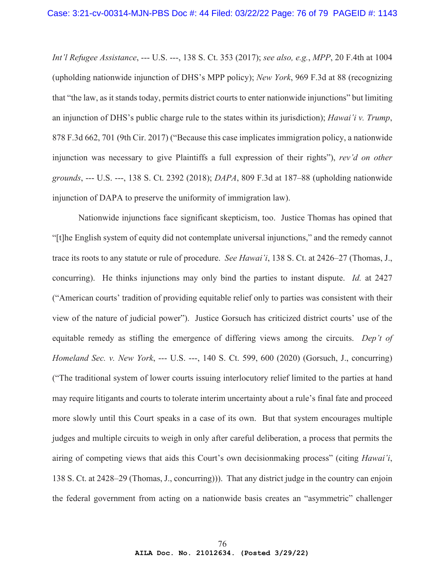*Int'l Refugee Assistance*, --- U.S. ---, 138 S. Ct. 353 (2017); *see also, e.g.*, *MPP*, 20 F.4th at 1004 (upholding nationwide injunction of DHS's MPP policy); *New York*, 969 F.3d at 88 (recognizing that "the law, as it stands today, permits district courts to enter nationwide injunctions" but limiting an injunction of DHS's public charge rule to the states within its jurisdiction); *Hawai'i v. Trump*, 878 F.3d 662, 701 (9th Cir. 2017) ("Because this case implicates immigration policy, a nationwide injunction was necessary to give Plaintiffs a full expression of their rights"), *rev'd on other grounds*, --- U.S. ---, 138 S. Ct. 2392 (2018); *DAPA*, 809 F.3d at 187–88 (upholding nationwide injunction of DAPA to preserve the uniformity of immigration law).

Nationwide injunctions face significant skepticism, too. Justice Thomas has opined that "[t]he English system of equity did not contemplate universal injunctions," and the remedy cannot trace its roots to any statute or rule of procedure. *See Hawai'i*, 138 S. Ct. at 2426–27 (Thomas, J., concurring). He thinks injunctions may only bind the parties to instant dispute. *Id.* at 2427 ("American courts' tradition of providing equitable relief only to parties was consistent with their view of the nature of judicial power"). Justice Gorsuch has criticized district courts' use of the equitable remedy as stifling the emergence of differing views among the circuits. *Dep't of Homeland Sec. v. New York*, --- U.S. ---, 140 S. Ct. 599, 600 (2020) (Gorsuch, J., concurring) ("The traditional system of lower courts issuing interlocutory relief limited to the parties at hand may require litigants and courts to tolerate interim uncertainty about a rule's final fate and proceed more slowly until this Court speaks in a case of its own. But that system encourages multiple judges and multiple circuits to weigh in only after careful deliberation, a process that permits the airing of competing views that aids this Court's own decisionmaking process" (citing *Hawai'i*, 138 S. Ct. at 2428–29 (Thomas, J., concurring))). That any district judge in the country can enjoin the federal government from acting on a nationwide basis creates an "asymmetric" challenger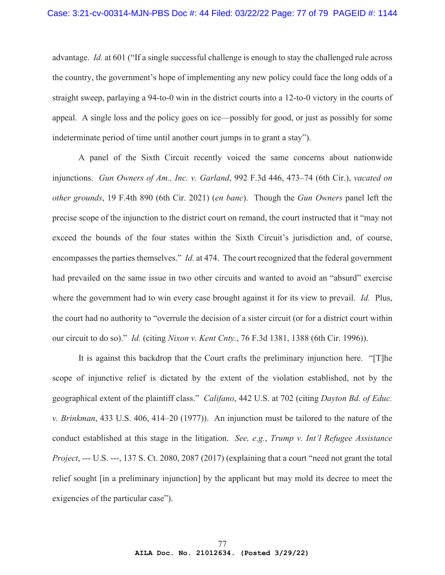advantage. *Id.* at 601 ("If a single successful challenge is enough to stay the challenged rule across the country, the government's hope of implementing any new policy could face the long odds of a straight sweep, parlaying a 94-to-0 win in the district courts into a 12-to-0 victory in the courts of appeal. A single loss and the policy goes on ice—possibly for good, or just as possibly for some indeterminate period of time until another court jumps in to grant a stay").

A panel of the Sixth Circuit recently voiced the same concerns about nationwide injunctions. *Gun Owners of Am., Inc. v. Garland*, 992 F.3d 446, 473–74 (6th Cir.), *vacated on other grounds*, 19 F.4th 890 (6th Cir. 2021) (*en banc*). Though the *Gun Owners* panel left the precise scope of the injunction to the district court on remand, the court instructed that it "may not exceed the bounds of the four states within the Sixth Circuit's jurisdiction and, of course, encompasses the parties themselves." *Id.* at 474. The court recognized that the federal government had prevailed on the same issue in two other circuits and wanted to avoid an "absurd" exercise where the government had to win every case brought against it for its view to prevail. *Id.* Plus, the court had no authority to "overrule the decision of a sister circuit (or for a district court within our circuit to do so)." *Id.* (citing *Nixon v. Kent Cnty.*, 76 F.3d 1381, 1388 (6th Cir. 1996)).

It is against this backdrop that the Court crafts the preliminary injunction here. "[T]he scope of injunctive relief is dictated by the extent of the violation established, not by the geographical extent of the plaintiff class." *Califano*, 442 U.S. at 702 (citing *Dayton Bd. of Educ. v. Brinkman*, 433 U.S. 406, 414–20 (1977)). An injunction must be tailored to the nature of the conduct established at this stage in the litigation. *See, e.g.*, *Trump v. Int'l Refugee Assistance Project*, --- U.S. ---, 137 S. Ct. 2080, 2087 (2017) (explaining that a court "need not grant the total relief sought [in a preliminary injunction] by the applicant but may mold its decree to meet the exigencies of the particular case").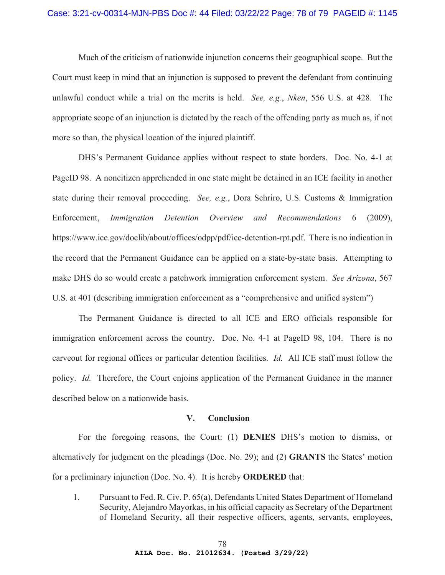Much of the criticism of nationwide injunction concerns their geographical scope. But the Court must keep in mind that an injunction is supposed to prevent the defendant from continuing unlawful conduct while a trial on the merits is held. *See, e.g.*, *Nken*, 556 U.S. at 428. The appropriate scope of an injunction is dictated by the reach of the offending party as much as, if not more so than, the physical location of the injured plaintiff.

DHS's Permanent Guidance applies without respect to state borders. Doc. No. 4-1 at PageID 98. A noncitizen apprehended in one state might be detained in an ICE facility in another state during their removal proceeding. *See, e.g.*, Dora Schriro, U.S. Customs & Immigration Enforcement, *Immigration Detention Overview and Recommendations* 6 (2009), https://www.ice.gov/doclib/about/offices/odpp/pdf/ice-detention-rpt.pdf. There is no indication in the record that the Permanent Guidance can be applied on a state-by-state basis. Attempting to make DHS do so would create a patchwork immigration enforcement system. *See Arizona*, 567 U.S. at 401 (describing immigration enforcement as a "comprehensive and unified system")

The Permanent Guidance is directed to all ICE and ERO officials responsible for immigration enforcement across the country. Doc. No. 4-1 at PageID 98, 104. There is no carveout for regional offices or particular detention facilities. *Id.* All ICE staff must follow the policy. *Id.* Therefore, the Court enjoins application of the Permanent Guidance in the manner described below on a nationwide basis.

## **V. Conclusion**

For the foregoing reasons, the Court: (1) **DENIES** DHS's motion to dismiss, or alternatively for judgment on the pleadings (Doc. No. 29); and (2) **GRANTS** the States' motion for a preliminary injunction (Doc. No. 4). It is hereby **ORDERED** that:

1. Pursuant to Fed. R. Civ. P. 65(a), Defendants United States Department of Homeland Security, Alejandro Mayorkas, in his official capacity as Secretary of the Department of Homeland Security, all their respective officers, agents, servants, employees,